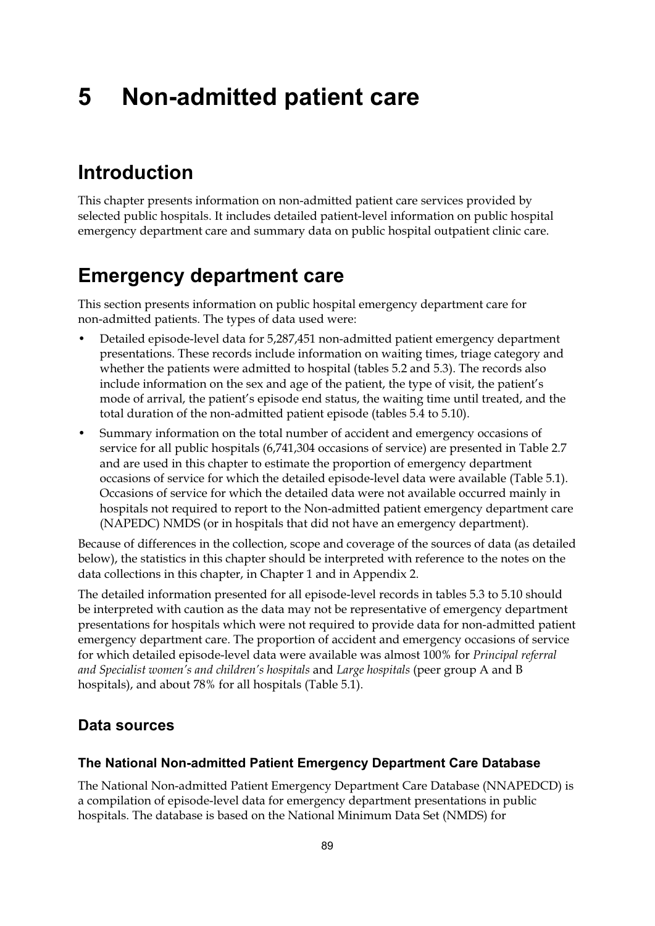# **5 Non-admitted patient care**

# **Introduction**

This chapter presents information on non-admitted patient care services provided by selected public hospitals. It includes detailed patient-level information on public hospital emergency department care and summary data on public hospital outpatient clinic care.

# **Emergency department care**

This section presents information on public hospital emergency department care for non-admitted patients. The types of data used were:

- Detailed episode-level data for 5,287,451 non-admitted patient emergency department presentations. These records include information on waiting times, triage category and whether the patients were admitted to hospital (tables 5.2 and 5.3). The records also include information on the sex and age of the patient, the type of visit, the patient's mode of arrival, the patient's episode end status, the waiting time until treated, and the total duration of the non-admitted patient episode (tables 5.4 to 5.10).
- Summary information on the total number of accident and emergency occasions of service for all public hospitals (6,741,304 occasions of service) are presented in Table 2.7 and are used in this chapter to estimate the proportion of emergency department occasions of service for which the detailed episode-level data were available (Table 5.1). Occasions of service for which the detailed data were not available occurred mainly in hospitals not required to report to the Non-admitted patient emergency department care (NAPEDC) NMDS (or in hospitals that did not have an emergency department).

Because of differences in the collection, scope and coverage of the sources of data (as detailed below), the statistics in this chapter should be interpreted with reference to the notes on the data collections in this chapter, in Chapter 1 and in Appendix 2.

The detailed information presented for all episode-level records in tables 5.3 to 5.10 should be interpreted with caution as the data may not be representative of emergency department presentations for hospitals which were not required to provide data for non-admitted patient emergency department care. The proportion of accident and emergency occasions of service for which detailed episode-level data were available was almost 100% for *Principal referral and Specialist women's and children's hospitals* and *Large hospitals* (peer group A and B hospitals), and about 78% for all hospitals (Table 5.1).

## **Data sources**

#### **The National Non-admitted Patient Emergency Department Care Database**

The National Non-admitted Patient Emergency Department Care Database (NNAPEDCD) is a compilation of episode-level data for emergency department presentations in public hospitals. The database is based on the National Minimum Data Set (NMDS) for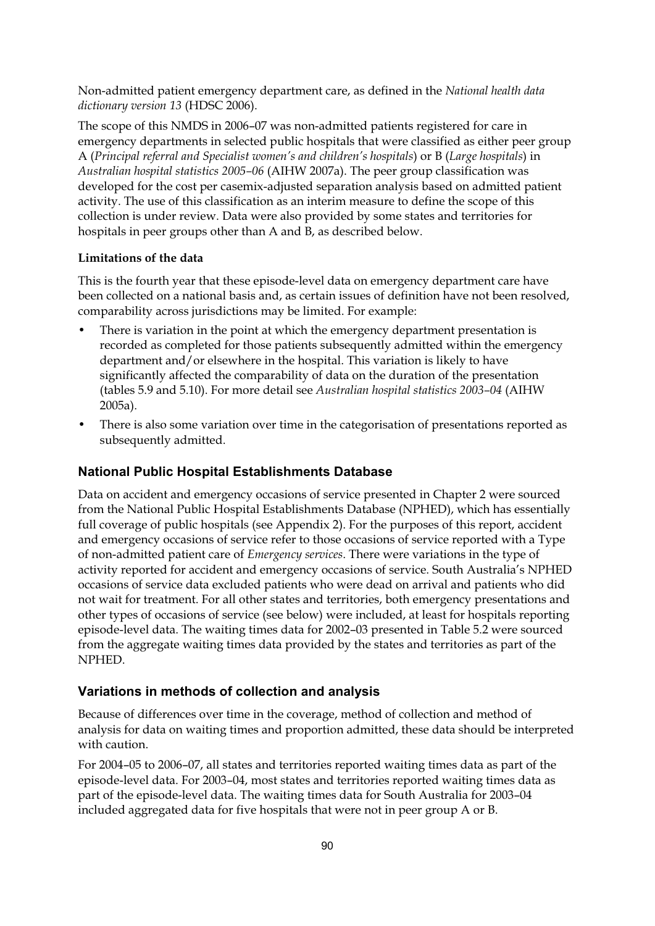Non-admitted patient emergency department care, as defined in the *National health data dictionary version 13* (HDSC 2006).

The scope of this NMDS in 2006–07 was non-admitted patients registered for care in emergency departments in selected public hospitals that were classified as either peer group A (*Principal referral and Specialist women's and children's hospitals*) or B (*Large hospitals*) in *Australian hospital statistics 2005–06* (AIHW 2007a). The peer group classification was developed for the cost per casemix-adjusted separation analysis based on admitted patient activity. The use of this classification as an interim measure to define the scope of this collection is under review. Data were also provided by some states and territories for hospitals in peer groups other than A and B, as described below.

#### **Limitations of the data**

This is the fourth year that these episode-level data on emergency department care have been collected on a national basis and, as certain issues of definition have not been resolved, comparability across jurisdictions may be limited. For example:

- There is variation in the point at which the emergency department presentation is recorded as completed for those patients subsequently admitted within the emergency department and/or elsewhere in the hospital. This variation is likely to have significantly affected the comparability of data on the duration of the presentation (tables 5.9 and 5.10). For more detail see *Australian hospital statistics 2003–04* (AIHW 2005a).
- There is also some variation over time in the categorisation of presentations reported as subsequently admitted.

#### **National Public Hospital Establishments Database**

Data on accident and emergency occasions of service presented in Chapter 2 were sourced from the National Public Hospital Establishments Database (NPHED), which has essentially full coverage of public hospitals (see Appendix 2). For the purposes of this report, accident and emergency occasions of service refer to those occasions of service reported with a Type of non-admitted patient care of *Emergency services*. There were variations in the type of activity reported for accident and emergency occasions of service. South Australia's NPHED occasions of service data excluded patients who were dead on arrival and patients who did not wait for treatment. For all other states and territories, both emergency presentations and other types of occasions of service (see below) were included, at least for hospitals reporting episode-level data. The waiting times data for 2002–03 presented in Table 5.2 were sourced from the aggregate waiting times data provided by the states and territories as part of the NPHED.

#### **Variations in methods of collection and analysis**

Because of differences over time in the coverage, method of collection and method of analysis for data on waiting times and proportion admitted, these data should be interpreted with caution.

For 2004–05 to 2006–07, all states and territories reported waiting times data as part of the episode-level data. For 2003–04, most states and territories reported waiting times data as part of the episode-level data. The waiting times data for South Australia for 2003–04 included aggregated data for five hospitals that were not in peer group A or B.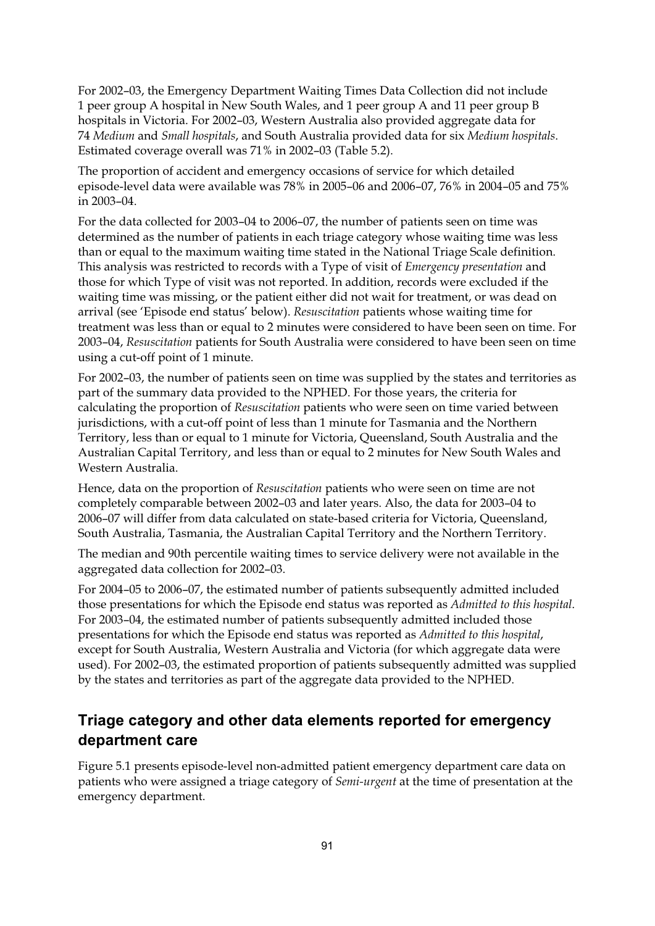For 2002–03, the Emergency Department Waiting Times Data Collection did not include 1 peer group A hospital in New South Wales, and 1 peer group A and 11 peer group B hospitals in Victoria. For 2002–03, Western Australia also provided aggregate data for 74 *Medium* and *Small hospitals*, and South Australia provided data for six *Medium hospitals*. Estimated coverage overall was 71% in 2002–03 (Table 5.2).

The proportion of accident and emergency occasions of service for which detailed episode-level data were available was 78% in 2005–06 and 2006–07, 76% in 2004–05 and 75% in 2003–04.

For the data collected for 2003–04 to 2006–07, the number of patients seen on time was determined as the number of patients in each triage category whose waiting time was less than or equal to the maximum waiting time stated in the National Triage Scale definition. This analysis was restricted to records with a Type of visit of *Emergency presentation* and those for which Type of visit was not reported. In addition, records were excluded if the waiting time was missing, or the patient either did not wait for treatment, or was dead on arrival (see 'Episode end status' below). *Resuscitation* patients whose waiting time for treatment was less than or equal to 2 minutes were considered to have been seen on time. For 2003–04, *Resuscitation* patients for South Australia were considered to have been seen on time using a cut-off point of 1 minute.

For 2002–03, the number of patients seen on time was supplied by the states and territories as part of the summary data provided to the NPHED. For those years, the criteria for calculating the proportion of *Resuscitation* patients who were seen on time varied between jurisdictions, with a cut-off point of less than 1 minute for Tasmania and the Northern Territory, less than or equal to 1 minute for Victoria, Queensland, South Australia and the Australian Capital Territory, and less than or equal to 2 minutes for New South Wales and Western Australia.

Hence, data on the proportion of *Resuscitation* patients who were seen on time are not completely comparable between 2002–03 and later years. Also, the data for 2003–04 to 2006–07 will differ from data calculated on state-based criteria for Victoria, Queensland, South Australia, Tasmania, the Australian Capital Territory and the Northern Territory.

The median and 90th percentile waiting times to service delivery were not available in the aggregated data collection for 2002–03.

For 2004–05 to 2006–07, the estimated number of patients subsequently admitted included those presentations for which the Episode end status was reported as *Admitted to this hospital*. For 2003–04, the estimated number of patients subsequently admitted included those presentations for which the Episode end status was reported as *Admitted to this hospital*, except for South Australia, Western Australia and Victoria (for which aggregate data were used). For 2002–03, the estimated proportion of patients subsequently admitted was supplied by the states and territories as part of the aggregate data provided to the NPHED.

# **Triage category and other data elements reported for emergency department care**

Figure 5.1 presents episode-level non-admitted patient emergency department care data on patients who were assigned a triage category of *Semi-urgent* at the time of presentation at the emergency department.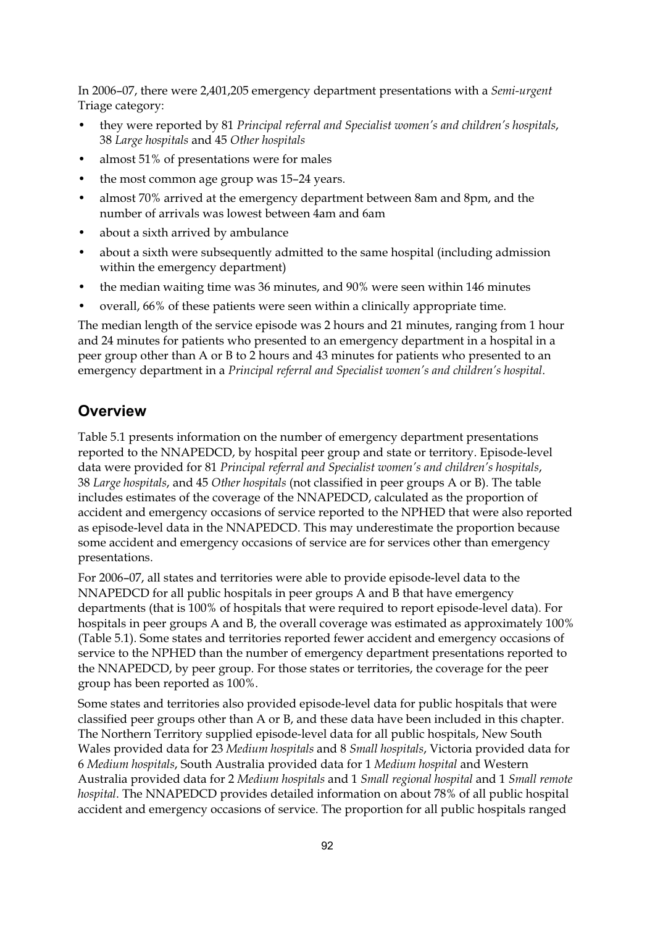In 2006–07, there were 2,401,205 emergency department presentations with a *Semi-urgent* Triage category:

- they were reported by 81 *Principal referral and Specialist women's and children's hospitals*, 38 *Large hospitals* and 45 *Other hospitals*
- almost 51% of presentations were for males
- the most common age group was 15–24 years.
- almost 70% arrived at the emergency department between 8am and 8pm, and the number of arrivals was lowest between 4am and 6am
- about a sixth arrived by ambulance
- about a sixth were subsequently admitted to the same hospital (including admission within the emergency department)
- the median waiting time was 36 minutes, and 90% were seen within 146 minutes
- overall, 66% of these patients were seen within a clinically appropriate time.

The median length of the service episode was 2 hours and 21 minutes, ranging from 1 hour and 24 minutes for patients who presented to an emergency department in a hospital in a peer group other than A or B to 2 hours and 43 minutes for patients who presented to an emergency department in a *Principal referral and Specialist women's and children's hospital*.

#### **Overview**

Table 5.1 presents information on the number of emergency department presentations reported to the NNAPEDCD, by hospital peer group and state or territory. Episode-level data were provided for 81 *Principal referral and Specialist women's and children's hospitals*, 38 *Large hospitals*, and 45 *Other hospitals* (not classified in peer groups A or B). The table includes estimates of the coverage of the NNAPEDCD, calculated as the proportion of accident and emergency occasions of service reported to the NPHED that were also reported as episode-level data in the NNAPEDCD. This may underestimate the proportion because some accident and emergency occasions of service are for services other than emergency presentations.

For 2006–07, all states and territories were able to provide episode-level data to the NNAPEDCD for all public hospitals in peer groups A and B that have emergency departments (that is 100% of hospitals that were required to report episode-level data). For hospitals in peer groups A and B, the overall coverage was estimated as approximately 100% (Table 5.1). Some states and territories reported fewer accident and emergency occasions of service to the NPHED than the number of emergency department presentations reported to the NNAPEDCD, by peer group. For those states or territories, the coverage for the peer group has been reported as 100%.

Some states and territories also provided episode-level data for public hospitals that were classified peer groups other than A or B, and these data have been included in this chapter. The Northern Territory supplied episode-level data for all public hospitals, New South Wales provided data for 23 *Medium hospitals* and 8 *Small hospitals*, Victoria provided data for 6 *Medium hospitals*, South Australia provided data for 1 *Medium hospital* and Western Australia provided data for 2 *Medium hospitals* and 1 *Small regional hospital* and 1 *Small remote hospital*. The NNAPEDCD provides detailed information on about 78% of all public hospital accident and emergency occasions of service. The proportion for all public hospitals ranged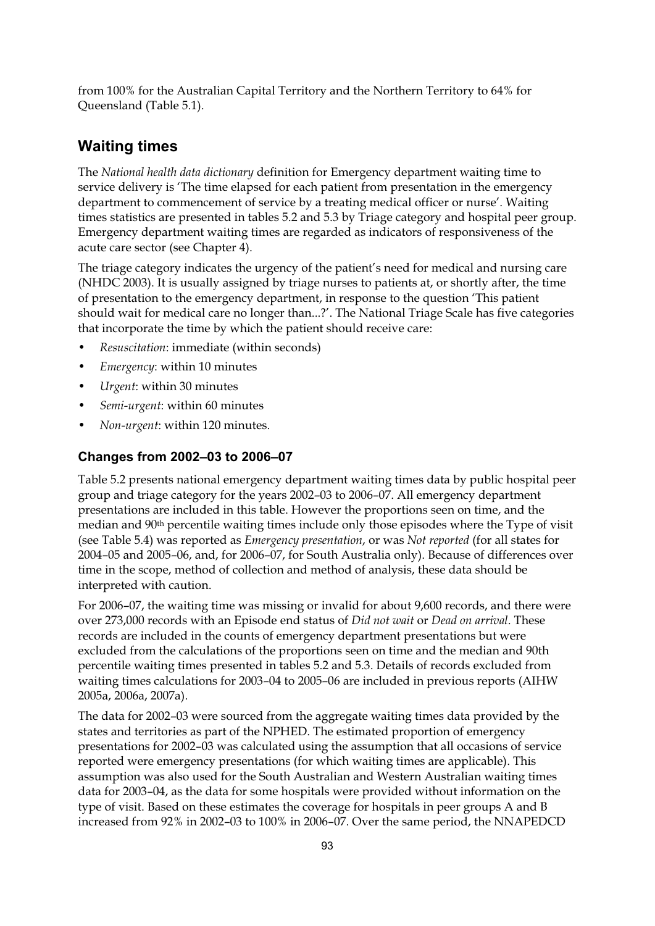from 100% for the Australian Capital Territory and the Northern Territory to 64% for Queensland (Table 5.1).

#### **Waiting times**

The *National health data dictionary* definition for Emergency department waiting time to service delivery is 'The time elapsed for each patient from presentation in the emergency department to commencement of service by a treating medical officer or nurse'. Waiting times statistics are presented in tables 5.2 and 5.3 by Triage category and hospital peer group. Emergency department waiting times are regarded as indicators of responsiveness of the acute care sector (see Chapter 4).

The triage category indicates the urgency of the patient's need for medical and nursing care (NHDC 2003). It is usually assigned by triage nurses to patients at, or shortly after, the time of presentation to the emergency department, in response to the question 'This patient should wait for medical care no longer than...?'. The National Triage Scale has five categories that incorporate the time by which the patient should receive care:

- *Resuscitation*: immediate (within seconds)
- *Emergency*: within 10 minutes
- *Urgent*: within 30 minutes
- *Semi-urgent*: within 60 minutes
- *Non-urgent*: within 120 minutes.

#### **Changes from 2002–03 to 2006–07**

Table 5.2 presents national emergency department waiting times data by public hospital peer group and triage category for the years 2002–03 to 2006–07. All emergency department presentations are included in this table. However the proportions seen on time, and the median and 90th percentile waiting times include only those episodes where the Type of visit (see Table 5.4) was reported as *Emergency presentation*, or was *Not reported* (for all states for 2004–05 and 2005–06, and, for 2006–07, for South Australia only). Because of differences over time in the scope, method of collection and method of analysis, these data should be interpreted with caution.

For 2006–07, the waiting time was missing or invalid for about 9,600 records, and there were over 273,000 records with an Episode end status of *Did not wait* or *Dead on arrival*. These records are included in the counts of emergency department presentations but were excluded from the calculations of the proportions seen on time and the median and 90th percentile waiting times presented in tables 5.2 and 5.3. Details of records excluded from waiting times calculations for 2003–04 to 2005–06 are included in previous reports (AIHW 2005a, 2006a, 2007a).

The data for 2002–03 were sourced from the aggregate waiting times data provided by the states and territories as part of the NPHED. The estimated proportion of emergency presentations for 2002–03 was calculated using the assumption that all occasions of service reported were emergency presentations (for which waiting times are applicable). This assumption was also used for the South Australian and Western Australian waiting times data for 2003–04, as the data for some hospitals were provided without information on the type of visit. Based on these estimates the coverage for hospitals in peer groups A and B increased from 92% in 2002–03 to 100% in 2006–07. Over the same period, the NNAPEDCD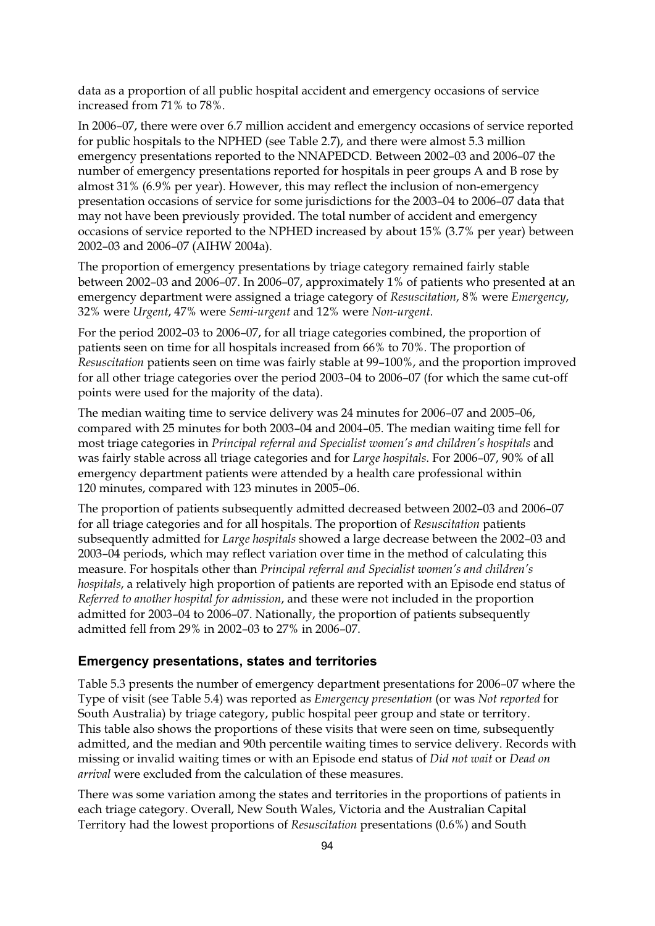data as a proportion of all public hospital accident and emergency occasions of service increased from 71% to 78%.

In 2006–07, there were over 6.7 million accident and emergency occasions of service reported for public hospitals to the NPHED (see Table 2.7), and there were almost 5.3 million emergency presentations reported to the NNAPEDCD. Between 2002–03 and 2006–07 the number of emergency presentations reported for hospitals in peer groups A and B rose by almost 31% (6.9% per year). However, this may reflect the inclusion of non-emergency presentation occasions of service for some jurisdictions for the 2003–04 to 2006–07 data that may not have been previously provided. The total number of accident and emergency occasions of service reported to the NPHED increased by about 15% (3.7% per year) between 2002–03 and 2006–07 (AIHW 2004a).

The proportion of emergency presentations by triage category remained fairly stable between 2002–03 and 2006–07. In 2006–07, approximately 1% of patients who presented at an emergency department were assigned a triage category of *Resuscitation*, 8% were *Emergency*, 32% were *Urgent*, 47% were *Semi-urgent* and 12% were *Non-urgent*.

For the period 2002–03 to 2006–07, for all triage categories combined, the proportion of patients seen on time for all hospitals increased from 66% to 70%. The proportion of *Resuscitation* patients seen on time was fairly stable at 99–100%, and the proportion improved for all other triage categories over the period 2003–04 to 2006–07 (for which the same cut-off points were used for the majority of the data).

The median waiting time to service delivery was 24 minutes for 2006–07 and 2005–06, compared with 25 minutes for both 2003–04 and 2004–05. The median waiting time fell for most triage categories in *Principal referral and Specialist women's and children's hospitals* and was fairly stable across all triage categories and for *Large hospitals*. For 2006–07, 90% of all emergency department patients were attended by a health care professional within 120 minutes, compared with 123 minutes in 2005–06.

The proportion of patients subsequently admitted decreased between 2002–03 and 2006–07 for all triage categories and for all hospitals. The proportion of *Resuscitation* patients subsequently admitted for *Large hospitals* showed a large decrease between the 2002–03 and 2003–04 periods, which may reflect variation over time in the method of calculating this measure. For hospitals other than *Principal referral and Specialist women's and children's hospitals*, a relatively high proportion of patients are reported with an Episode end status of *Referred to another hospital for admission*, and these were not included in the proportion admitted for 2003–04 to 2006–07. Nationally, the proportion of patients subsequently admitted fell from 29% in 2002–03 to 27% in 2006–07.

#### **Emergency presentations, states and territories**

Table 5.3 presents the number of emergency department presentations for 2006–07 where the Type of visit (see Table 5.4) was reported as *Emergency presentation* (or was *Not reported* for South Australia) by triage category, public hospital peer group and state or territory. This table also shows the proportions of these visits that were seen on time, subsequently admitted, and the median and 90th percentile waiting times to service delivery. Records with missing or invalid waiting times or with an Episode end status of *Did not wait* or *Dead on arrival* were excluded from the calculation of these measures.

There was some variation among the states and territories in the proportions of patients in each triage category. Overall, New South Wales, Victoria and the Australian Capital Territory had the lowest proportions of *Resuscitation* presentations (0.6%) and South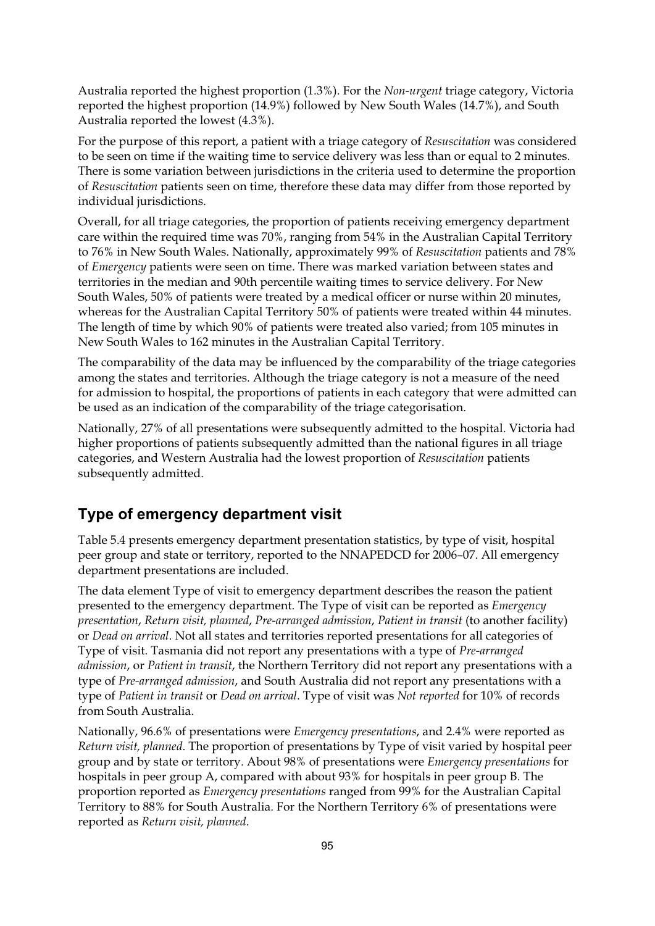Australia reported the highest proportion (1.3%). For the *Non-urgent* triage category, Victoria reported the highest proportion (14.9%) followed by New South Wales (14.7%), and South Australia reported the lowest (4.3%).

For the purpose of this report, a patient with a triage category of *Resuscitation* was considered to be seen on time if the waiting time to service delivery was less than or equal to 2 minutes. There is some variation between jurisdictions in the criteria used to determine the proportion of *Resuscitation* patients seen on time, therefore these data may differ from those reported by individual jurisdictions.

Overall, for all triage categories, the proportion of patients receiving emergency department care within the required time was 70%, ranging from 54% in the Australian Capital Territory to 76% in New South Wales. Nationally, approximately 99% of *Resuscitation* patients and 78% of *Emergency* patients were seen on time. There was marked variation between states and territories in the median and 90th percentile waiting times to service delivery. For New South Wales, 50% of patients were treated by a medical officer or nurse within 20 minutes, whereas for the Australian Capital Territory 50% of patients were treated within 44 minutes. The length of time by which 90% of patients were treated also varied; from 105 minutes in New South Wales to 162 minutes in the Australian Capital Territory.

The comparability of the data may be influenced by the comparability of the triage categories among the states and territories. Although the triage category is not a measure of the need for admission to hospital, the proportions of patients in each category that were admitted can be used as an indication of the comparability of the triage categorisation.

Nationally, 27% of all presentations were subsequently admitted to the hospital. Victoria had higher proportions of patients subsequently admitted than the national figures in all triage categories, and Western Australia had the lowest proportion of *Resuscitation* patients subsequently admitted.

## **Type of emergency department visit**

Table 5.4 presents emergency department presentation statistics, by type of visit, hospital peer group and state or territory, reported to the NNAPEDCD for 2006–07. All emergency department presentations are included.

The data element Type of visit to emergency department describes the reason the patient presented to the emergency department. The Type of visit can be reported as *Emergency presentation*, *Return visit, planned*, *Pre-arranged admission*, *Patient in transit* (to another facility) or *Dead on arrival*. Not all states and territories reported presentations for all categories of Type of visit. Tasmania did not report any presentations with a type of *Pre-arranged admission*, or *Patient in transit*, the Northern Territory did not report any presentations with a type of *Pre-arranged admission*, and South Australia did not report any presentations with a type of *Patient in transit* or *Dead on arrival*. Type of visit was *Not reported* for 10% of records from South Australia.

Nationally, 96.6% of presentations were *Emergency presentations*, and 2.4% were reported as *Return visit, planned*. The proportion of presentations by Type of visit varied by hospital peer group and by state or territory. About 98% of presentations were *Emergency presentations* for hospitals in peer group A, compared with about 93% for hospitals in peer group B. The proportion reported as *Emergency presentations* ranged from 99% for the Australian Capital Territory to 88% for South Australia. For the Northern Territory 6% of presentations were reported as *Return visit, planned*.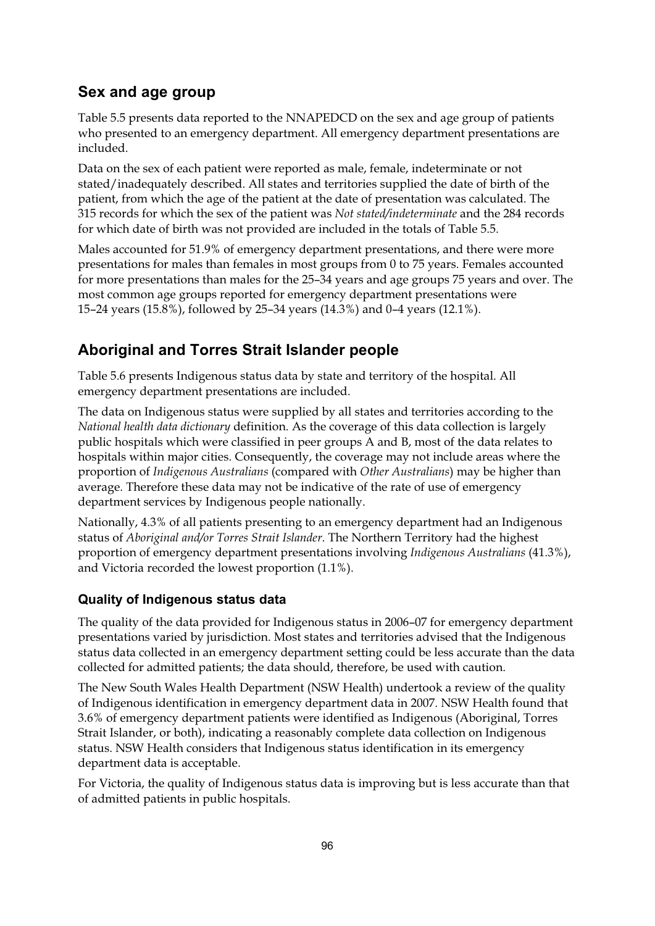## **Sex and age group**

Table 5.5 presents data reported to the NNAPEDCD on the sex and age group of patients who presented to an emergency department. All emergency department presentations are included.

Data on the sex of each patient were reported as male, female, indeterminate or not stated/inadequately described. All states and territories supplied the date of birth of the patient, from which the age of the patient at the date of presentation was calculated. The 315 records for which the sex of the patient was *Not stated/indeterminate* and the 284 records for which date of birth was not provided are included in the totals of Table 5.5.

Males accounted for 51.9% of emergency department presentations, and there were more presentations for males than females in most groups from 0 to 75 years. Females accounted for more presentations than males for the 25–34 years and age groups 75 years and over. The most common age groups reported for emergency department presentations were 15–24 years (15.8%), followed by 25–34 years (14.3%) and 0–4 years (12.1%).

# **Aboriginal and Torres Strait Islander people**

Table 5.6 presents Indigenous status data by state and territory of the hospital. All emergency department presentations are included.

The data on Indigenous status were supplied by all states and territories according to the *National health data dictionary* definition. As the coverage of this data collection is largely public hospitals which were classified in peer groups A and B, most of the data relates to hospitals within major cities. Consequently, the coverage may not include areas where the proportion of *Indigenous Australians* (compared with *Other Australians*) may be higher than average. Therefore these data may not be indicative of the rate of use of emergency department services by Indigenous people nationally.

Nationally, 4.3% of all patients presenting to an emergency department had an Indigenous status of *Aboriginal and/or Torres Strait Islander*. The Northern Territory had the highest proportion of emergency department presentations involving *Indigenous Australians* (41.3%), and Victoria recorded the lowest proportion (1.1%).

#### **Quality of Indigenous status data**

The quality of the data provided for Indigenous status in 2006–07 for emergency department presentations varied by jurisdiction. Most states and territories advised that the Indigenous status data collected in an emergency department setting could be less accurate than the data collected for admitted patients; the data should, therefore, be used with caution.

The New South Wales Health Department (NSW Health) undertook a review of the quality of Indigenous identification in emergency department data in 2007. NSW Health found that 3.6% of emergency department patients were identified as Indigenous (Aboriginal, Torres Strait Islander, or both), indicating a reasonably complete data collection on Indigenous status. NSW Health considers that Indigenous status identification in its emergency department data is acceptable.

For Victoria, the quality of Indigenous status data is improving but is less accurate than that of admitted patients in public hospitals.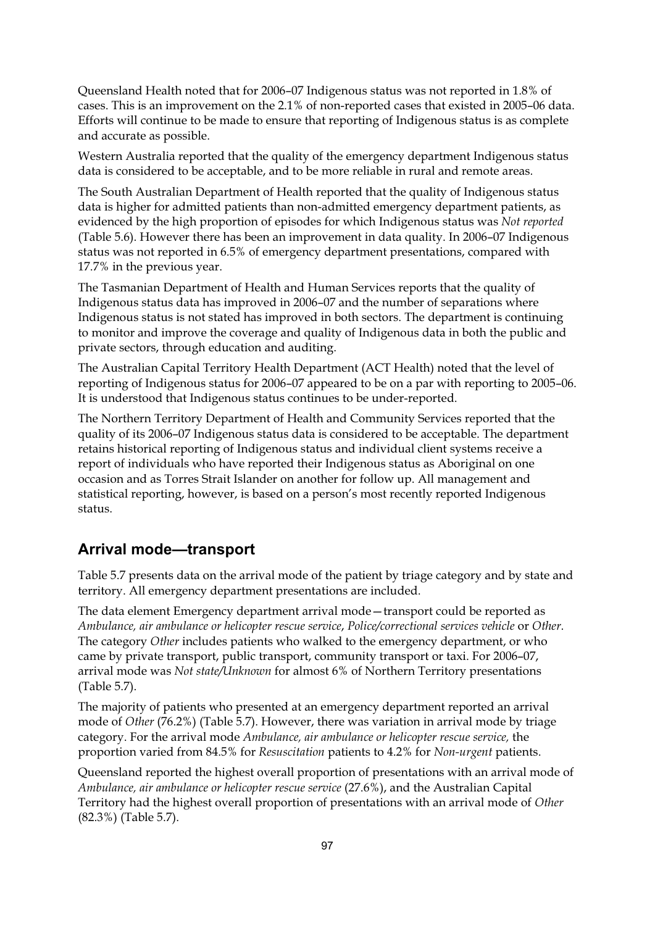Queensland Health noted that for 2006–07 Indigenous status was not reported in 1.8% of cases. This is an improvement on the 2.1% of non-reported cases that existed in 2005–06 data. Efforts will continue to be made to ensure that reporting of Indigenous status is as complete and accurate as possible.

Western Australia reported that the quality of the emergency department Indigenous status data is considered to be acceptable, and to be more reliable in rural and remote areas.

The South Australian Department of Health reported that the quality of Indigenous status data is higher for admitted patients than non-admitted emergency department patients, as evidenced by the high proportion of episodes for which Indigenous status was *Not reported* (Table 5.6). However there has been an improvement in data quality. In 2006–07 Indigenous status was not reported in 6.5% of emergency department presentations, compared with 17.7% in the previous year.

The Tasmanian Department of Health and Human Services reports that the quality of Indigenous status data has improved in 2006–07 and the number of separations where Indigenous status is not stated has improved in both sectors. The department is continuing to monitor and improve the coverage and quality of Indigenous data in both the public and private sectors, through education and auditing.

The Australian Capital Territory Health Department (ACT Health) noted that the level of reporting of Indigenous status for 2006–07 appeared to be on a par with reporting to 2005–06. It is understood that Indigenous status continues to be under-reported.

The Northern Territory Department of Health and Community Services reported that the quality of its 2006–07 Indigenous status data is considered to be acceptable. The department retains historical reporting of Indigenous status and individual client systems receive a report of individuals who have reported their Indigenous status as Aboriginal on one occasion and as Torres Strait Islander on another for follow up. All management and statistical reporting, however, is based on a person's most recently reported Indigenous status.

#### **Arrival mode—transport**

Table 5.7 presents data on the arrival mode of the patient by triage category and by state and territory. All emergency department presentations are included.

The data element Emergency department arrival mode—transport could be reported as *Ambulance, air ambulance or helicopter rescue service*, *Police/correctional services vehicle* or *Other*. The category *Other* includes patients who walked to the emergency department, or who came by private transport, public transport, community transport or taxi. For 2006–07, arrival mode was *Not state/Unknown* for almost 6% of Northern Territory presentations (Table 5.7).

The majority of patients who presented at an emergency department reported an arrival mode of *Other* (76.2%) (Table 5.7). However, there was variation in arrival mode by triage category. For the arrival mode *Ambulance, air ambulance or helicopter rescue service,* the proportion varied from 84.5% for *Resuscitation* patients to 4.2% for *Non-urgent* patients.

Queensland reported the highest overall proportion of presentations with an arrival mode of *Ambulance, air ambulance or helicopter rescue service* (27.6%), and the Australian Capital Territory had the highest overall proportion of presentations with an arrival mode of *Other* (82.3%) (Table 5.7).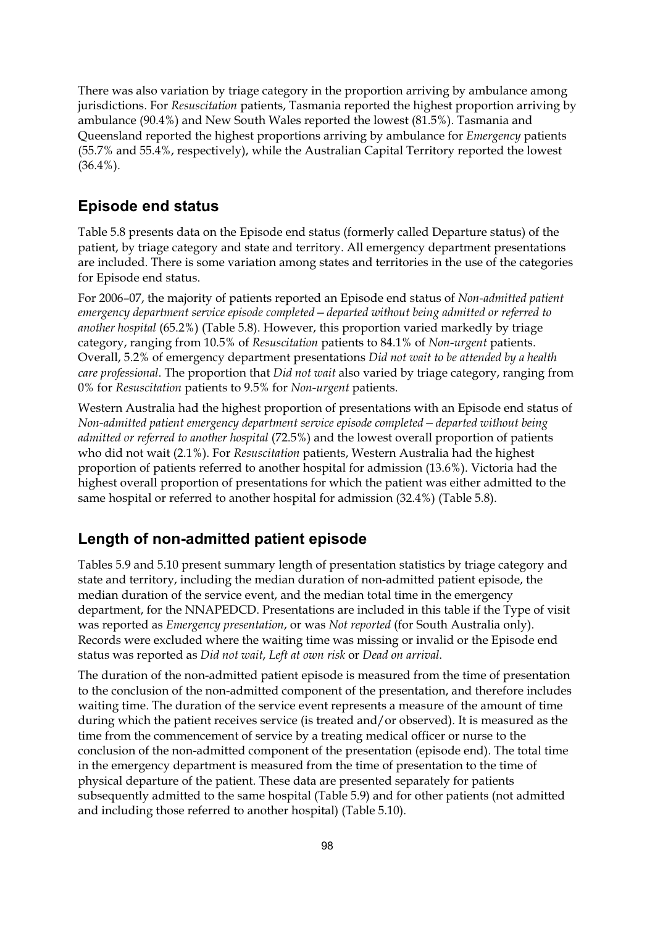There was also variation by triage category in the proportion arriving by ambulance among jurisdictions. For *Resuscitation* patients, Tasmania reported the highest proportion arriving by ambulance (90.4%) and New South Wales reported the lowest (81.5%). Tasmania and Queensland reported the highest proportions arriving by ambulance for *Emergency* patients (55.7% and 55.4%, respectively), while the Australian Capital Territory reported the lowest  $(36.4\%)$ .

#### **Episode end status**

Table 5.8 presents data on the Episode end status (formerly called Departure status) of the patient, by triage category and state and territory. All emergency department presentations are included. There is some variation among states and territories in the use of the categories for Episode end status.

For 2006–07, the majority of patients reported an Episode end status of *Non-admitted patient emergency department service episode completed—departed without being admitted or referred to another hospital* (65.2%) (Table 5.8). However, this proportion varied markedly by triage category, ranging from 10.5% of *Resuscitation* patients to 84.1% of *Non-urgent* patients. Overall, 5.2% of emergency department presentations *Did not wait to be attended by a health care professional*. The proportion that *Did not wait* also varied by triage category, ranging from 0% for *Resuscitation* patients to 9.5% for *Non-urgent* patients.

Western Australia had the highest proportion of presentations with an Episode end status of *Non-admitted patient emergency department service episode completed—departed without being admitted or referred to another hospital* (72.5%) and the lowest overall proportion of patients who did not wait (2.1%). For *Resuscitation* patients, Western Australia had the highest proportion of patients referred to another hospital for admission (13.6%). Victoria had the highest overall proportion of presentations for which the patient was either admitted to the same hospital or referred to another hospital for admission (32.4%) (Table 5.8).

## **Length of non-admitted patient episode**

Tables 5.9 and 5.10 present summary length of presentation statistics by triage category and state and territory, including the median duration of non-admitted patient episode, the median duration of the service event, and the median total time in the emergency department, for the NNAPEDCD. Presentations are included in this table if the Type of visit was reported as *Emergency presentation*, or was *Not reported* (for South Australia only). Records were excluded where the waiting time was missing or invalid or the Episode end status was reported as *Did not wait*, *Left at own risk* or *Dead on arrival*.

The duration of the non-admitted patient episode is measured from the time of presentation to the conclusion of the non-admitted component of the presentation, and therefore includes waiting time. The duration of the service event represents a measure of the amount of time during which the patient receives service (is treated and/or observed). It is measured as the time from the commencement of service by a treating medical officer or nurse to the conclusion of the non-admitted component of the presentation (episode end). The total time in the emergency department is measured from the time of presentation to the time of physical departure of the patient. These data are presented separately for patients subsequently admitted to the same hospital (Table 5.9) and for other patients (not admitted and including those referred to another hospital) (Table 5.10).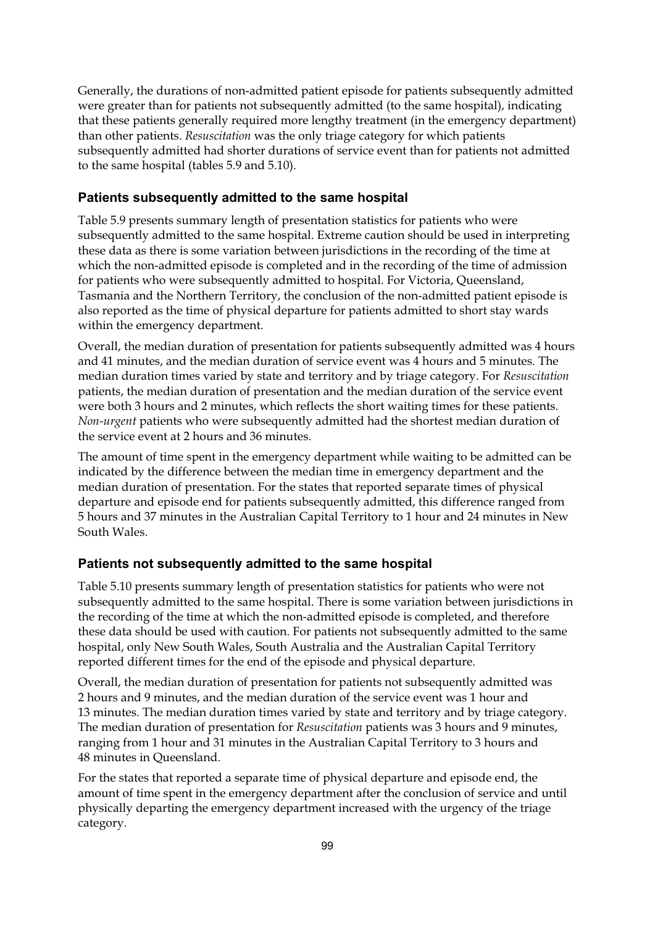Generally, the durations of non-admitted patient episode for patients subsequently admitted were greater than for patients not subsequently admitted (to the same hospital), indicating that these patients generally required more lengthy treatment (in the emergency department) than other patients. *Resuscitation* was the only triage category for which patients subsequently admitted had shorter durations of service event than for patients not admitted to the same hospital (tables 5.9 and 5.10).

#### **Patients subsequently admitted to the same hospital**

Table 5.9 presents summary length of presentation statistics for patients who were subsequently admitted to the same hospital. Extreme caution should be used in interpreting these data as there is some variation between jurisdictions in the recording of the time at which the non-admitted episode is completed and in the recording of the time of admission for patients who were subsequently admitted to hospital. For Victoria, Queensland, Tasmania and the Northern Territory, the conclusion of the non-admitted patient episode is also reported as the time of physical departure for patients admitted to short stay wards within the emergency department.

Overall, the median duration of presentation for patients subsequently admitted was 4 hours and 41 minutes, and the median duration of service event was 4 hours and 5 minutes. The median duration times varied by state and territory and by triage category. For *Resuscitation* patients, the median duration of presentation and the median duration of the service event were both 3 hours and 2 minutes, which reflects the short waiting times for these patients. *Non-urgent* patients who were subsequently admitted had the shortest median duration of the service event at 2 hours and 36 minutes.

The amount of time spent in the emergency department while waiting to be admitted can be indicated by the difference between the median time in emergency department and the median duration of presentation. For the states that reported separate times of physical departure and episode end for patients subsequently admitted, this difference ranged from 5 hours and 37 minutes in the Australian Capital Territory to 1 hour and 24 minutes in New South Wales.

#### **Patients not subsequently admitted to the same hospital**

Table 5.10 presents summary length of presentation statistics for patients who were not subsequently admitted to the same hospital. There is some variation between jurisdictions in the recording of the time at which the non-admitted episode is completed, and therefore these data should be used with caution. For patients not subsequently admitted to the same hospital, only New South Wales, South Australia and the Australian Capital Territory reported different times for the end of the episode and physical departure.

Overall, the median duration of presentation for patients not subsequently admitted was 2 hours and 9 minutes, and the median duration of the service event was 1 hour and 13 minutes. The median duration times varied by state and territory and by triage category. The median duration of presentation for *Resuscitation* patients was 3 hours and 9 minutes, ranging from 1 hour and 31 minutes in the Australian Capital Territory to 3 hours and 48 minutes in Queensland.

For the states that reported a separate time of physical departure and episode end, the amount of time spent in the emergency department after the conclusion of service and until physically departing the emergency department increased with the urgency of the triage category.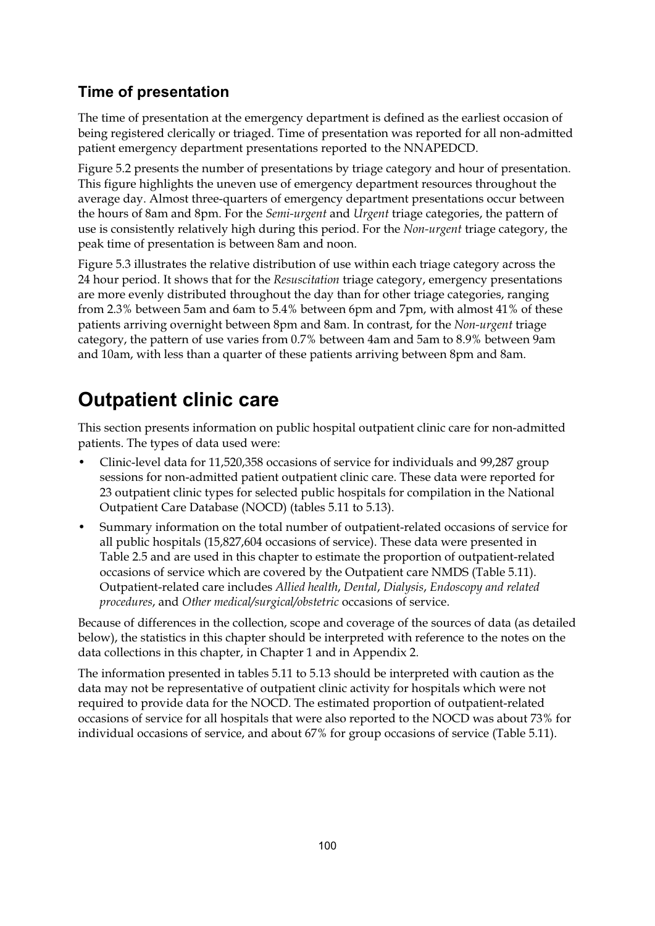# **Time of presentation**

The time of presentation at the emergency department is defined as the earliest occasion of being registered clerically or triaged. Time of presentation was reported for all non-admitted patient emergency department presentations reported to the NNAPEDCD.

Figure 5.2 presents the number of presentations by triage category and hour of presentation. This figure highlights the uneven use of emergency department resources throughout the average day. Almost three-quarters of emergency department presentations occur between the hours of 8am and 8pm. For the *Semi-urgent* and *Urgent* triage categories, the pattern of use is consistently relatively high during this period. For the *Non-urgent* triage category, the peak time of presentation is between 8am and noon.

Figure 5.3 illustrates the relative distribution of use within each triage category across the 24 hour period. It shows that for the *Resuscitation* triage category, emergency presentations are more evenly distributed throughout the day than for other triage categories, ranging from 2.3% between 5am and 6am to 5.4% between 6pm and 7pm, with almost 41% of these patients arriving overnight between 8pm and 8am. In contrast, for the *Non-urgent* triage category, the pattern of use varies from 0.7% between 4am and 5am to 8.9% between 9am and 10am, with less than a quarter of these patients arriving between 8pm and 8am.

# **Outpatient clinic care**

This section presents information on public hospital outpatient clinic care for non-admitted patients. The types of data used were:

- Clinic-level data for 11,520,358 occasions of service for individuals and 99,287 group sessions for non-admitted patient outpatient clinic care. These data were reported for 23 outpatient clinic types for selected public hospitals for compilation in the National Outpatient Care Database (NOCD) (tables 5.11 to 5.13).
- Summary information on the total number of outpatient-related occasions of service for all public hospitals (15,827,604 occasions of service). These data were presented in Table 2.5 and are used in this chapter to estimate the proportion of outpatient-related occasions of service which are covered by the Outpatient care NMDS (Table 5.11). Outpatient-related care includes *Allied health*, *Dental*, *Dialysis*, *Endoscopy and related procedures*, and *Other medical/surgical/obstetric* occasions of service.

Because of differences in the collection, scope and coverage of the sources of data (as detailed below), the statistics in this chapter should be interpreted with reference to the notes on the data collections in this chapter, in Chapter 1 and in Appendix 2.

The information presented in tables 5.11 to 5.13 should be interpreted with caution as the data may not be representative of outpatient clinic activity for hospitals which were not required to provide data for the NOCD. The estimated proportion of outpatient-related occasions of service for all hospitals that were also reported to the NOCD was about 73% for individual occasions of service, and about 67% for group occasions of service (Table 5.11).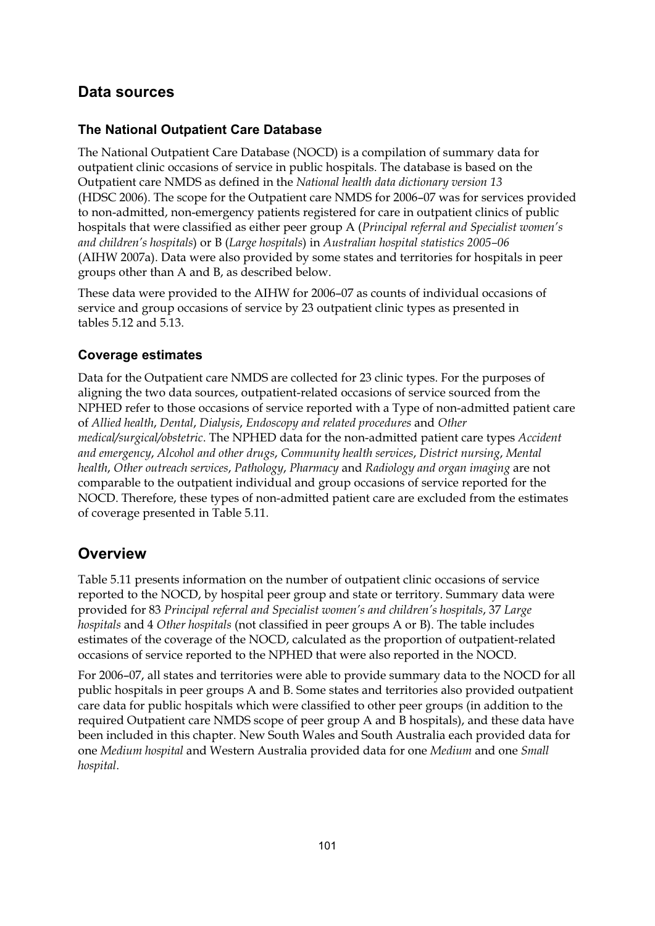# **Data sources**

#### **The National Outpatient Care Database**

The National Outpatient Care Database (NOCD) is a compilation of summary data for outpatient clinic occasions of service in public hospitals. The database is based on the Outpatient care NMDS as defined in the *National health data dictionary version 13* (HDSC 2006). The scope for the Outpatient care NMDS for 2006–07 was for services provided to non-admitted, non-emergency patients registered for care in outpatient clinics of public hospitals that were classified as either peer group A (*Principal referral and Specialist women's and children's hospitals*) or B (*Large hospitals*) in *Australian hospital statistics 2005–06* (AIHW 2007a). Data were also provided by some states and territories for hospitals in peer groups other than A and B, as described below.

These data were provided to the AIHW for 2006–07 as counts of individual occasions of service and group occasions of service by 23 outpatient clinic types as presented in tables 5.12 and 5.13.

#### **Coverage estimates**

Data for the Outpatient care NMDS are collected for 23 clinic types. For the purposes of aligning the two data sources, outpatient-related occasions of service sourced from the NPHED refer to those occasions of service reported with a Type of non-admitted patient care of *Allied health*, *Dental*, *Dialysis*, *Endoscopy and related procedures* and *Other medical/surgical/obstetric*. The NPHED data for the non-admitted patient care types *Accident and emergency*, *Alcohol and other drugs*, *Community health services*, *District nursing*, *Mental health*, *Other outreach services*, *Pathology*, *Pharmacy* and *Radiology and organ imaging* are not comparable to the outpatient individual and group occasions of service reported for the NOCD. Therefore, these types of non-admitted patient care are excluded from the estimates of coverage presented in Table 5.11.

## **Overview**

Table 5.11 presents information on the number of outpatient clinic occasions of service reported to the NOCD, by hospital peer group and state or territory. Summary data were provided for 83 *Principal referral and Specialist women's and children's hospitals*, 37 *Large hospitals* and 4 *Other hospitals* (not classified in peer groups A or B). The table includes estimates of the coverage of the NOCD, calculated as the proportion of outpatient-related occasions of service reported to the NPHED that were also reported in the NOCD.

For 2006–07, all states and territories were able to provide summary data to the NOCD for all public hospitals in peer groups A and B. Some states and territories also provided outpatient care data for public hospitals which were classified to other peer groups (in addition to the required Outpatient care NMDS scope of peer group A and B hospitals), and these data have been included in this chapter. New South Wales and South Australia each provided data for one *Medium hospital* and Western Australia provided data for one *Medium* and one *Small hospital*.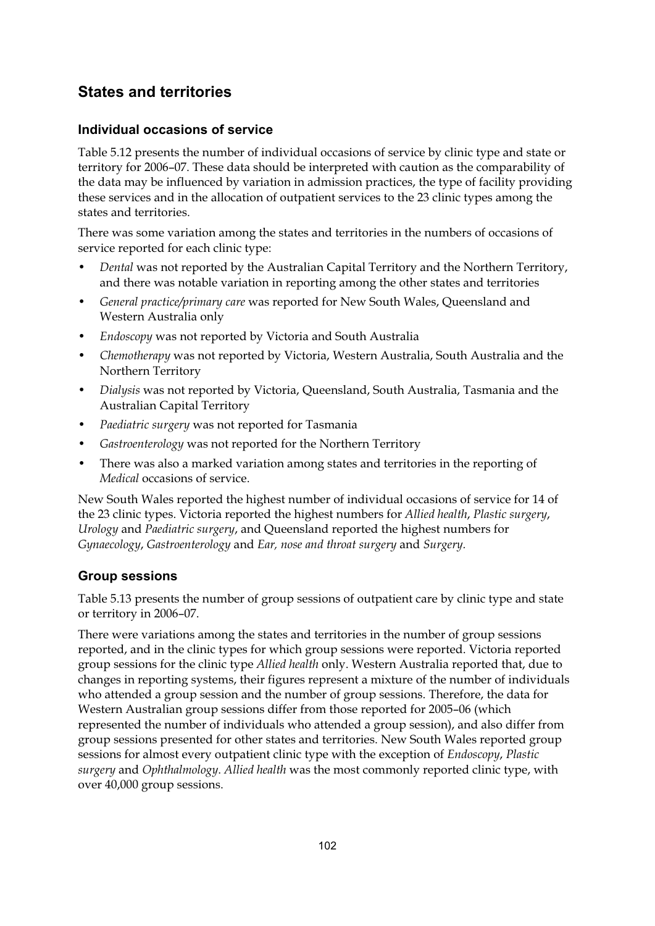# **States and territories**

#### **Individual occasions of service**

Table 5.12 presents the number of individual occasions of service by clinic type and state or territory for 2006–07. These data should be interpreted with caution as the comparability of the data may be influenced by variation in admission practices, the type of facility providing these services and in the allocation of outpatient services to the 23 clinic types among the states and territories.

There was some variation among the states and territories in the numbers of occasions of service reported for each clinic type:

- *Dental* was not reported by the Australian Capital Territory and the Northern Territory, and there was notable variation in reporting among the other states and territories
- *General practice/primary care* was reported for New South Wales, Queensland and Western Australia only
- *Endoscopy* was not reported by Victoria and South Australia
- *Chemotherapy* was not reported by Victoria, Western Australia, South Australia and the Northern Territory
- *Dialysis* was not reported by Victoria, Queensland, South Australia, Tasmania and the Australian Capital Territory
- *Paediatric surgery* was not reported for Tasmania
- *Gastroenterology* was not reported for the Northern Territory
- There was also a marked variation among states and territories in the reporting of *Medical* occasions of service.

New South Wales reported the highest number of individual occasions of service for 14 of the 23 clinic types. Victoria reported the highest numbers for *Allied health*, *Plastic surgery*, *Urology* and *Paediatric surgery*, and Queensland reported the highest numbers for *Gynaecology*, *Gastroenterology* and *Ear, nose and throat surgery* and *Surgery.*

#### **Group sessions**

Table 5.13 presents the number of group sessions of outpatient care by clinic type and state or territory in 2006–07.

There were variations among the states and territories in the number of group sessions reported, and in the clinic types for which group sessions were reported. Victoria reported group sessions for the clinic type *Allied health* only. Western Australia reported that, due to changes in reporting systems, their figures represent a mixture of the number of individuals who attended a group session and the number of group sessions. Therefore, the data for Western Australian group sessions differ from those reported for 2005–06 (which represented the number of individuals who attended a group session), and also differ from group sessions presented for other states and territories. New South Wales reported group sessions for almost every outpatient clinic type with the exception of *Endoscopy*, *Plastic surgery* and *Ophthalmology*. *Allied health* was the most commonly reported clinic type, with over 40,000 group sessions.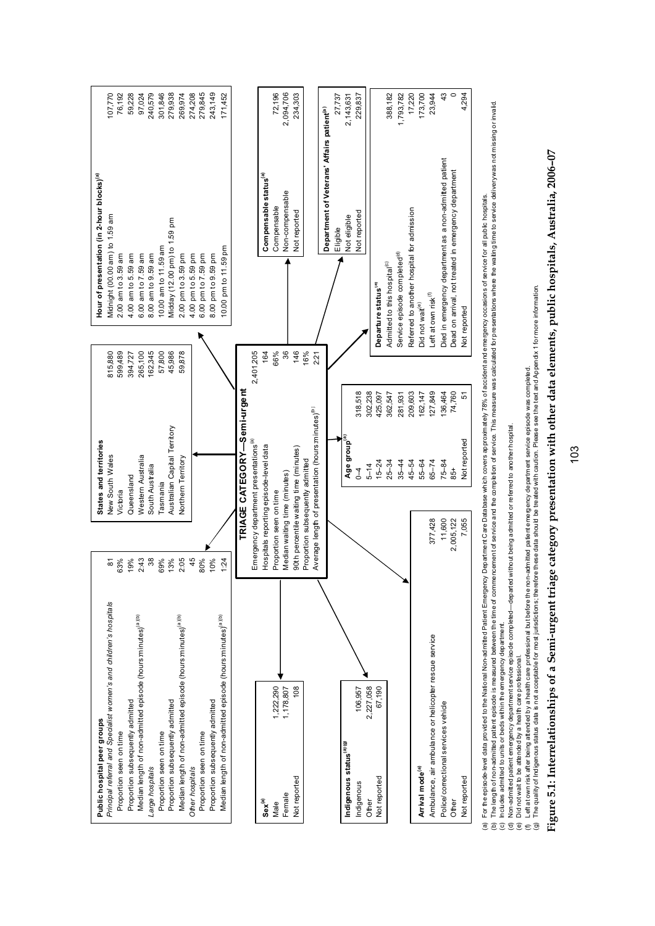

For the episode-level data provided to the National Non-admited Patient Emergency Department Care Database which covers approximately 78% of accident and emergency occasions of service for all public hospitals. (a) For the episode-level data provided to the National Non-admitted Patient Emergency Department Care Database which covers approximately 78% of accident and emergency occasions of service for all public hospitals.  $\widehat{\mathfrak{G}}$ 

(b) The length of non-admitted patient episode is measured between the time of commencement of service and the completion of service. This measure was calculated for pre sentations where the waling time to service service (b) The length of non-admitted patient episode is measured between the time of commencement of service and the completion of service. This measure was calculated for presentations where the wating time to service delivery (c) Includes admitted to units or beds within the emergency department.

(d) Non-admitted patient emergency department service episode completed—departed without being admitted or referred to another hospital.

(e) Did not wait to be attended by a health care professional.

(f) Left at own risk after being attended by a health care professional but before the non-admitted patient emergency department service episode was completed. (g) The quality of Indigenous status data is not acceptable for most jurisdictions; therefore these data should be treated with caution. Please see the text and Appendix 1 for more information.

# Figure 5.1: Interrelationships of a Semi-urgent triage category presentation with other data elements, public hospitals, Australia, 2006-07 **Figure 5.1: Interrelationships of a Semi-urgent triage category presentation with other data elements, public hospitals, Australia, 2006–07**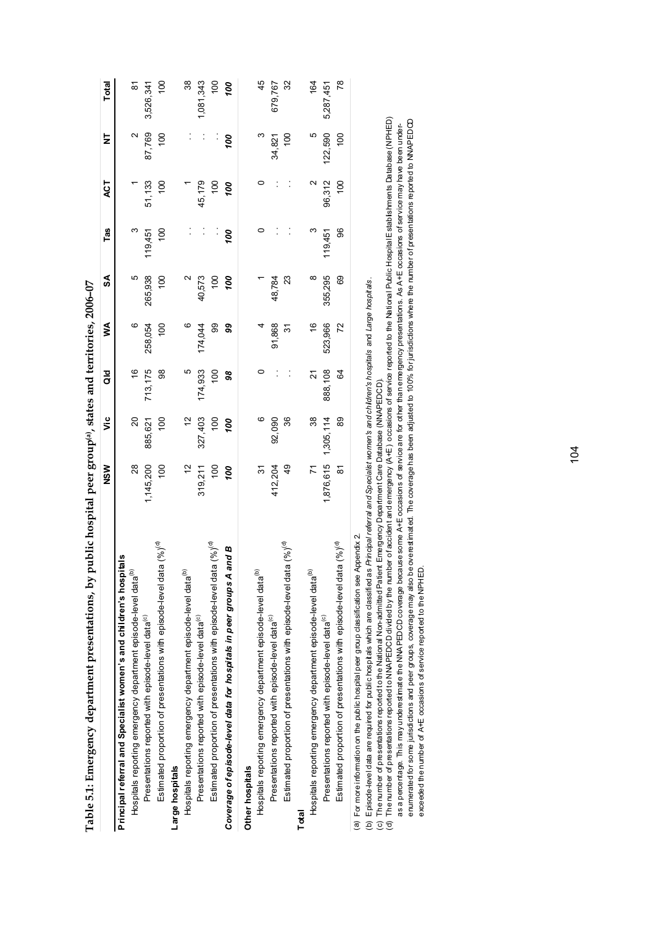|                                                                                              | NSW                                  | ۊ                   | ¤a             | ≸             | S               | Tas             | ACT             | ₹       | Total          |
|----------------------------------------------------------------------------------------------|--------------------------------------|---------------------|----------------|---------------|-----------------|-----------------|-----------------|---------|----------------|
| Principal referral and Specialist women's and children's hospitals                           |                                      |                     |                |               |                 |                 |                 |         |                |
| Hospitals reporting emergency department episode-level data <sup>ue</sup>                    | $\overline{28}$                      | $\approx$           | $\frac{6}{1}$  | $\circ$       | Ю               |                 |                 |         | $\overline{8}$ |
| Presentations reported with episode-level data <sup>(c)</sup>                                | 1,145,200                            | 885,621             | 713, 175       | 258,054       | 265,938         | 119,451         | 51,133          | 87,769  | 3,526,341      |
| Estimated proportion of presentations with episode-level data $( \% )^{(d)}$                 | 100                                  | 100                 | 88             | 100           | 100             | $\frac{100}{2}$ | 100             | $^{00}$ | 100            |
| Large hospitals                                                                              |                                      |                     |                |               |                 |                 |                 |         |                |
| Hospitals reporting emergency department episode-level data <sup>(b</sup>                    | $\frac{1}{2}$                        | $\tilde{c}$         | Ю              |               |                 |                 |                 |         | 38             |
| Presentations reported with episode-level data <sup>(c)</sup>                                | 319,211                              | 327,403             | 174,933        | 174,044       | 40,573          |                 | 45,179          |         | 1,081,343      |
| Estimated proportion of presentations with episode-level data $( \% )^{(0)}$                 | $\frac{100}{2}$                      | $\overline{5}$      | $\frac{00}{2}$ | 99            | $\frac{100}{2}$ |                 | $\frac{100}{2}$ |         | 00             |
| and B<br>Coverage of episode-level data for hospitals in peer groups A                       | ρο                                   | 00                  | 98             | 99            | ğά              | gά              | oo              | 00      | 00             |
| Other hospitals                                                                              |                                      |                     |                |               |                 |                 |                 |         |                |
| Hospitals reporting emergency department episode-level data <sup>te,</sup>                   | $\overline{\widetilde{\varepsilon}}$ |                     |                |               |                 |                 | 0               |         | 45             |
| Presentations reported with episode-level data <sup>(c)</sup>                                | 412,204                              | 92,090              |                | 91,868        | 48,784          |                 |                 | 34,821  | 679,767        |
| Estimated proportion of presentations with episode-level data (%) <sup>(d)</sup>             | $\frac{6}{4}$                        | 36                  |                | <u>ভ</u>      | 23              |                 |                 | 100     | $\overline{3}$ |
| Total                                                                                        |                                      |                     |                |               |                 |                 |                 |         |                |
| Hospitals reporting emergency department episode-level data <sup>te,</sup>                   | $\overline{z}$                       | 38                  | 21             | $\frac{6}{5}$ | ∞               |                 | N               |         | 164            |
| Presentations reported with episode-level data <sup>(c)</sup>                                |                                      | 1,876,615 1,305,114 | 888,108        | 523,966       | 355,295         | 119,451         | 96,312          | 122,590 | 5,287,451      |
| Estimated proportion of presentations with episode-level data (%) <sup>(d)</sup>             | δ                                    | 89                  | 64             | 72            | 69              | 96              | $^{00}$         | $^{00}$ | 78             |
| Appendix 2.<br>(a) For more information on the public hospital peer group classification see |                                      |                     |                |               |                 |                 |                 |         |                |

Table 5.1: Emergency department presentations, by public hospital peer group<sup>(a)</sup>, states and territories, 2006-07 **Table 5.1: Emergency department presentations, by public hospital peer group(a), states and territories, 2006–07** (b) Episode-level data are required for public hospitals which are classified as *Principal referral and Specialist women's and children's hospitals* and *Large hospitals* .

(c) The number of presentations reported to the National Non-admitted Patient Emergency Department Care Database (NNAPEDCD).

(b) Episode-level data are required for public hospitals which are classified as *Principal referral and Specialst women's and children's hospitals* and *Large hospi*tals.<br>(c) The number of presentations reported to the Na (d) The number of presentations reported to NNAPEDCD divided by the number of accident and emergency (A+E) occasions of service reported to the National Public Hospital Establishments Database (NPHED)

as a percentage. This mayunderestimate the NW⊧PEDCD coverage because some A+E occasions of serions of semicanc<br>enumerated for some jurisdictions and peer groups, coverage may also be overestimated. The coverage has been a enumerated for some jurisdictions and peer groups, coverage may also be overestimated. The coverage has been adjusted to 100% for jurisdictions where the number of presentations reported to NNAPEDCD as a percentage. This may underest mate the NNAPEDCD coverage because some A+E occasions of service are for the than emergency presentations. As A+E occasions of service may have been underexceeded the number of A+E occasions of service reported to the NPHED. exceeded the number of A+E occasions of service reported to the NPHED.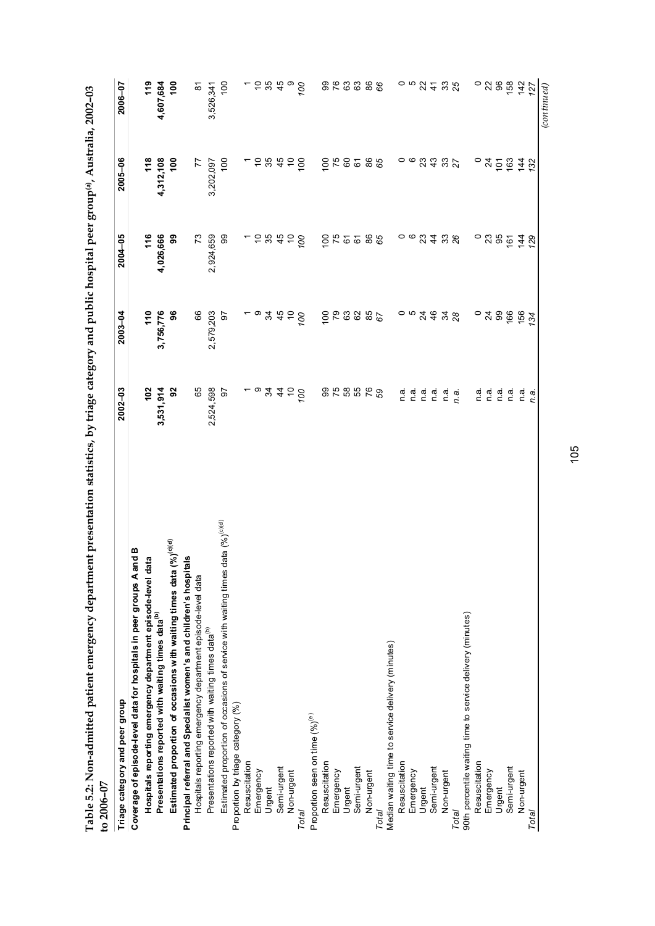| no on .<br>$\sim$ $ \sim$ $ \sim$ $ \sim$ $-$                                                   |   |
|-------------------------------------------------------------------------------------------------|---|
| $\frac{1}{2}$                                                                                   |   |
|                                                                                                 |   |
|                                                                                                 |   |
|                                                                                                 |   |
|                                                                                                 |   |
|                                                                                                 |   |
|                                                                                                 |   |
|                                                                                                 |   |
|                                                                                                 |   |
|                                                                                                 |   |
| ı                                                                                               |   |
|                                                                                                 |   |
|                                                                                                 |   |
|                                                                                                 |   |
|                                                                                                 |   |
|                                                                                                 |   |
|                                                                                                 |   |
| example to resemination statistics, by triage category and public hospital peer group $P$ , $P$ |   |
|                                                                                                 |   |
|                                                                                                 |   |
|                                                                                                 |   |
|                                                                                                 |   |
|                                                                                                 |   |
|                                                                                                 |   |
| Í                                                                                               |   |
| しんこく こうく                                                                                        |   |
|                                                                                                 |   |
|                                                                                                 |   |
|                                                                                                 |   |
|                                                                                                 |   |
|                                                                                                 |   |
|                                                                                                 |   |
|                                                                                                 |   |
|                                                                                                 |   |
|                                                                                                 |   |
| $\frac{1}{2}$                                                                                   |   |
|                                                                                                 | i |
|                                                                                                 |   |

| יט בטטש−ט                                                                              |                                                                                                                             |               |                 |                               |                    |
|----------------------------------------------------------------------------------------|-----------------------------------------------------------------------------------------------------------------------------|---------------|-----------------|-------------------------------|--------------------|
| Triage category and peer group                                                         | $2002 - 03$                                                                                                                 | $2003 - 04$   | 2004-05         | 2005-06                       | 2006-07            |
| Coverage of episode-level data for hospitals in peer groups A and B                    |                                                                                                                             |               |                 |                               |                    |
| Hospitals reporting emergency department episode-level data                            | 102                                                                                                                         | 110           | 116             | 118                           | 119                |
| Presentations reported with waiting times data <sup>(b)</sup>                          | 3,531,914                                                                                                                   | 3,756,776     | 4,026,666       | 4,312,108                     | 4,607,684          |
| Estimated proportion of occasions with waiting times data $(\%)^{(o 0)}$               | 92                                                                                                                          | 96            | 99              | $\frac{8}{1}$                 | $\frac{8}{1}$      |
| Principal referral and Specialist women's and children's hospitals                     |                                                                                                                             |               |                 |                               |                    |
| Hospitals reporting emergency department episode-level data                            | 65                                                                                                                          | 66            | 73              | $\overline{7}$                | $\frac{1}{\infty}$ |
| Presentations reported with waiting times data <sup>(b)</sup>                          | 2,524,598                                                                                                                   | 2,579,203     | 2,924,659       | 3,202,097                     | 3,526,341          |
| data $(%)^{(c)(d)}$<br>Estimated proportion of occasions of service with waiting times | 50                                                                                                                          | 5             | 8               | 100                           | 100                |
| Proportion by triage category (%)                                                      |                                                                                                                             |               |                 |                               |                    |
| Resuscitation                                                                          |                                                                                                                             |               |                 |                               |                    |
| Emergency                                                                              |                                                                                                                             |               |                 |                               | - 5 13             |
| Urgent                                                                                 | $-94450$                                                                                                                    | ㄴㅇ꿍 육 은       | 5.82            | 5845                          |                    |
| Semi-urgent                                                                            |                                                                                                                             |               |                 |                               | 45                 |
| Non-urgent                                                                             |                                                                                                                             |               | $\tilde{c}$     |                               |                    |
| Total                                                                                  |                                                                                                                             | $\infty$      | $\infty$        | $\frac{8}{2}$                 | $\overline{00}$    |
| Proportion seen on time $(%)$ <sup>(e)</sup>                                           |                                                                                                                             |               |                 |                               |                    |
| Resuscitation                                                                          |                                                                                                                             |               |                 |                               |                    |
| Emergency                                                                              |                                                                                                                             |               |                 |                               |                    |
| Urgent                                                                                 |                                                                                                                             |               | $rac{5}{25}$    |                               | 929                |
| Semi-urgent                                                                            | 858568                                                                                                                      | 688886        | 67              | 0.8888                        | 63                 |
| Non-urgent                                                                             |                                                                                                                             |               |                 |                               |                    |
| Total                                                                                  |                                                                                                                             |               | 86              |                               | 86                 |
| Median waiting time to service delivery (minutes)                                      |                                                                                                                             |               |                 |                               |                    |
|                                                                                        |                                                                                                                             |               | $\circ$         |                               |                    |
| Resuscitation<br>Emergency                                                             | $\begin{array}{ccc}\n\mathfrak{a} & \mathfrak{a} & \mathfrak{a} \\ \mathfrak{c} & \mathfrak{c} & \mathfrak{c}\n\end{array}$ |               |                 | ၀ ဖ                           | $-6.84$            |
| Urgent                                                                                 |                                                                                                                             |               | 234             |                               |                    |
| Semi-urgent                                                                            | n a                                                                                                                         |               |                 | 3332                          |                    |
| Non-urgent                                                                             | n.a.                                                                                                                        |               | 38 <sub>8</sub> |                               | 33<br>25           |
| Total                                                                                  | n.a.                                                                                                                        |               |                 |                               |                    |
| 90th percentile waiting time to service delivery (minutes)                             |                                                                                                                             |               |                 |                               |                    |
| Resuscitation                                                                          | n.a.                                                                                                                        |               | $\circ$         |                               | $\circ$            |
| Emergency                                                                              | n.a.                                                                                                                        |               | 23              |                               | 28                 |
| Urgent                                                                                 | n a                                                                                                                         | ុ វី ឌូ និ    | 95              | ុង្គខ្ច                       |                    |
| Semi-urgent                                                                            | n.a                                                                                                                         |               | $\frac{6}{16}$  |                               | 158                |
| Non-urgent                                                                             | n.a                                                                                                                         | 156           | $\overline{14}$ | $\overline{4}$ $\overline{5}$ | 142                |
| Total                                                                                  | ņ.a.                                                                                                                        | $\mathcal{Z}$ | 29              |                               | 127                |
|                                                                                        |                                                                                                                             |               |                 |                               | (continued)        |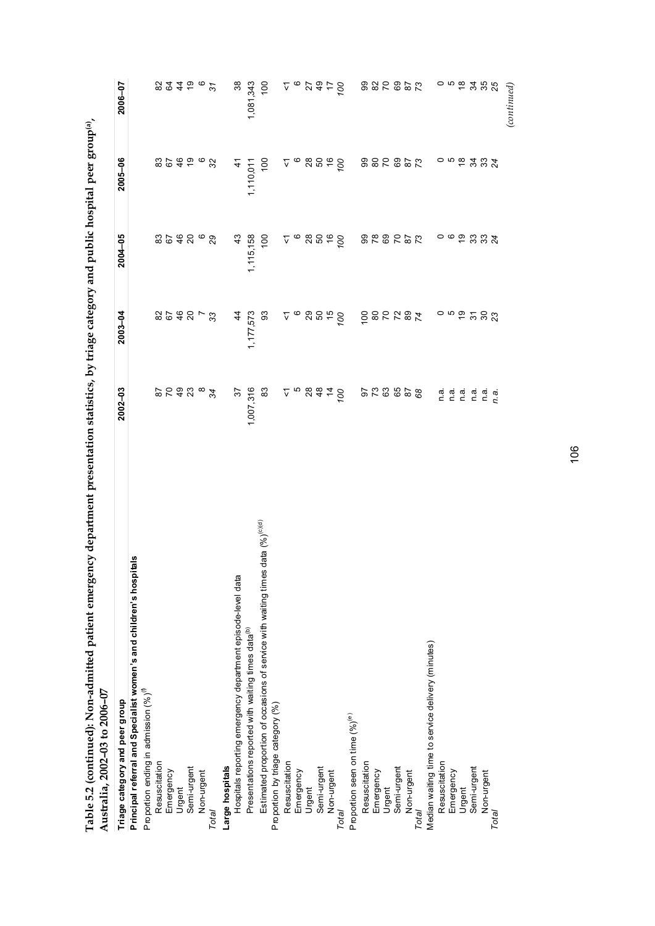| ı                                                                                    |                      |
|--------------------------------------------------------------------------------------|----------------------|
|                                                                                      |                      |
| ת<br>ולאנו                                                                           |                      |
| ı                                                                                    |                      |
| )<br>}<br>}                                                                          |                      |
|                                                                                      |                      |
|                                                                                      |                      |
| concept in the ba                                                                    |                      |
|                                                                                      |                      |
| <b>CHINES</b>                                                                        |                      |
|                                                                                      |                      |
|                                                                                      |                      |
|                                                                                      |                      |
|                                                                                      |                      |
|                                                                                      |                      |
|                                                                                      |                      |
| u danartmant nraeantation etatichice. hu triama catamoru and muhic hoemital more cre |                      |
|                                                                                      |                      |
| <br> <br>                                                                            |                      |
|                                                                                      |                      |
|                                                                                      |                      |
|                                                                                      |                      |
|                                                                                      | ĭ                    |
|                                                                                      |                      |
|                                                                                      | $\frac{1}{\epsilon}$ |
|                                                                                      |                      |
|                                                                                      |                      |
|                                                                                      |                      |

| Australia, 2002-00 to 2006-07                                                                   |                                                                                                                             |               |                 |            |                |
|-------------------------------------------------------------------------------------------------|-----------------------------------------------------------------------------------------------------------------------------|---------------|-----------------|------------|----------------|
| Triage category and peer group                                                                  | 2002-03                                                                                                                     | $2003 - 04$   | 2004-05         | 2005-06    | 2006-07        |
| Principal referral and Specialist women's and children's hospitals                              |                                                                                                                             |               |                 |            |                |
| P roportion ending in admission $(%)^0$                                                         |                                                                                                                             |               |                 |            |                |
| Resuscitation                                                                                   |                                                                                                                             |               |                 |            |                |
| Emergency                                                                                       | 8 R \$ 2<br>8 A 3                                                                                                           |               | 828             |            |                |
| Urgent                                                                                          |                                                                                                                             |               |                 |            |                |
| Semi-urgent                                                                                     |                                                                                                                             | $28548 -$     | 20              | 8288       | <b>22456</b>   |
| Non-urgent                                                                                      |                                                                                                                             |               | $\circ$         |            |                |
| Total                                                                                           | 34                                                                                                                          | 33            | 29              | 32         | $\mathfrak{F}$ |
| Large hospitals                                                                                 |                                                                                                                             |               |                 |            |                |
| Hospitals reporting emergency department episode-level data                                     | $\frac{2}{3}$                                                                                                               | $\frac{4}{3}$ | $\frac{3}{4}$   | $\ddot{4}$ | $\frac{8}{3}$  |
| Presentations reported with waiting times data <sup>(b)</sup>                                   | 1,007,316                                                                                                                   | 1,177,573     | 1,115,158       | 1,110,011  | 1,081,343      |
| data $(%)$ <sup>(c)(d)</sup><br>Estimated proportion of occasions of service with waiting times | 83                                                                                                                          | 3             | 100             | 100        | $\frac{0}{1}$  |
| Proportion by triage category (%)                                                               |                                                                                                                             |               |                 |            |                |
| Resuscitation                                                                                   |                                                                                                                             |               | ⊽               |            |                |
| Emergency                                                                                       |                                                                                                                             |               | $\circ$         |            |                |
| Urgent                                                                                          | 268878                                                                                                                      | 688990        |                 | 688890     |                |
| Semi-urgent                                                                                     |                                                                                                                             |               | 88880           |            |                |
| Non-urgent                                                                                      |                                                                                                                             |               |                 |            |                |
| Total                                                                                           |                                                                                                                             |               |                 |            |                |
| Proportion seen on time (%) <sup>(e)</sup>                                                      |                                                                                                                             |               |                 |            |                |
| Resuscitation                                                                                   |                                                                                                                             |               |                 |            |                |
| Emergency                                                                                       |                                                                                                                             |               |                 |            |                |
|                                                                                                 | 8288276                                                                                                                     |               | 2222826         | 228228     | 225822         |
| Urgent<br>Semi-urgent                                                                           |                                                                                                                             |               |                 |            |                |
| Non-urgent                                                                                      |                                                                                                                             |               |                 |            |                |
| Total                                                                                           |                                                                                                                             | <b>Eggs</b>   |                 |            |                |
| Median waiting time to service delivery (minutes)                                               |                                                                                                                             |               |                 |            |                |
| Resuscitation                                                                                   |                                                                                                                             |               |                 |            |                |
| Emergency                                                                                       | $\begin{array}{ccc}\n\overline{a} & \overline{a} & \overline{a} \\ \overline{c} & \overline{c} & \overline{c}\n\end{array}$ |               | $\circ$         |            | ၀ ဖ စ္         |
| Urgent                                                                                          |                                                                                                                             |               | $\frac{6}{5}$   |            |                |
| Semi-urgent                                                                                     | n a                                                                                                                         | ៓៰៷៰៓៓៓៓៓៓៓៓៓ | 33              | ಸ ೫ ಸ      | <u>ನ ಏ ಭ</u>   |
| Non-urgent                                                                                      | n.a                                                                                                                         |               | 33 <sub>4</sub> |            |                |
| Total                                                                                           | n.a.                                                                                                                        |               |                 |            |                |
|                                                                                                 |                                                                                                                             |               |                 |            | (continued)    |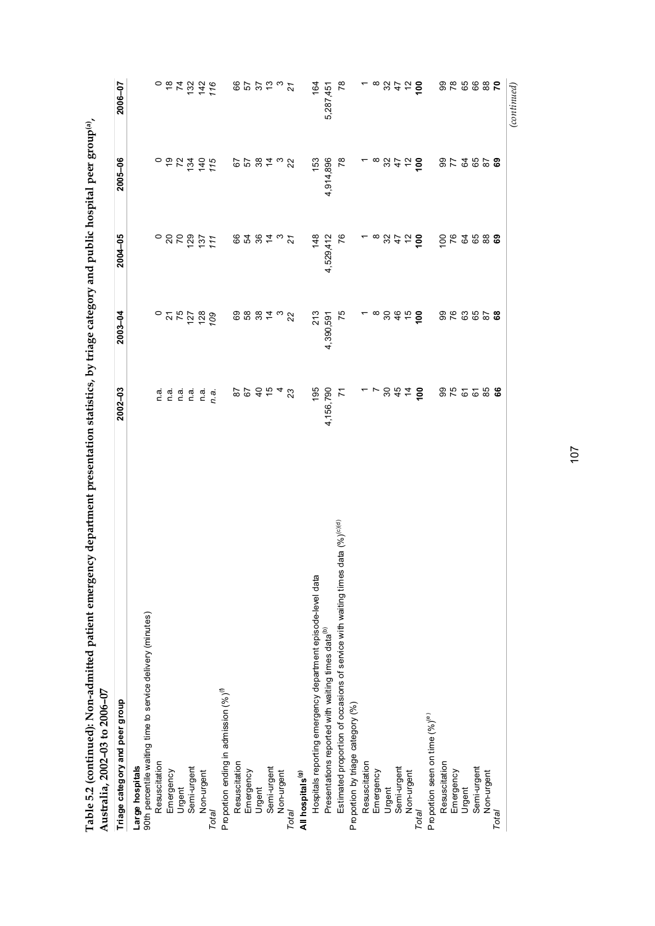| d                                                                    |                            |
|----------------------------------------------------------------------|----------------------------|
| i<br>City City<br>ï                                                  |                            |
| ;<br>;                                                               |                            |
|                                                                      |                            |
| ,                                                                    |                            |
| ומותר היה לה יחד<br> <br> <br>                                       |                            |
|                                                                      |                            |
|                                                                      |                            |
| こくしんしゃ くとくこうしょう<br>)<br> <br> <br>$\ddot{ }$                         |                            |
|                                                                      |                            |
|                                                                      |                            |
| $+$ compared to $+$                                                  |                            |
|                                                                      |                            |
| こうしょう                                                                |                            |
|                                                                      |                            |
|                                                                      |                            |
| ì<br>֧֖֖֖֖֧֖֧ׅ֖֧֖֧֖֧֚֚֚֚֚֚֚֚֚֚֚֚֚֚֚֚֚֚֚֚֚֚֚֚֚֚֚֚֝֝֝֝֝֬֓֞֝֓֞֬֝֬֝֓֞֬֝֬ |                            |
| ļ<br> <br> <br> <br>i                                                |                            |
|                                                                      |                            |
| l                                                                    |                            |
| $-1$                                                                 |                            |
| į<br>$\frac{1}{2}$                                                   |                            |
|                                                                      | ים המטשים (ד               |
| A E O Isantin                                                        | $\ddot{ }$ and as a and as |
| きつさつ り・イー                                                            |                            |
| ;<br>                                                                |                            |

| Australia, 2002-03 to 2006-07                                                          |                 |                                     |                    |                                                                    |                                              |
|----------------------------------------------------------------------------------------|-----------------|-------------------------------------|--------------------|--------------------------------------------------------------------|----------------------------------------------|
| Triage category and peer group                                                         | $2002 - 03$     | $2003 - 04$                         | $2004 - 05$        | 2005-06                                                            | 2006-07                                      |
| Large hospitals                                                                        |                 |                                     |                    |                                                                    |                                              |
| 90th percentile waiting time to service delivery (minutes)                             |                 |                                     |                    |                                                                    |                                              |
| Resuscitation                                                                          | n.a.            |                                     |                    |                                                                    |                                              |
| Emergency                                                                              |                 |                                     | ៓៓៓៓               |                                                                    |                                              |
| Urgent                                                                                 | n a<br>n a      |                                     |                    |                                                                    |                                              |
| Semi-urgent                                                                            | n a             |                                     |                    |                                                                    | $\overline{5}$ $\overline{5}$ $\overline{5}$ |
| Non-urgent                                                                             | n a             |                                     | 2971               | $\circ$ $\circ$ $\times$ $\frac{3}{2}$ $\frac{5}{2}$ $\frac{5}{2}$ | $142$<br>$116$                               |
| Total                                                                                  | n.a.            |                                     |                    |                                                                    |                                              |
| Proportion ending in admission (%) <sup>(0)</sup>                                      |                 |                                     |                    |                                                                    |                                              |
| Resuscitation                                                                          |                 |                                     |                    |                                                                    |                                              |
| Emergency                                                                              | $670$<br>$78$   |                                     |                    |                                                                    |                                              |
| Urgent                                                                                 |                 | 8882                                | $87.87$ $^{\circ}$ | <b>65 8 7 3 2</b>                                                  | <b>85253</b>                                 |
| Semi-urgent                                                                            | $\frac{5}{2}$   |                                     |                    |                                                                    |                                              |
| Non-urgent                                                                             |                 | $\frac{3}{2}$                       |                    |                                                                    |                                              |
| Total                                                                                  | $4\frac{2}{3}$  |                                     | $\overline{21}$    |                                                                    | $\overline{z}$                               |
| All hospitals <sup>(g)</sup>                                                           |                 |                                     |                    |                                                                    |                                              |
| Hospitals reporting emergency department episode-level data                            | 195             | 213                                 | 148                | 153                                                                | 164                                          |
| Presentations reported with waiting times data <sup>(b)</sup>                          | 4,156,790       | 4,390,591                           | 4,529,412          | 4,914,896                                                          | 5,287,451                                    |
| data $(%)^{(c)(d)}$<br>Estimated proportion of occasions of service with waiting times | 7               | 75                                  | 76                 | $\approx$                                                          | $\overline{78}$                              |
| Proportion by triage category (%)                                                      |                 |                                     |                    |                                                                    |                                              |
| Resuscitation                                                                          |                 |                                     |                    |                                                                    |                                              |
| Emergency                                                                              |                 |                                     |                    | $-$ ∞ $%$ $\approx$ $\frac{5}{2}$                                  | ~ ∞ ஐ                                        |
| Urgent                                                                                 |                 | $^{\infty}$ $\approx$ $\frac{6}{3}$ |                    |                                                                    |                                              |
| Semi-urgent                                                                            | 844             |                                     |                    |                                                                    | $\ddot{t}$                                   |
| Non-urgent                                                                             |                 | $\frac{6}{5}$                       | 88759              |                                                                    | $\tilde{c}$                                  |
| <b>Total</b>                                                                           | $\frac{8}{100}$ | $\overline{5}$                      |                    |                                                                    | ို                                           |
| Proportion seen on time (%) <sup>(e)</sup>                                             |                 |                                     |                    |                                                                    |                                              |
| Resuscitation                                                                          |                 |                                     | $rac{6}{76}$       |                                                                    | 82<br>06                                     |
| Emergency                                                                              | 355             | 882828                              |                    | 85857                                                              |                                              |
| Urgent                                                                                 |                 |                                     | 34                 |                                                                    | 65                                           |
| Semi-urgent                                                                            |                 |                                     | 65                 |                                                                    | 66                                           |
| Non-urgent                                                                             | <b>6586</b>     |                                     | 88<br>69           |                                                                    | $\frac{8}{2}$                                |
| Total                                                                                  |                 |                                     |                    |                                                                    |                                              |
|                                                                                        |                 |                                     |                    |                                                                    | (continued)                                  |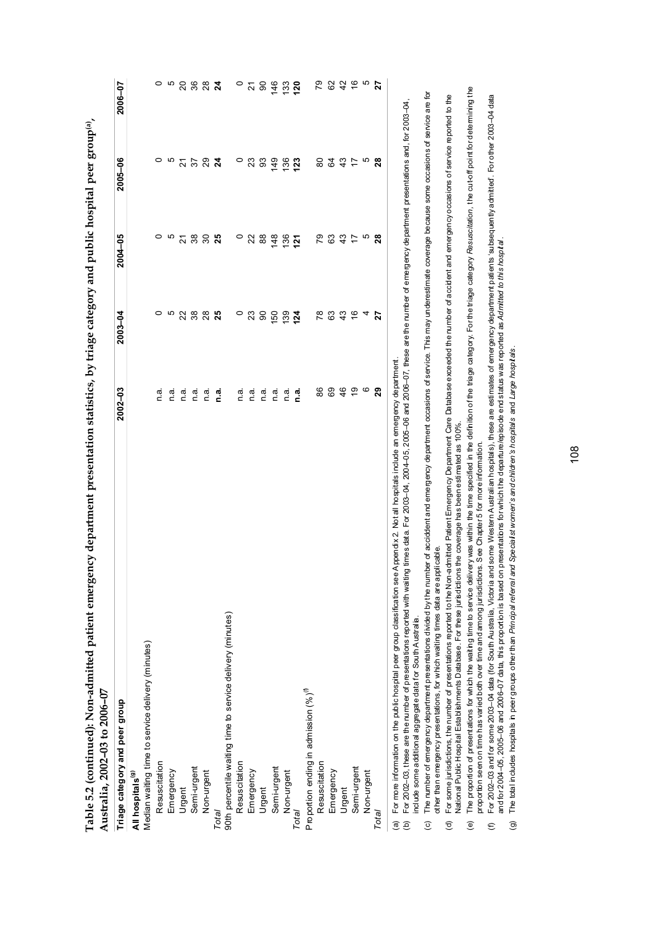| Triage category and peer group                             | $2002 - 03$ | 2003-04       | 2004-05          | 2005-06          | 2006-07        |
|------------------------------------------------------------|-------------|---------------|------------------|------------------|----------------|
| All hospitals <sup>(9)</sup>                               |             |               |                  |                  |                |
| Median waiting time to service delivery (minutes)          |             |               |                  |                  |                |
| Resuscitation                                              | n a         | 0             | 0                | 0                | 0              |
| Emergency                                                  | n.a         | ယ             | ယ                | ယ                | 5              |
| Urgent                                                     | n a         | 22            | $\overline{2}$   | 21               | 20             |
| Semi-urgent                                                | n a         | 38            | 38               | 57               | 36             |
| Non-urgent                                                 | n.a.        | $28$          | $\boldsymbol{S}$ | 29               | 28             |
| Total                                                      | n.ai        | 25            | 25               | $\boldsymbol{z}$ | $\overline{a}$ |
| 90th percentile waiting time to service delivery (minutes) |             |               |                  |                  |                |
| Resuscitation                                              | n a.        | $\circ$       | $\circ$          | $\circ$          | $\circ$        |
| Emergency                                                  | n.a.        | 23            | 22               | 23               | $\overline{2}$ |
| Urgent                                                     | n.a         | 8             | 88               | 3                | 90             |
| Semi-urgent                                                | n.a         | 150           | $\frac{8}{3}$    | 149              | 146            |
| Non-urgent                                                 | ັດ<br>C     | 139           | 136              | 136              | 133            |
| Total                                                      | n.a.        | 124           | <u>ក្ន</u>       | 123              | 120            |
| Proportion ending in admission (%) <sup>(0)</sup>          |             |               |                  |                  |                |
| Resuscitation                                              | 86          | R8            | 67               | 8                | 79             |
| Emergency                                                  | 89          | යි            | 63               | \$               | 62             |
| Urgent                                                     | 46          | 43            | 43               | 43               | 42             |
| Semi-urgent                                                | é,          | $\frac{6}{5}$ | $\ddot{ }$       | 17               | $\frac{6}{5}$  |
| Non-urgent                                                 | ဖ           | 4             | ယ                | ယ                | S              |
| Total                                                      | 29          | 27            | 28               | 28               | 27             |

**Table 5.2 (continued): Non-admitted patient emergency department presentation statistics, by triage category and public hospital peer group(a),**  ind miblic hosnital neer groun(a)  $\frac{1}{2}$ antation statistics las triacea  $\cdots$ ł,  $\frac{1}{2}$ ł, Ž  $\dot{\tilde{z}}$ ं  $\frac{1}{2}$  $T_0 h_0$ 

For 2002–03, these are the number of presentations reported with waiting times data. For 2003–04, 2004–05, 2005–06 and 2006–07, these are the number of emergency department presentations and, for 2003–04, го полезничным он не раль похран реегу оцр оказывают see Appenda x \_r wu an no sprata s not a mile gency ou partner of emergency department presentations and, for 2003–04,<br>For 2002–03, these are the number of presentation include some additional aggregate data for South Australia. include some additional aggregate data for South Australia.

The number of emergency department presentations divided by the number of acciddent and emergency department occasions of service. This may underestimate coverage because some occasions of service are for The number of emergency department presentations divided by the number of acciddent and emergency department occasions of service. This may underestimate coverage because some occasions of service are for other than emergency presentations, for which waiting times data are applicable. other than emergency presentations, for which waiting times data are applicable.  $\widehat{c}$ 

For some jurisdictions, the number of presentations reported to the Non-admitted Patient Emergency Department Care Database exceeded the number of accident and emergency occasions of service reported to the<br>National Public For some jurisdictions, the number of presentations reported to the Non-admitted Patient Emergency Department Care Database exceeded the number of accident and emergency occasions of service reported to the National Public Hospital Establishments Database. For these jurisdictions the coverage has been estimated as 100%.  $\widehat{\sigma}$ 

The proportion of presentations for which the waiting time to service delivery was within the time specified in the definition of the triage category. For the triage category Resuscitation, the cut-off point for determinin The proportion of presentations for which the waiting time to service deline the specified in the definition of the triage category. For the triage category Resuscitation, the cut-off point for determining the proportion seen on time has varied both over time and among jurisdictions. See Chapter 5 for more information. proportion seen on time has varied both over time and among jurisdictions. See Chapter 5 for more information. (e)

For 2002-03 and for some 2003-04 data (for South Australia, Victoria and some Western Australian hospitals), these are estimates of emergency department patients 'subsequently admitted'. For other 2003-04 data For 2002–03 and for some 2003–04 data (for South Australia, Victoria and some Western Australian hospitals), these are estimates of emergency department patients 'subsequently admitted'. For other 2003–04 data and for 2004–05, 2005–06 and 2006–07 data, this proportion is based on presentations for which the departure/episode end status was reported as *Admitted to this hospital* . and for 2004–05, 2005–06 and 2006–07 data, this proportion is based on presentations for which the departure/episode end status was reported as Admitted to this hospilal.  $\epsilon$ 

The total includes hospitals in peer groups other than Principal referral and Specialist women's and children's hospitals and Large hospitals. The total includes hospitals in peer groups other than *Principal referral and Specialist women's and children's hospitals* and *Large hospitals* .  $\widehat{g}$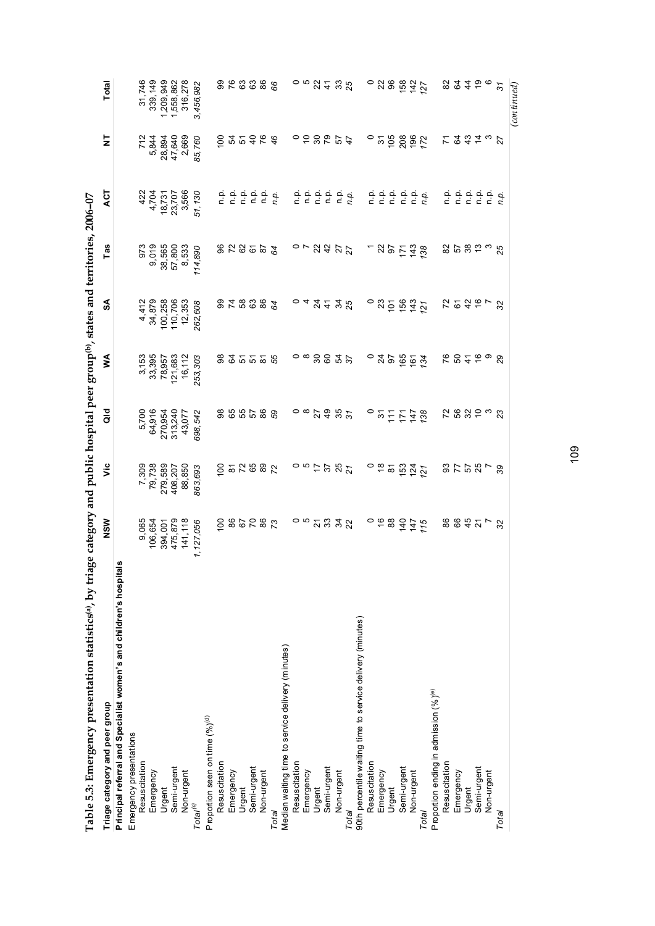| Table 5.3: Emergency presentation statistics®, by triage category and public hospital peer group®, states and territories, 2006-07 |                |                                 |                          |                                                                     |                         |                  |                                  |                  |                                      |
|------------------------------------------------------------------------------------------------------------------------------------|----------------|---------------------------------|--------------------------|---------------------------------------------------------------------|-------------------------|------------------|----------------------------------|------------------|--------------------------------------|
| Triage category and peer group                                                                                                     | NSW            | š                               | a<br>To                  | ≸                                                                   | వ్                      | Tas              | ACT                              | 능                | Total                                |
| Principal referral and Specialist women's and children's hospital                                                                  | U)             |                                 |                          |                                                                     |                         |                  |                                  |                  |                                      |
| Emergency presentations                                                                                                            |                |                                 |                          |                                                                     |                         |                  |                                  |                  |                                      |
| Resuscitation                                                                                                                      | 9,065          | 7,309                           | 5,700                    |                                                                     |                         |                  |                                  | 712              | 31,746                               |
| Emergency                                                                                                                          | 106,654        | 79,738                          | 64,916                   |                                                                     | 4,412<br>34,879         | 973<br>9,019     |                                  | 5,844            | 339, 149                             |
|                                                                                                                                    | 394,001        | 279,589                         |                          |                                                                     |                         |                  |                                  |                  |                                      |
| Urgent<br>Semi-urgent                                                                                                              | 475,879        | 408,207                         | 270,954<br>313,240       | $\begin{array}{c} 3,153 \\ 33,395 \\ 78,957 \\ 121,683 \end{array}$ | 100,258<br>110,706      | 38,565<br>57,800 | 422<br>4,704<br>18,731<br>18,707 | 28,894<br>47,640 | 1,209,949<br>1,558,862               |
| Non-urgent                                                                                                                         | 141,118        | 88,850                          | 43,077                   | 16,112                                                              | 12,353                  | 8,533            | 3,566                            | 2,669            | 316,278                              |
| $Total^{(c)}$                                                                                                                      | 1,127,056      | 863,693                         | 698,542                  | 253,303                                                             | 262,608                 | 114,890          | 51,130                           | 85,760           | 3,456,982                            |
| Proportion seen on time (%) <sup>(4)</sup>                                                                                         |                |                                 |                          |                                                                     |                         |                  |                                  |                  |                                      |
| Resuscitation                                                                                                                      | $\overline{5}$ | $\frac{8}{1}$                   |                          |                                                                     |                         |                  |                                  | $\overline{5}$   |                                      |
|                                                                                                                                    |                |                                 |                          |                                                                     |                         |                  |                                  |                  |                                      |
| Emergency<br>Urgent                                                                                                                | <b>287288</b>  | 52582                           | 8555<br>88               | នី និតដី និ                                                         | 233378                  | 255222           | o o o o o<br>c c c c c           | 25464            | 88888                                |
| Semi-urgent                                                                                                                        |                |                                 |                          |                                                                     |                         |                  |                                  |                  |                                      |
| Non-urgent                                                                                                                         |                |                                 | 86                       |                                                                     |                         |                  |                                  |                  |                                      |
| Total                                                                                                                              |                |                                 |                          |                                                                     |                         |                  | n.p.                             |                  |                                      |
| Median waiting time to service delivery (minutes)                                                                                  |                |                                 |                          |                                                                     |                         |                  |                                  |                  |                                      |
|                                                                                                                                    |                |                                 |                          |                                                                     |                         |                  |                                  |                  |                                      |
| Resus citation<br>Emergency                                                                                                        |                | $\frac{1}{2}$ o o $\frac{1}{2}$ | $\frac{1}{2}$            | $\circ$ $\circ$                                                     | О4                      |                  |                                  |                  | $\circ$ $\approx$ $\%$ $\frac{4}{3}$ |
| Urgent                                                                                                                             |                |                                 |                          | 88                                                                  |                         |                  |                                  |                  |                                      |
| Semi-urgent                                                                                                                        |                | 57                              | $\overline{4}$           |                                                                     | 3.438                   | $-2477$          | a a a a a a<br>c c c c c c       | しいいのです           |                                      |
| Non-urgent                                                                                                                         |                | $\frac{25}{21}$                 | $\frac{25}{37}$          | $3\frac{2}{3}$                                                      |                         |                  |                                  |                  | 33 <sub>25</sub>                     |
| Total                                                                                                                              |                |                                 |                          |                                                                     |                         |                  |                                  |                  |                                      |
| 90th percentile waiting time to service delivery (minutes)                                                                         |                |                                 |                          |                                                                     |                         |                  |                                  |                  |                                      |
| Resuscitation                                                                                                                      |                |                                 | $\circ$                  | $\circ$                                                             | $\circ$                 | $\overline{a}$   |                                  | $\circ$          |                                      |
|                                                                                                                                    | $\frac{6}{8}$  | $\circ$ $\approx$ $\approx$     | $\overline{5}$           | $\frac{4}{9}$                                                       |                         |                  |                                  |                  | $\circ$ 3 $\degree$                  |
| Emergency<br>Urgent                                                                                                                |                |                                 |                          |                                                                     | 73                      | 925              |                                  |                  |                                      |
| Semi-urgent                                                                                                                        | $\frac{1}{4}$  | 153                             |                          | 165                                                                 |                         |                  |                                  |                  | 158                                  |
| Non-urgent                                                                                                                         | $147$<br>$115$ | $124$<br>$127$                  | <b>11788</b>             | $161$<br>$134$                                                      | $156$<br>$143$<br>$121$ | 143              | a a a a a a<br>c c c c c c       | 528827           | $142$<br>$127$                       |
| Total                                                                                                                              |                |                                 |                          |                                                                     |                         |                  |                                  |                  |                                      |
| Proportion ending in admission (%) <sup>(e)</sup>                                                                                  |                |                                 |                          |                                                                     |                         |                  |                                  |                  |                                      |
| Resuscitation                                                                                                                      |                |                                 |                          |                                                                     |                         |                  | n.p.                             |                  | 8                                    |
| Emergency                                                                                                                          | <b>8842</b>    |                                 |                          |                                                                     |                         |                  |                                  |                  |                                      |
| Urgent                                                                                                                             |                |                                 |                          |                                                                     |                         |                  |                                  |                  |                                      |
| Semi-urgent                                                                                                                        |                |                                 |                          |                                                                     |                         |                  |                                  |                  |                                      |
| Non-urgent                                                                                                                         | $\frac{5}{32}$ | 25.58722                        | 2 0 3 2 3 3<br>2 3 2 3 3 | coste a 2                                                           | 25247 8                 | ន ២ ន ដ ៹ ន      |                                  | 7 2 3 4 7 8 7    | 245022                               |
| Total                                                                                                                              |                |                                 |                          |                                                                     |                         |                  |                                  |                  |                                      |

 $(continued)$ *(continued)*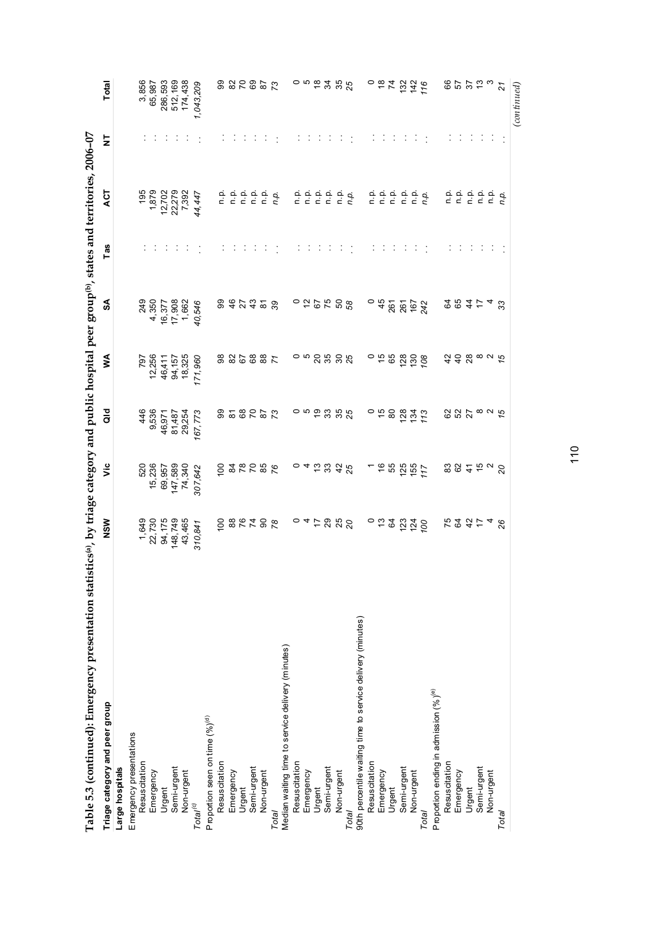| Table 5.3 (continued): Emergency presentation statistics(a), by triage category and public hospital peer group(b), states and territories, 2006-07 |                             |                    |                        |                   |                           |     |                                    |   |                    |
|----------------------------------------------------------------------------------------------------------------------------------------------------|-----------------------------|--------------------|------------------------|-------------------|---------------------------|-----|------------------------------------|---|--------------------|
| Triage category and peer group                                                                                                                     | NSW                         | ۊ                  | ਰ<br>ਹ                 | ⋚                 | వ                         | Tas | ζ                                  | ₹ | Total              |
| Large hospitals                                                                                                                                    |                             |                    |                        |                   |                           |     |                                    |   |                    |
| Emergency presentations                                                                                                                            |                             |                    |                        |                   |                           |     |                                    |   |                    |
| Resuscitation                                                                                                                                      | 1,649                       | 520                | 9,536<br>9536          | 797               | 249                       |     | 195                                |   | 3,856              |
| Emergency                                                                                                                                          | 22,730<br>94,175<br>148,749 | 15,236             |                        | 12,256            | 4,350                     |     |                                    |   | 65,987             |
| Urgent                                                                                                                                             |                             | 69,957             | 46,971                 | 46,411            |                           |     |                                    |   | 286,593<br>512,169 |
| Semi-urgent                                                                                                                                        |                             | 147,589            | 81,487                 | 94,157            |                           |     |                                    |   |                    |
| Non-urgent                                                                                                                                         | 43,465                      | 74,340             | 29,254                 | 18,325            | 16,377<br>17,908<br>1,662 |     | 1,879<br>12,702<br>22,279<br>7,392 |   | 174,438            |
| Total <sup>(c)</sup>                                                                                                                               | 310,841                     | 307,642            | 167,773                | 171,960           | 40,546                    |     | 44,447                             |   | 1,043,209          |
| Proportion seen on time (%) <sup>(4)</sup>                                                                                                         |                             |                    |                        |                   |                           |     |                                    |   |                    |
| Resuscitation                                                                                                                                      |                             |                    |                        |                   |                           |     |                                    |   |                    |
| Emergency                                                                                                                                          | 878788                      | 828286             | 222228                 | 3886887           | 9 \$ 2 \$ 2 \$ 3          |     | o o o o o<br>c c c c c             |   | 222223             |
| Urgent                                                                                                                                             |                             |                    |                        |                   |                           |     |                                    |   |                    |
| Semi-urgent                                                                                                                                        |                             |                    |                        |                   |                           |     |                                    |   |                    |
| Non-urgent                                                                                                                                         |                             |                    |                        |                   |                           |     |                                    |   |                    |
| Total                                                                                                                                              |                             |                    |                        |                   |                           |     | n.p.                               |   |                    |
| Median waiting time to service delivery (minutes)                                                                                                  |                             |                    |                        |                   |                           |     |                                    |   |                    |
|                                                                                                                                                    |                             | $\circ$            |                        |                   | $\circ$                   |     |                                    |   |                    |
| Resuscitation<br>Emergency<br>Urgent                                                                                                               |                             |                    |                        |                   |                           |     |                                    |   |                    |
|                                                                                                                                                    |                             |                    |                        |                   |                           |     |                                    |   |                    |
| Semi-urgent                                                                                                                                        |                             |                    |                        |                   |                           |     |                                    |   |                    |
| Non-urgent                                                                                                                                         | 045888                      | 4 ជ ង ង ង <i>ង</i> | $\circ$ 5 $\%$ 5 $\%$  |                   |                           |     | a a a a a a<br>c c c c c c         |   | 058388             |
| Total                                                                                                                                              |                             |                    |                        |                   |                           |     |                                    |   |                    |
| 90th percentile waiting time to service delivery (minutes)                                                                                         |                             |                    |                        |                   |                           |     |                                    |   |                    |
| Resuscitation                                                                                                                                      |                             |                    |                        |                   | $\circ$                   |     |                                    |   |                    |
| Emergency                                                                                                                                          |                             |                    | ុ កំ ខ                 | ុ កំ និ           | 45                        |     |                                    |   |                    |
| Urgent                                                                                                                                             |                             |                    |                        |                   | 261                       |     |                                    |   |                    |
| Semi-urgent                                                                                                                                        | $-5.39$                     | 195917             | $128$<br>$134$<br>$13$ | 128               | 261                       |     | a a a a a a<br>c c c c c c         |   | $-87276$           |
| Non-urgent                                                                                                                                         |                             |                    |                        | $\frac{130}{108}$ | $167$<br>242              |     |                                    |   |                    |
| Total                                                                                                                                              |                             |                    |                        |                   |                           |     |                                    |   |                    |
| Proportion ending in admission $(%^{\circ})^{(e)}$                                                                                                 |                             |                    |                        |                   |                           |     |                                    |   |                    |
| Resuscitation                                                                                                                                      |                             |                    |                        |                   |                           |     |                                    |   |                    |
| Emergency                                                                                                                                          | F 2 3 5 4 8                 | 887528             | 827824                 | ねれ 88 82万         | $984 - 4$                 |     | ooooo<br>cccccc                    |   | 85529              |
| Urgent                                                                                                                                             |                             |                    |                        |                   |                           |     |                                    |   |                    |
| Semi-urgent                                                                                                                                        |                             |                    |                        |                   |                           |     |                                    |   |                    |
| Non-urgent                                                                                                                                         |                             |                    |                        |                   |                           |     |                                    |   |                    |
| Total                                                                                                                                              |                             |                    |                        |                   | 33                        |     | ņ,                                 |   | $\overline{21}$    |
|                                                                                                                                                    |                             |                    |                        |                   |                           |     |                                    |   | $_{(continued)}$   |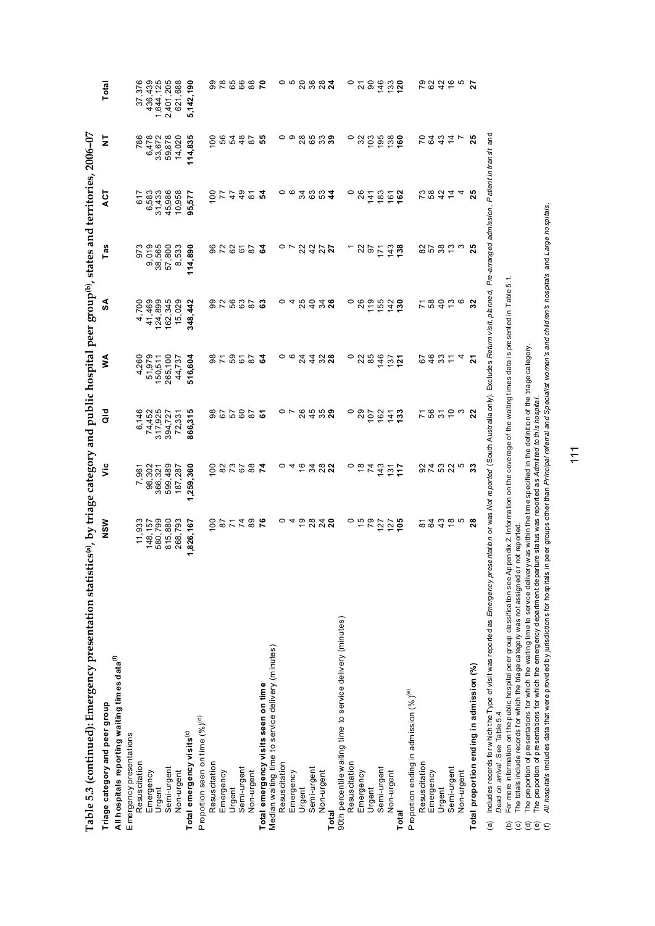| $\sim$ 2006 $\sim$                                                         | ֧֦֧֦֧֦֧֦֧֦֧֦֧֦֧ׅ֧֜֓֓֓֬֓֓ <u>֚֓</u>               |
|----------------------------------------------------------------------------|--------------------------------------------------|
| $s, z$ UU0–U                                                               |                                                  |
|                                                                            | $\frac{1}{2}$                                    |
| h hy friage category and public hospital neor grounly states and territori |                                                  |
|                                                                            |                                                  |
|                                                                            | l                                                |
|                                                                            |                                                  |
| こところま<br>l                                                                 | i                                                |
|                                                                            |                                                  |
|                                                                            |                                                  |
| d                                                                          | :                                                |
|                                                                            |                                                  |
|                                                                            | :                                                |
|                                                                            |                                                  |
|                                                                            |                                                  |
| $-2 - 5$ and $-2 - 7$                                                      | ֦֧֧֢ׅ֧֧֧֧֧֢ׅ֧֚֚֚֚֚֚֚֚֚֚֚֚֚֚֚֚֚֚֚֚֚֚֚֚֝֝֓֝֓֝֓֝֬֝֓ |
|                                                                            |                                                  |
| .u.u.u.u.u                                                                 |                                                  |
|                                                                            | .<br>.<br>.<br>.                                 |
|                                                                            |                                                  |
|                                                                            |                                                  |
| $\frac{c + 2}{c + 2}$                                                      |                                                  |
|                                                                            |                                                  |
|                                                                            |                                                  |
|                                                                            |                                                  |
|                                                                            |                                                  |
|                                                                            |                                                  |
| I                                                                          |                                                  |
|                                                                            |                                                  |
|                                                                            |                                                  |
|                                                                            |                                                  |
|                                                                            |                                                  |
|                                                                            |                                                  |

| Triage category and peer group                                                                                                                                                                                     | NSW                                       | š              | a<br>To           | ⋖<br>₹         | SA             | Tas                       | ACT            | 5               | Total            |
|--------------------------------------------------------------------------------------------------------------------------------------------------------------------------------------------------------------------|-------------------------------------------|----------------|-------------------|----------------|----------------|---------------------------|----------------|-----------------|------------------|
| All hospitals reporting waiting times data <sup>(f)</sup>                                                                                                                                                          |                                           |                |                   |                |                |                           |                |                 |                  |
| Emergency presentations                                                                                                                                                                                            |                                           |                |                   |                |                |                           |                |                 |                  |
| Resuscitation                                                                                                                                                                                                      | 11,933                                    | 7,961          | 6,146             | 4,260          | 4,700          | 973                       | 617            | 786             | 37,376           |
| Emergency<br>Urgent                                                                                                                                                                                                | 148, 157                                  | 98,302         | 74,452<br>317,925 | 51,979         | 41,469         |                           | 6,583          | 6,478           | 436,439          |
|                                                                                                                                                                                                                    | 580,799                                   | 366,321        |                   | 150,511        | 124,899        |                           | 31,433         | 33,672          | 1,644,125        |
| Semi-urgent                                                                                                                                                                                                        | 815,880                                   | 599,489        | 394,727           | 265,100        | 162,345        | 9,019<br>38,565<br>57,800 | 45,986         | 59,878          | 2,401,205        |
| Non-urgent                                                                                                                                                                                                         | 268,793                                   | 187,287        | 72,331            | 44,737         | 15,029         | 8,533                     | 10,958         | 14,020          | 621,688          |
| Total emergency visits <sup>(c)</sup>                                                                                                                                                                              | 1,826,167                                 | ,259,360       | 866,315           | 516,604        | 348,442        | 114,890                   | 95,577         | 114,835         | 5,142,190        |
| Proportion seen on time (%)(d)                                                                                                                                                                                     |                                           |                |                   |                |                |                           |                |                 |                  |
| Resuscitation                                                                                                                                                                                                      | 100                                       | 100            | 98                |                |                |                           | 8              | $\overline{0}$  |                  |
| Emergency                                                                                                                                                                                                          |                                           |                |                   | 25678          | 32535          | 25285                     | 77             |                 |                  |
| Urgent                                                                                                                                                                                                             |                                           |                | $^{0.7}_{0.9}$    |                |                |                           | $\ddot{4}$     | 56 5 4<br>5 4 8 |                  |
| Semi-urgent                                                                                                                                                                                                        | <b>272</b>                                |                |                   |                |                |                           | $\frac{9}{4}$  |                 |                  |
| Non-urgent                                                                                                                                                                                                         | 89<br>76                                  | 282287         | 87                |                |                |                           | $\overline{8}$ | $\overline{8}$  | <b>988882</b>    |
| Total emergency visits seen on time                                                                                                                                                                                |                                           |                | ్                 | ್ಡ             | ္မ             | ु                         | 24             | 55<br>50        |                  |
| Median waiting time to service delivery (minutes)                                                                                                                                                                  |                                           |                |                   |                |                |                           |                |                 |                  |
| Resuscitation                                                                                                                                                                                                      |                                           |                |                   |                |                |                           |                |                 |                  |
| Emergency                                                                                                                                                                                                          |                                           |                | ○ 〜               | ၀ ဖ            | 4              | $\sim$ $\sim$             | ၀ ဖ            | ဝ ၈             | ၀ ဖ              |
| Urgent                                                                                                                                                                                                             |                                           |                | 26                |                |                |                           |                |                 |                  |
| Semi-urgent                                                                                                                                                                                                        | 40848                                     | 2888           | 458               | 2428           | 25             | 2227                      | 2004           | <b>26538</b>    | 2882             |
| Non-urgent                                                                                                                                                                                                         |                                           |                |                   |                | 34             |                           |                |                 |                  |
| Total                                                                                                                                                                                                              |                                           |                |                   |                |                |                           |                |                 |                  |
| 90th percentile waiting time to service delivery (minutes)                                                                                                                                                         |                                           |                |                   |                |                |                           |                |                 |                  |
| Resuscitation                                                                                                                                                                                                      |                                           |                | 0                 | $\circ$        | $\circ$        |                           | $\circ$        | $\circ$         | $\circ$          |
| Emergency                                                                                                                                                                                                          | $\circ$ $\tilde{\sigma}$ $\tilde{\sigma}$ | $\frac{8}{1}$  | 29                | 22             | 26             |                           | 26             | 32              | $\frac{2}{9}$    |
| Urgent                                                                                                                                                                                                             |                                           | $\overline{z}$ | 107               | 85             | 119            |                           | 141            | 103             |                  |
| Semi-urgent                                                                                                                                                                                                        | 127                                       | 143            | 162               | 146            | 155            | 257                       | 183            | 195             | 146              |
| Non-urgent                                                                                                                                                                                                         | $127$<br>105                              | 131            | 141               | $137$<br>$127$ | $142$<br>$130$ | 143                       | 161            | 138             | 133              |
| Total                                                                                                                                                                                                              |                                           | $\ddot{=}$     | 133               |                |                |                           |                |                 |                  |
| Proportion ending in admission (%) <sup>(e)</sup>                                                                                                                                                                  |                                           |                |                   |                |                |                           |                |                 |                  |
| Resuscitation                                                                                                                                                                                                      | 5                                         |                |                   | 67             |                |                           | 73             |                 |                  |
| Emergency                                                                                                                                                                                                          |                                           |                |                   |                |                |                           |                |                 |                  |
| Urgent                                                                                                                                                                                                             |                                           |                |                   |                |                |                           |                |                 |                  |
| Semi-urgent                                                                                                                                                                                                        | 8456<br>845                               | 37 63 8 5      | 78223             | 4824           | 78926          | 25823                     | 8244           | 22377           | <b>P&amp;QC5</b> |
| Non-urgent                                                                                                                                                                                                         |                                           |                |                   |                |                |                           |                |                 |                  |
| Total proportion ending in admission (%)                                                                                                                                                                           | $\overline{28}$                           | ్ల             | 22                | 21             | 32             | 25                        | 25             | 25              | 27               |
| (a) Includes records for which the Type of visit was reported as Ernergency presentation or was Not reported (South Australia only). Excludes Return visit, planned, Pre-arranged admission, Patient intransit and |                                           |                |                   |                |                |                           |                |                 |                  |

*Dead on arrival* . See Table 5.4.

*Dead on arival.* See Table 5.4. <sup>\*</sup><br>For more information on the public hospital peer group classification see Appendix 2. Information on the coverage of the waiting times data is presented in Table 5.1. \*\*\*<br>The totas incl (b) For more information on the public hospital peer group classification see Appendix 2. Information on the coverage of the waiting times data is presented in Table 5.1.  $\overline{2}\,\overline{0}\,\overline{0}\,\overline{0}\,\overline{0}$ 

(c) The totals include records for which the triage category was not assigned or not reported.

(d) The proportion of presentations for which the waiting time to service delivery was within the time specified in the definition of the triage category.

(e) The proportion of presentations for which the emergency department departure status was reported as *Admitted to this hospital* .

(f) *All hospitals* includes data that were provided by jurisdictions for hospitals in peer groups other than *Principal referral and Specialist women's and children's hospitals* and *Large hospitals* .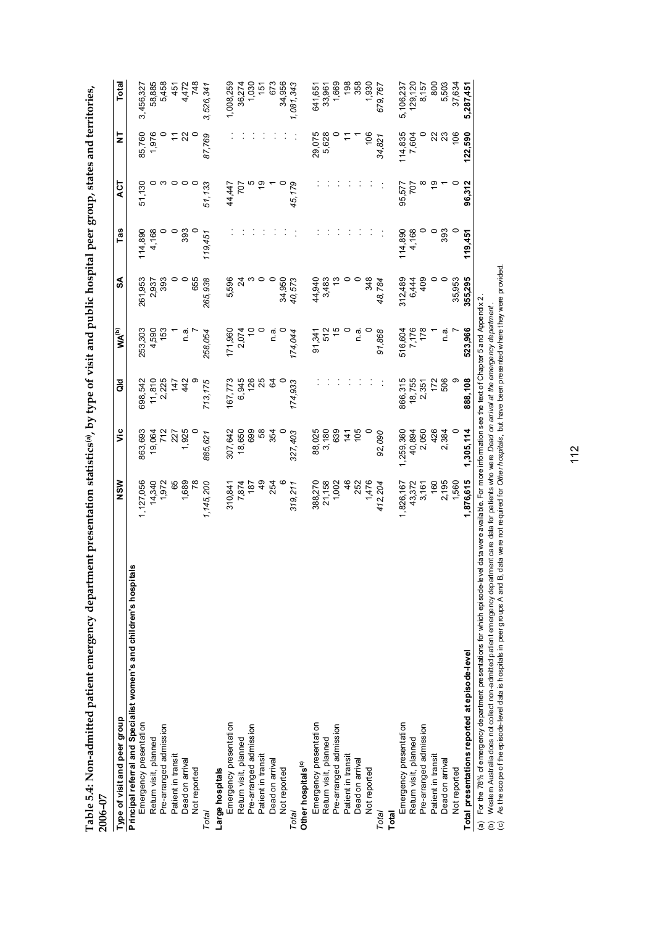| .co.co.co.co.co.co.co.co          |   |
|-----------------------------------|---|
|                                   |   |
| ;                                 |   |
|                                   |   |
|                                   |   |
| Í                                 |   |
|                                   |   |
|                                   |   |
| Í                                 |   |
|                                   |   |
|                                   |   |
|                                   |   |
|                                   |   |
|                                   |   |
|                                   |   |
| ساود وسا<br>יות לשלוש ה           |   |
|                                   |   |
|                                   |   |
|                                   |   |
| v uepartment presentation etation |   |
|                                   |   |
|                                   |   |
|                                   |   |
|                                   |   |
|                                   |   |
|                                   |   |
|                                   |   |
| ı                                 |   |
|                                   |   |
|                                   |   |
|                                   |   |
|                                   |   |
|                                   |   |
|                                   |   |
| Í                                 |   |
|                                   |   |
|                                   |   |
|                                   |   |
| ì                                 |   |
|                                   |   |
|                                   |   |
|                                   | ゚ |
| י<br>ל                            |   |
|                                   |   |

| Table 5.4: Non-admitted patient emergency department presentation statistics(a), by type of visit and public hospital peer group, states and territories,<br>2006-07 |                 |           |         |                   |                 |         |               |         |           |
|----------------------------------------------------------------------------------------------------------------------------------------------------------------------|-----------------|-----------|---------|-------------------|-----------------|---------|---------------|---------|-----------|
| Type of visit and peer group                                                                                                                                         | NSW             | ۊ         | 공<br>O  | WA <sup>(b)</sup> | SA              | Tas     | ζÀ            | 5       | Total     |
| Principal referral and Specialist women's and children's hospitals                                                                                                   |                 |           |         |                   |                 |         |               |         |           |
| Emergency presentation                                                                                                                                               | 1,127,056       | 863,693   | 698,542 | 253,303           | 261,953         | 114,890 | 51,130        | 85,760  | 3,456,327 |
| Return visit, planned                                                                                                                                                | 14,340          | 19,064    | 11,810  | 4,590             | 2,937           | 4,168   |               | 1,976   | 58,885    |
| Pre-arranged admission                                                                                                                                               | 1,972           | 712       | 2,225   | 153               | 393             |         |               |         | 5,458     |
| Patient in transit                                                                                                                                                   | 65              | 227       | 147     |                   |                 |         | 0             |         | 451       |
| Dead on arrival                                                                                                                                                      | 1,689           | 1,925     | 442     | σ.<br>Γ           | 0               | 393     | $\circ$       | 22      | 4,472     |
| Not reported                                                                                                                                                         | $\overline{78}$ |           |         |                   | 655             |         |               |         | 748       |
| Total                                                                                                                                                                | 1,145,200       | 885,621   | 713,175 | 258,054           | 265,938         | 119,451 | 51,133        | 87,769  | 3,526,341 |
| Large hospitals                                                                                                                                                      |                 |           |         |                   |                 |         |               |         |           |
| Emergency presentation                                                                                                                                               | 310,841         | 307,642   | 167,773 | 171,960           | 5,596           |         | 44,447        |         | 1,008,259 |
| Return visit, planned                                                                                                                                                | 7,874<br>187    | 18,650    | 6,945   | 2,074             | $\overline{24}$ |         | 707           |         | 36,274    |
| Pre-arranged admission                                                                                                                                               |                 | 699       | 126     |                   |                 |         |               |         | 1,030     |
| Patient in transit                                                                                                                                                   | $\overline{6}$  | 58        | 25      |                   |                 |         | ę,            |         | 151       |
| Dead on arrival                                                                                                                                                      | 254             | 354       | 64      | ີດ.<br>⊏          |                 |         |               |         | 673       |
| Not reported                                                                                                                                                         |                 |           |         |                   | 34,950          |         |               |         | 34,956    |
| Total                                                                                                                                                                | 319,211         | 327,403   | 174,933 | 174,044           | 40,573          |         | 45,179        |         | 1,081,343 |
| Other hospitals <sup>(c)</sup>                                                                                                                                       |                 |           |         |                   |                 |         |               |         |           |
| Emergency presentation                                                                                                                                               | 388,270         | 88,025    |         | 91,341            | 44,940          |         |               | 29,075  | 641,651   |
| Return visit, planned                                                                                                                                                | 21,158          | 3,180     |         | 512               | 3,483           |         |               | 5,628   | 33,961    |
| Pre-arranged admission                                                                                                                                               | 1,002           | 639       |         | $\frac{5}{2}$     |                 |         |               |         | 1,669     |
| Patient in transit                                                                                                                                                   | 46              | 141       |         | $\circ$           |                 |         |               |         | 198       |
| Dead on arrival                                                                                                                                                      | 252             | 105       |         | ة.<br>C           |                 |         |               |         | 358       |
| Not reported                                                                                                                                                         | 1,476           |           |         |                   | 348             |         |               | 106     | 1,930     |
| Total                                                                                                                                                                | 412,204         | 92,090    |         | 91,868            | 48,784          |         |               | 34,821  | 679,767   |
| Total                                                                                                                                                                |                 |           |         |                   |                 |         |               |         |           |
| Emergency presentation                                                                                                                                               | 1,826,167       | 1,259,360 | 866,315 | 516,604           | 312,489         | 114,890 | 95,577        | 114,835 | 5,106,237 |
| Return visit, planned                                                                                                                                                | 43,372<br>3,161 | 40,894    | 18,755  | 7,176<br>178      | 6,444           | 4,168   | 707           | 7,604   | 129,120   |
| Pre-arranged admission                                                                                                                                               |                 | 2,050     | 2,351   |                   | 409             |         |               |         | 8,157     |
| Patient in transit                                                                                                                                                   | 160             | 426       | 172     |                   |                 |         | $\frac{6}{5}$ | 22      | 800       |
| Dead on arrival                                                                                                                                                      | 2,195           | 2,384     | 506     | ື່<br>⊂           | $\circ$         | 393     |               | 23      | 5,503     |
| Not reported                                                                                                                                                         | 1,560           | 0         | თ       |                   | 35,953          |         |               | 106     | 37,634    |
| Total presentations reported at episode-level                                                                                                                        | 1,876,615       | 1,305,114 | 888,108 | 523,966           | 355,295         | 119.451 | 96,312        | 122,590 | 5,287,451 |
| (a) For the 78% of ernergency department presentations for which episode-level data were available. For more information see the text of Chapter 5 and Appendix 2    |                 |           |         |                   |                 |         |               |         |           |

(b) Western Australia does not collect non-admitted patient emergency department care data for patients who were *Dead on arrival at the emergency department* .

(b) Western Australia does not collect non-admitted patient emerge incy department care data for patients who were *Dead on arrival at the emerge ncy de partment* .<br>(c) As the scope of the episode-level data is hospitals i (c) As the scope of the episode-level data is hospitals in peer groups A and B, data were not required for *Other hospitals* , but have been presented where they were provided.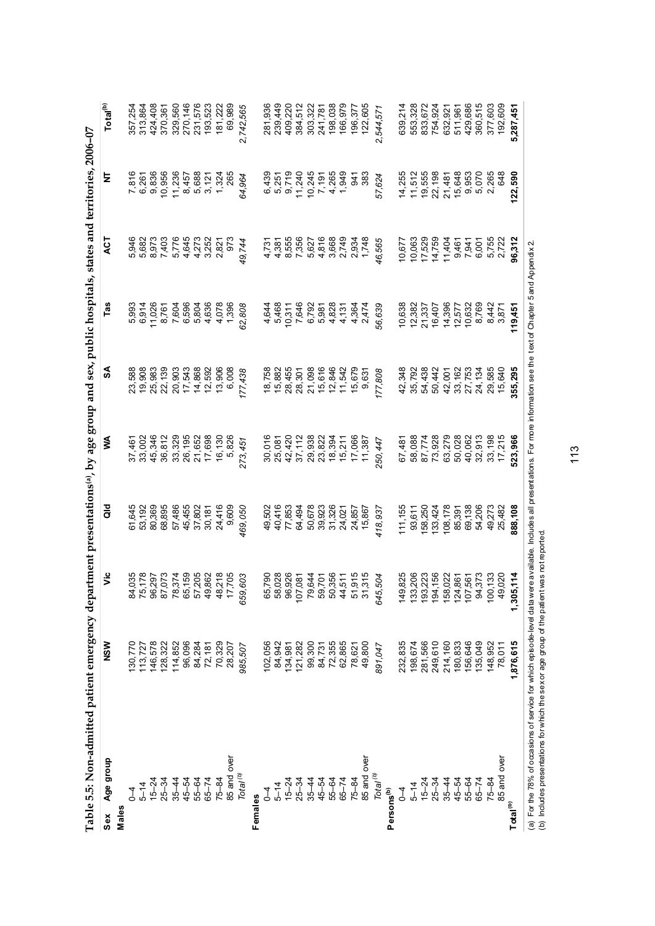| Table 5.5: Non-admitted patient emergency department presentations(a), by age group and sex, public hospitals, states and territories, 2006-07                                                                                                                              |           |                                                                                                                                                                                                                                                                                             |                  |                                                                           |                                      |                                                      |                                                                                                                                                                                                                                |                                                                               |                      |
|-----------------------------------------------------------------------------------------------------------------------------------------------------------------------------------------------------------------------------------------------------------------------------|-----------|---------------------------------------------------------------------------------------------------------------------------------------------------------------------------------------------------------------------------------------------------------------------------------------------|------------------|---------------------------------------------------------------------------|--------------------------------------|------------------------------------------------------|--------------------------------------------------------------------------------------------------------------------------------------------------------------------------------------------------------------------------------|-------------------------------------------------------------------------------|----------------------|
| Age group<br>Sex                                                                                                                                                                                                                                                            | NSW       | ۶Ë                                                                                                                                                                                                                                                                                          | a<br>a           | ⋚                                                                         | ઙ                                    | Tas                                                  | Ę                                                                                                                                                                                                                              | ₹                                                                             | Total <sup>(b)</sup> |
| Males                                                                                                                                                                                                                                                                       |           |                                                                                                                                                                                                                                                                                             |                  |                                                                           |                                      |                                                      |                                                                                                                                                                                                                                |                                                                               |                      |
|                                                                                                                                                                                                                                                                             | 130,770   |                                                                                                                                                                                                                                                                                             | 61,645           | 37,461                                                                    | 23,588                               | 5,993                                                | 5,946                                                                                                                                                                                                                          |                                                                               | 357,254              |
| $5 - 14$                                                                                                                                                                                                                                                                    | 113,727   |                                                                                                                                                                                                                                                                                             | 53,192           |                                                                           | 19,908<br>25,983                     | 6,914                                                |                                                                                                                                                                                                                                | 7,816<br>6,261                                                                | 313,864              |
| $15 - 24$                                                                                                                                                                                                                                                                   | 146,578   |                                                                                                                                                                                                                                                                                             | 80,369           |                                                                           |                                      | 11,026                                               |                                                                                                                                                                                                                                |                                                                               | 424,408              |
| $25 - 34$                                                                                                                                                                                                                                                                   | 128,322   |                                                                                                                                                                                                                                                                                             | 68,895           |                                                                           | 22,139                               |                                                      |                                                                                                                                                                                                                                | 9,836<br>10,956                                                               | 370,361              |
| $35 - 44$                                                                                                                                                                                                                                                                   | 114,852   |                                                                                                                                                                                                                                                                                             | 57,486           |                                                                           |                                      |                                                      |                                                                                                                                                                                                                                |                                                                               | 329,560              |
| 45-54                                                                                                                                                                                                                                                                       | 96,096    |                                                                                                                                                                                                                                                                                             |                  |                                                                           |                                      |                                                      |                                                                                                                                                                                                                                |                                                                               | 270,146              |
| 55-64                                                                                                                                                                                                                                                                       | 84,284    |                                                                                                                                                                                                                                                                                             | 45,455<br>37,802 |                                                                           |                                      |                                                      |                                                                                                                                                                                                                                |                                                                               | 231,576              |
| $65 - 74$                                                                                                                                                                                                                                                                   | 72,181    |                                                                                                                                                                                                                                                                                             | 30,181           | 33,002<br>33,348,32,32<br>33,32,32<br>33,32,52<br>32,52<br>32,52<br>32,52 | 20,903<br>17,543<br>14,868<br>12,592 | 8760886<br>200808<br>20088                           |                                                                                                                                                                                                                                |                                                                               | 193,523              |
| $75 - 84$                                                                                                                                                                                                                                                                   | 70,329    |                                                                                                                                                                                                                                                                                             | 24,416           | 16,130                                                                    | 13,906                               | 4,078                                                |                                                                                                                                                                                                                                | 11,236<br>8,457<br>6,688<br>1,324<br>1,324                                    | 181,222              |
| 85 and over                                                                                                                                                                                                                                                                 | 28,207    |                                                                                                                                                                                                                                                                                             | 9,609            | 5,826                                                                     | 6,008                                | 1,396                                                | 973                                                                                                                                                                                                                            | 265                                                                           | 69,989               |
| Total <sup>(b)</sup>                                                                                                                                                                                                                                                        | 985,507   | 659,603                                                                                                                                                                                                                                                                                     | 469,050          | 273,451                                                                   | 177,438                              | 62,808                                               | 49,744                                                                                                                                                                                                                         | 64,964                                                                        | 2,742,565            |
| Females                                                                                                                                                                                                                                                                     |           |                                                                                                                                                                                                                                                                                             |                  |                                                                           |                                      |                                                      |                                                                                                                                                                                                                                |                                                                               |                      |
| $\sqrt{4}$                                                                                                                                                                                                                                                                  | 102,056   |                                                                                                                                                                                                                                                                                             | 49,502           |                                                                           |                                      | 4,644                                                |                                                                                                                                                                                                                                |                                                                               | 281,936              |
| $5 - 14$                                                                                                                                                                                                                                                                    | 84,942    |                                                                                                                                                                                                                                                                                             | 40,416           |                                                                           | 18,758<br>15,882                     |                                                      |                                                                                                                                                                                                                                |                                                                               | 239,449              |
| $15 - 24$                                                                                                                                                                                                                                                                   | 134,981   |                                                                                                                                                                                                                                                                                             | 77,853           |                                                                           | 28,455                               |                                                      |                                                                                                                                                                                                                                |                                                                               | 409,220              |
| $25 - 34$                                                                                                                                                                                                                                                                   | 121,282   |                                                                                                                                                                                                                                                                                             | 64,494           |                                                                           | 28,301                               | 5,468<br>10,311<br>10,646<br>5,828<br>5,828<br>6,828 |                                                                                                                                                                                                                                |                                                                               | 384,512              |
| $35 - 44$                                                                                                                                                                                                                                                                   | 99,300    |                                                                                                                                                                                                                                                                                             | 50,678           |                                                                           | 21,098<br>15,616<br>12,846           |                                                      |                                                                                                                                                                                                                                |                                                                               | 303,322<br>241,781   |
| $45 - 54$                                                                                                                                                                                                                                                                   | 84,731    |                                                                                                                                                                                                                                                                                             |                  |                                                                           |                                      |                                                      |                                                                                                                                                                                                                                |                                                                               |                      |
| $55 - 64$                                                                                                                                                                                                                                                                   | 72,355    |                                                                                                                                                                                                                                                                                             | 39,923<br>31,326 |                                                                           |                                      |                                                      |                                                                                                                                                                                                                                |                                                                               | 198,038              |
| $65 - 74$                                                                                                                                                                                                                                                                   | 62,865    |                                                                                                                                                                                                                                                                                             | 24,021           | 016<br>03102820334716687<br>05102820334716687<br>0510382034571687         | 11,542                               | 4,131                                                |                                                                                                                                                                                                                                |                                                                               | 166,979              |
| $75 - 84$                                                                                                                                                                                                                                                                   | 78,621    |                                                                                                                                                                                                                                                                                             | 24,857           |                                                                           | 15,679<br>9,631                      | 4,364<br>2,474                                       |                                                                                                                                                                                                                                | 383<br>383                                                                    | 196,377              |
| 85 and over                                                                                                                                                                                                                                                                 | 49,800    | $\begin{array}{l} 66.790 \\ 66.028 \\ 68.028 \\ 69.028 \\ 69.028 \\ 69.029 \\ 69.029 \\ 69.029 \\ 69.029 \\ 69.029 \\ 69.029 \\ 69.029 \\ 69.029 \\ 69.029 \\ 69.029 \\ 69.029 \\ 69.029 \\ 69.029 \\ 69.029 \\ 69.029 \\ 69.029 \\ 69.029 \\ 69.029 \\ 69.029 \\ 69.029 \\ 69.029 \\ 69.0$ | 15,867           |                                                                           |                                      |                                                      | $4490$ $-490$ $-690$ $-690$ $-690$ $-690$ $-690$ $-690$ $-690$ $-690$ $-690$ $-690$ $-690$ $-690$ $-690$ $-690$ $-690$ $-690$ $-690$ $-690$ $-690$ $-690$ $-690$ $-690$ $-690$ $-690$ $-690$ $-690$ $-690$ $-690$ $-690$ $-69$ |                                                                               | 122,605              |
| $\mathsf{T}$ otal $\sp{^{(b)}}$                                                                                                                                                                                                                                             | 891,047   | 645,504                                                                                                                                                                                                                                                                                     | 418,937          | 250, 447                                                                  | 177,808                              | 56,639                                               | 46,565                                                                                                                                                                                                                         | 57,624                                                                        | 2,544,571            |
| Persons <sup>(b)</sup>                                                                                                                                                                                                                                                      |           |                                                                                                                                                                                                                                                                                             |                  |                                                                           |                                      |                                                      |                                                                                                                                                                                                                                |                                                                               |                      |
| $\sqrt{4}$                                                                                                                                                                                                                                                                  | 232,835   | 149,825                                                                                                                                                                                                                                                                                     | 111,155          | 67,481                                                                    | 42,348                               | 10,638                                               | 10,677                                                                                                                                                                                                                         | 14,255                                                                        | 639,214              |
| $5 - 14$                                                                                                                                                                                                                                                                    | 198,674   | $\begin{array}{l} 133,206 \\ 133,223 \\ 193,156 \\ 150,022 \\ 150,036 \\ 150,033 \\ 194,156 \\ 195,373 \\ \end{array}$                                                                                                                                                                      | 93,611           | 58,088<br>87,774                                                          | 35,792                               | 12,382<br>21,337<br>16,407                           | 10,063<br>17,529<br>14,759                                                                                                                                                                                                     |                                                                               | 553,328              |
| $15 - 24$                                                                                                                                                                                                                                                                   | 281,566   |                                                                                                                                                                                                                                                                                             | 158,250          |                                                                           | 54,438                               |                                                      |                                                                                                                                                                                                                                |                                                                               | 833,672              |
| $25 - 34$                                                                                                                                                                                                                                                                   | 249,610   |                                                                                                                                                                                                                                                                                             | 133,424          | 73,928                                                                    | 50,442                               |                                                      |                                                                                                                                                                                                                                | $\begin{array}{c} 11,512 \\ 19,555 \\ 20,198 \\ 21,481 \\ 15,648 \end{array}$ | 754,924              |
| $35 - 44$                                                                                                                                                                                                                                                                   | 214,160   |                                                                                                                                                                                                                                                                                             | 108,178          | 63,279<br>50,028                                                          |                                      | 14,396<br>12,577                                     | 11,404                                                                                                                                                                                                                         |                                                                               | 632,921<br>511,961   |
| 45-54                                                                                                                                                                                                                                                                       | 180,833   |                                                                                                                                                                                                                                                                                             | 85,391           |                                                                           | 42,001<br>33,162<br>27,753           |                                                      | 8.7<br>8.95<br>8.76                                                                                                                                                                                                            |                                                                               |                      |
| 55-64                                                                                                                                                                                                                                                                       | 156,646   |                                                                                                                                                                                                                                                                                             | 69,138           | 40,062                                                                    |                                      | 10,632                                               |                                                                                                                                                                                                                                | 9,953                                                                         | 429,686              |
| $65 - 74$                                                                                                                                                                                                                                                                   | 135,049   |                                                                                                                                                                                                                                                                                             | 54,206           | 32,913                                                                    | 24,134                               | 8,769                                                |                                                                                                                                                                                                                                | 5,070                                                                         | 360,515              |
| $75 - 84$                                                                                                                                                                                                                                                                   | 148,952   | 100,133<br>49,020                                                                                                                                                                                                                                                                           | 49,273           | 33,198<br>17,215                                                          | 29,585                               | 8,442<br>3,871                                       | 5,755<br>2,722                                                                                                                                                                                                                 | 2,265                                                                         | 377,603              |
| 85 and over                                                                                                                                                                                                                                                                 | 78,011    |                                                                                                                                                                                                                                                                                             | 25,482           |                                                                           | 15,640                               |                                                      |                                                                                                                                                                                                                                | 648                                                                           | 192,609              |
| Total <sup>(b)</sup>                                                                                                                                                                                                                                                        | 1,876,615 | 1,305,114                                                                                                                                                                                                                                                                                   | 888,108          | 523,966                                                                   | 355,295                              | 119,451                                              | 96,312                                                                                                                                                                                                                         | 122,590                                                                       | 5,287,451            |
| (a) For the 78% of occasions of service for which episode-level data were available. Includes all presentations. For more information see the text of Chapter 5 and Appendix 2<br>(b) Includes presentations for which the sex or age group of the patient was not reported |           |                                                                                                                                                                                                                                                                                             |                  |                                                                           |                                      |                                                      |                                                                                                                                                                                                                                |                                                                               |                      |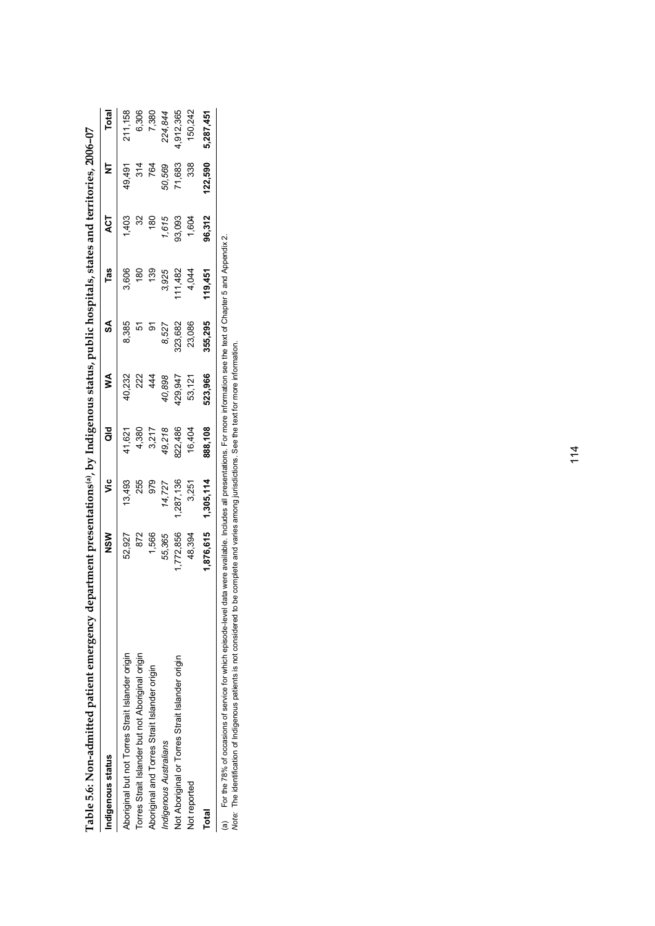| den Anternational barner and the series of the results of the series of the series of the series of the series                                                                                                                 | laturent presentatuons", py unugenous status, public nospitals, states and terminology zoop-o |           |         |         |         |         |          |         |              |
|--------------------------------------------------------------------------------------------------------------------------------------------------------------------------------------------------------------------------------|-----------------------------------------------------------------------------------------------|-----------|---------|---------|---------|---------|----------|---------|--------------|
| Indigenous status                                                                                                                                                                                                              | NSW                                                                                           | ۶Ë        | ਰ<br>ਹ  | ⋚       | S       | Tas     | ACT      |         | <b>Total</b> |
| Abonginal but not Torres Strait Islander origin                                                                                                                                                                                | 52,927                                                                                        | 13,493    | 41,621  | 40,232  | 8,385   | 3,606   | ,403     | 49,491  | 211,158      |
| Torres Strait Islander but not Aboriginal origin                                                                                                                                                                               | 872                                                                                           | 255       | 4,380   | 222     |         | 180     | ೫        | 314     | 6,306        |
| Aboriginal and Torres Strait Islander origin                                                                                                                                                                                   | 1,566                                                                                         | 979       | 3,217   | 44      |         |         | <u>ေ</u> | 764     | 7,380        |
| Indigenous Australians                                                                                                                                                                                                         | 55,365                                                                                        | 14,727    | 49,218  | 40,898  | 8,527   | 3,925   | 1,615    | 50,569  | 224,844      |
| Not Aboriginal or Torres Strait Islander origin                                                                                                                                                                                | ,772,856                                                                                      | 287,136   | 822,486 | 129,947 | 323,682 | 11,482  | 93,093   | 71,683  | 1,912,365    |
| Not reported                                                                                                                                                                                                                   | 48,394                                                                                        | 3,251     | 16,404  | 53,121  | 23,086  | 4,044   | 1,604    | 338     | 150,242      |
| Total                                                                                                                                                                                                                          | 1,876,615                                                                                     | 1,305,114 | 888,108 | 523,966 | 355,295 | 119,451 | 96,312   | 122,590 | 5,287,451    |
| On the first that we have the first the first that we have the first that we have the contract the contract of the contract of the contract of the contract of the contract of the contract of the contract of the contract of |                                                                                               |           |         |         |         |         |          |         |              |

Table 5.6: Non-admitted patient emergency department presentations(a) by Indigenous status, public hospitals, states and territories, 2006-07 **Table 5.6: Non-admitted patient emergency department presentations(a), by Indigenous status, public hospitals, states and territories, 2006–07**

(a) For the 78% of occasions of service for which episode-level data were available. Includes all presentations. For more information see the text of Chapter 5 and Appendix 2.<br>*Note:* The identification of Indigenous patie (a) For the 78% of occasions of service for which episode-level data were available. Includes all presentations. For more information see the text of Chapter 5 and Appendix 2.

*Note:* The identification of Indigenous patients is not considered to be complete and varies among jurisdictions. See the text for more information.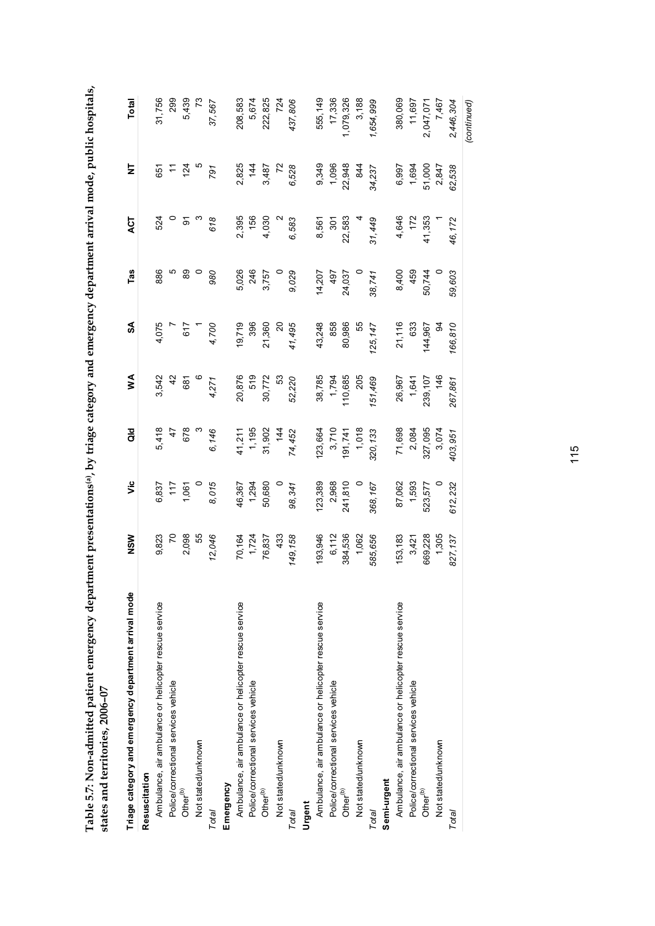| <br> <br> <br> <br>                                                                                                                                                                                                                                      |                 |
|----------------------------------------------------------------------------------------------------------------------------------------------------------------------------------------------------------------------------------------------------------|-----------------|
|                                                                                                                                                                                                                                                          |                 |
|                                                                                                                                                                                                                                                          |                 |
| <b>Contrary designation of the contrary of the contrary of the contrary of the contrary of the contrary of the contrary of the contrary of the contrary of the contrary of the contrary of the contrary of the contrary of the c</b><br> <br> <br> <br>l |                 |
| $\vdots$                                                                                                                                                                                                                                                 |                 |
| <br> <br>                                                                                                                                                                                                                                                |                 |
| ייז פוח מוחמית המוחרו                                                                                                                                                                                                                                    |                 |
| ş                                                                                                                                                                                                                                                        |                 |
| いしく ことこう                                                                                                                                                                                                                                                 |                 |
|                                                                                                                                                                                                                                                          |                 |
| I                                                                                                                                                                                                                                                        |                 |
|                                                                                                                                                                                                                                                          |                 |
|                                                                                                                                                                                                                                                          |                 |
| hent p                                                                                                                                                                                                                                                   |                 |
| <b>The Parties</b>                                                                                                                                                                                                                                       |                 |
|                                                                                                                                                                                                                                                          |                 |
| j                                                                                                                                                                                                                                                        |                 |
|                                                                                                                                                                                                                                                          |                 |
|                                                                                                                                                                                                                                                          | ζ               |
| <b>Fakla E 7. Nion-admitted nationt emergency dem</b>                                                                                                                                                                                                    | LO SUUC         |
|                                                                                                                                                                                                                                                          | ļ               |
| <u>ון האיני היה המונח</u>                                                                                                                                                                                                                                | truet puc setc. |
|                                                                                                                                                                                                                                                          |                 |
|                                                                                                                                                                                                                                                          |                 |

| Triage category and emergency department arrival mode | NSW            | υ'n     | $\frac{1}{3}$ | ≸             | S              | Tas     | <b>ACT</b>     | Ż           | Total         |
|-------------------------------------------------------|----------------|---------|---------------|---------------|----------------|---------|----------------|-------------|---------------|
| Resuscitation                                         |                |         |               |               |                |         |                |             |               |
| Ambulance, air ambulance or helicopter rescue service | 9,823          | 6,837   | 5,418         | 3,542         | 4,075          | 886     | 524            | 651         | 31,756        |
| Police/correctional services vehicle                  | $\overline{C}$ | 117     | 47            | $\frac{2}{3}$ |                | Ю       | $\circ$        | $\tilde{t}$ | 299           |
| Other <sup>(b)</sup>                                  | 2,098          | 1,061   | 678           | 681           | 617            | 89      | $\mathfrak{D}$ | 124         | 5,439         |
| Not stated/unknown                                    | 55             |         | $\infty$      | $\circ$       | $\overline{a}$ | $\circ$ |                |             | $\mathcal{L}$ |
| Total                                                 | 12,046         | 8,015   | 6,146         | 4,271         | 4,700          | 980     | 618            | 791         | 37,567        |
| Emergency                                             |                |         |               |               |                |         |                |             |               |
| Ambulance, air ambulance or helicopter rescue service | 70,164         | 46,367  | 41,211        | 20,876        | 19,719         | 5,026   | 2,395          | 2,825       | 208,583       |
| Police/correctional services vehicle                  | 1,724          | 1,294   | 1,195         | 519           | 396            | 246     | 156            | 144         | 5,674         |
| Other <sup>(b)</sup>                                  | 76,837         | 50,680  | 31,902        | 30,772        | 21,360         | 3,757   | 4,030          | 3,487       | 222,825       |
| Not stated/unknown                                    | 433            |         | 144           | 53            | $\overline{c}$ |         |                | 72          | 724           |
| Total                                                 | 149, 158       | 98,341  | 74,452        | 52,220        | 41,495         | 9,029   | 6,583          | 6,528       | 437,806       |
| Urgent                                                |                |         |               |               |                |         |                |             |               |
| Ambulance, air ambulance or helicopter rescue service | 193,946        | 123,389 | 123,664       | 38,785        | 43,248         | 14,207  | 8,561          | 9,349       | 555,149       |
| Police/correctional services vehicle                  | 6,112          | 2,968   | 3,710         | 1,794         | 858            | 497     | 301            | 1,096       | 17,336        |
| Other $\binom{p}{k}$                                  | 384,536        | 241,810 | 191,741       | 110,685       | 80,986         | 24,037  | 22,583         | 22,948      | 1,079,326     |
| Not stated/unknown                                    | 1,062          | $\circ$ | 1,018         | 205           | 55             |         |                | 844         | 3,188         |
| Total                                                 | 585,656        | 368,167 | 320, 133      | 151,469       | 125, 147       | 38,741  | 31,449         | 34,237      | 1,654,999     |
| Semi-urgent                                           |                |         |               |               |                |         |                |             |               |
| Ambulance, air ambulance or helicopter rescue service | 153,183        | 87,062  | 71,698        | 26,967        | 21,116         | 8,400   | 4,646          | 6,997       | 380,069       |
| Police/correctional services vehicle                  | 3,421          | 1,593   | 2,084         | 1,641         | 633            | 459     | 172            | 1,694       | 11,697        |
| Other <sup>(b)</sup>                                  | 669,228        | 523,577 | 327,095       | 239, 107      | 144,967        | 50,744  | 41,353         | 51,000      | 2,047,071     |
| Not stated/unknown                                    | 1,305          |         | 3,074         | 146           | रू             |         |                | 2,847       | 7,467         |
| Total                                                 | 827,137        | 612,232 | 403,951       | 267,861       | 166,810        | 59,603  | 46,172         | 62,538      | 2,446,304     |
|                                                       |                |         |               |               |                |         |                |             | (continued)   |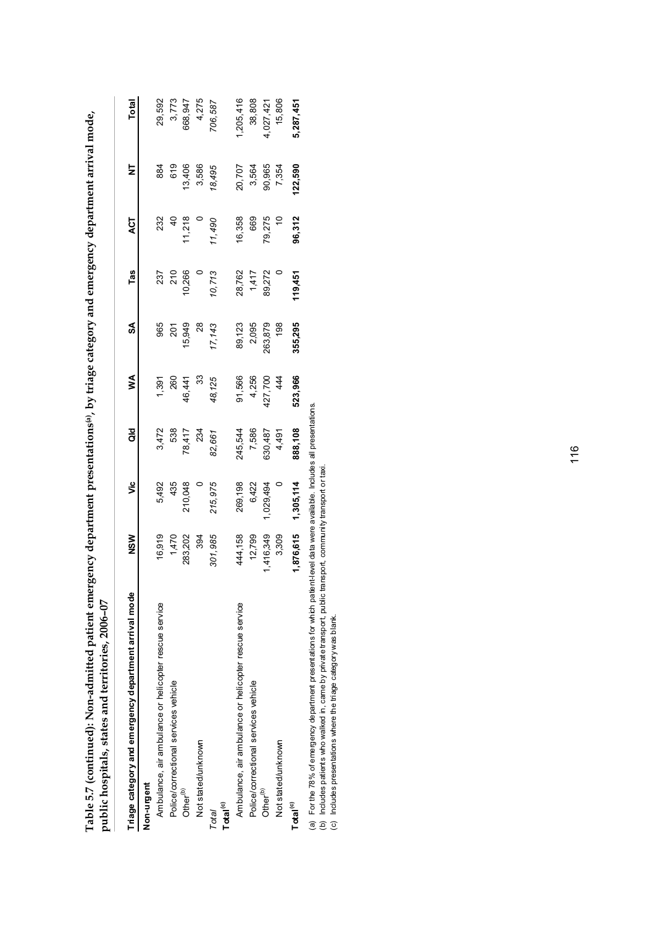| public hospitals, states and territories, 2006-07     |                  |           |         |                         |         |            |               |         |           |
|-------------------------------------------------------|------------------|-----------|---------|-------------------------|---------|------------|---------------|---------|-----------|
| Triage category and emergency department arrival mode | NSW              | ئا        | as<br>G | Š                       | S       | Tas        | ACT           | Ż       | Total     |
| Non-urgent                                            |                  |           |         |                         |         |            |               |         |           |
| Ambulance, air ambulance or helicopter rescue service | 16,919           | 5,492     | 3,472   | 1,391                   | 965     |            | 232           | 884     | 29,592    |
| Police/correctional services vehicle                  |                  | 435       | 538     |                         | 201     | 237<br>210 | $rac{1}{4}$   | 619     | 3,773     |
| Other <sup>(b)</sup>                                  | 1,470<br>283,202 | 210,048   | 78,417  | 260<br>46,441           | 15,949  | 10,266     |               | 13,406  | 668,947   |
| Not stated/unknown                                    | 394              |           | 234     | 33                      | 28      |            | $11,218$<br>0 | 3,586   | 4,275     |
| Total <sup>(c)</sup><br>Total                         | 301,985          | 215,975   | 82,661  | 48,125                  | 17,143  | 10,713     | 11,490        | 18,495  | 706,587   |
| Ambulance, air ambulance or helicopter rescue service | 444,158          | 269,198   | 245,544 | 91,566                  | 89,123  | 28,762     | 16,358        | 20,707  | ,205,416  |
| Police/correctional services vehicle                  | 12,799           | 6,422     | 7,586   |                         | 2,095   | 1,417      | 669           | 3,564   | 38,808    |
| Other <sup>(b)</sup>                                  | ,416,349         | ,029,494  | 630,487 | 4,256<br>427,700<br>444 | 263,879 | 89,272     |               | 90,965  | 4,027,421 |
| Not stated/unknown                                    | 3,309            |           | 4,491   |                         | 198     |            | 79,275<br>10  | 7,354   | 15,806    |
| Total <sup>(c)</sup>                                  | 1,876,615        | 1,305,114 | 888,108 | 523,966                 | 355,295 | 119,451    | 96,312        | 122,590 | 5,287,451 |
|                                                       |                  |           |         |                         |         |            |               |         |           |

Table 5.7 (continued): Non-admitted patient emergency department presentations<sup>(a)</sup>, by triage category and emergency department arrival mode, **Table 5.7 (continued): Non-admitted patient emergency department presentations(a), by triage category and emergency department arrival mode,** 

(a) For the 78% of emergency department presentations for which patient-level data were available. Includes all presentations.<br>(b) Includes patients who walked in , came by private transport, public transport, community tr (a) For the 78% of emergency department presentations for which patient-level data were available. Includes all presentations.

(b) Includes patients who walked in, came by private transport, public transport, community transport or taxi.

(c) Includes presentations where the triage category was blank.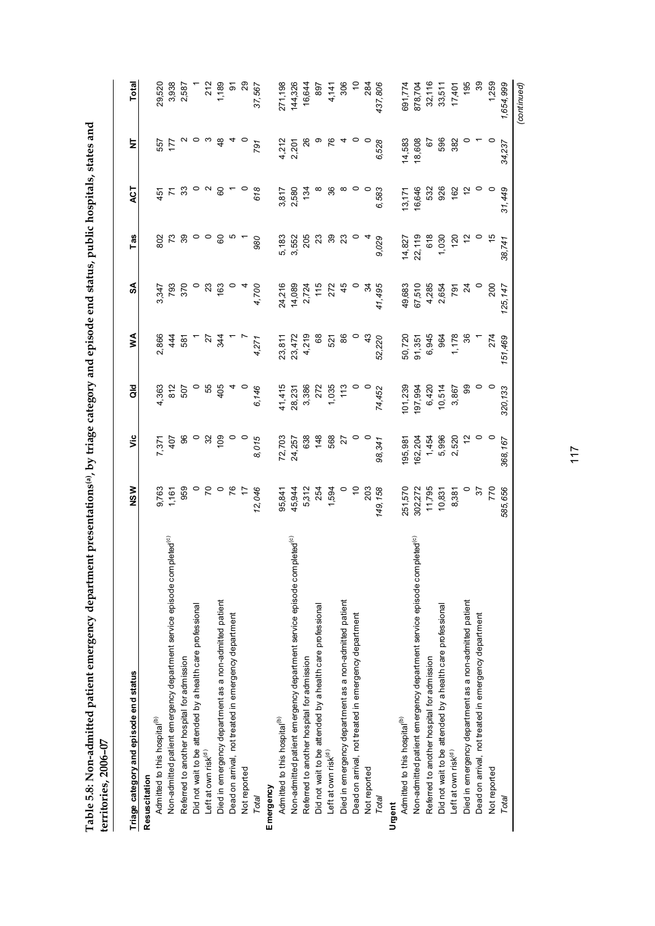Table 5.8: Non-admitted patient emergency department presentations(a), by triage category and episode end status, public hospitals, states and<br>territories, 2006–07 **Table 5.8: Non-admitted patient emergency department presentations(a), by triage category and episode end status, public hospitals, states and territories, 2006–07**

| $l$ . The stress of $\mathbb{Z}$ of $\mathbb{Z}$                                   |                       |                 |              |                              |                                  |                                                                                        |                       |                |                 |
|------------------------------------------------------------------------------------|-----------------------|-----------------|--------------|------------------------------|----------------------------------|----------------------------------------------------------------------------------------|-----------------------|----------------|-----------------|
| Triage category and episode end status                                             | <b>NSW</b>            | ۶Ë              | as<br>O      | ≸                            | SA                               | Tas                                                                                    | ACT                   | Ż              | Total           |
| Resuscitation                                                                      |                       |                 |              |                              |                                  |                                                                                        |                       |                |                 |
| Admitted to this hospital <sup>(b)</sup>                                           |                       | 7,371           | 4,363        | 2,866                        |                                  |                                                                                        | 451                   |                |                 |
| Non-admitted patient emergency department service episode completed <sup>(c)</sup> | 9,763<br>1,161<br>959 | 407             | 812          | 44                           | 3,347<br>793                     | 802<br>73                                                                              | $\overline{r}$        | 177<br>175     | 29,520<br>3,938 |
| Referred to another hospital for admission                                         |                       | 96              | 507          | 587                          | 370                              | 39                                                                                     | 33                    |                | 2,587           |
| Did not wait to be attended by a health care professional                          | $\circ$               | $\circ$         |              |                              |                                  | $\circ$                                                                                |                       | ဝ က            |                 |
| Left at own risk <sup>(d)</sup>                                                    | $\mathcal{L}$         | 32              | 55           |                              |                                  | $\circ$                                                                                | $\sim$                |                | 212             |
| Died in emergency department as a non-admitted patient                             |                       | 109             | 405          | व्यू<br>व्यू                 | $\frac{23}{63}$                  | $^{60}$                                                                                | 60                    | 48             | 1,189           |
| Dead on arrival, not treated in emergency department                               |                       |                 |              |                              |                                  |                                                                                        |                       |                |                 |
| Not reported                                                                       | 76                    |                 |              | $\overline{a}$               |                                  |                                                                                        |                       |                | <u>ನಿ</u> ನಿ    |
| Total                                                                              | 12,046                | 8,015           | 6,146        | 4,271                        | 4,700                            | 980                                                                                    | 618                   | 791            | 37,567          |
| Emergency                                                                          |                       |                 |              |                              |                                  |                                                                                        |                       |                |                 |
| Admitted to this hospital <sup>(b)</sup>                                           | 95,841                | 72,703          | 41,415       |                              |                                  |                                                                                        |                       |                | 271,198         |
| Non-admitted patient emergency department service episode completed(c)             | 45,944                |                 | 28,231       | 23, 811<br>23, 472<br>4, 219 |                                  | 5, 183<br>5, 552<br>5, 505<br>205                                                      | 3,817<br>2,580<br>134 | 4,212<br>2,201 | 144,326         |
| Referred to another hospital for admission                                         |                       | 24,257<br>638   |              |                              |                                  |                                                                                        |                       | $\frac{26}{5}$ | 16,644          |
| Did not wait to be attended by a health care professional                          | 5,312<br>254          | 148             | 3,386<br>272 | 68                           | 24,216<br>14,089<br>2,724<br>115 |                                                                                        |                       | စ              | 897             |
| Left at own risk(d)                                                                | 1,594                 | 568             | 1,035<br>113 | 521                          | 272                              |                                                                                        | 36                    | 76             | 4,141           |
| Died in emergency department as a non-admitted patient                             |                       | 27              |              | 86                           | 45                               | ន<br>ខ                                                                                 |                       |                | 306             |
| Dead on arrival, not treated in emergency department                               | $\tilde{=}$           | $\circ$         |              |                              |                                  |                                                                                        |                       |                | $\tilde{=}$     |
| Not reported                                                                       | 203                   |                 |              | 43                           | $\mathfrak{A}$                   |                                                                                        |                       |                | 284             |
| Total                                                                              | 149, 158              | 98,341          | 74,452       | 52,220                       | 41,495                           | 9,029                                                                                  | 6,583                 | 6,528          | 437,806         |
| Urgent                                                                             |                       |                 |              |                              |                                  |                                                                                        |                       |                |                 |
| Admitted to this hospital <sup>(b)</sup>                                           | 251,570               | 195,981         | 101,239      | 50,720                       | 49,683                           |                                                                                        | 13,171                | 14,583         | 691,774         |
| Non-admitted patient emergency department service episode completed <sup>(c)</sup> | 302,272               | 162,204         | 197,994      |                              |                                  |                                                                                        |                       | 18,608         | 878,704         |
| Referred to another hospital for admission                                         | 11,795                | 1,454           | 6,420        |                              | 67,510<br>4,285                  |                                                                                        |                       | 67             | 32,116          |
| Did not wait to be attended by a health care professional                          | 10,831                | 5,996           | 10,514       | 91, 351<br>6, 945<br>964     | 2,654                            |                                                                                        | 16,646<br>532<br>926  | 596            | 33,511          |
| Left at own risk(d)                                                                | 8,381                 | 2,520           | 3,867        | 1,178                        | 791                              | $\begin{array}{r} \n 14,827 \\  22,119 \\  618 \\  1,030 \\  120 \\  12\n \end{array}$ | 162                   | 382            | 17,401          |
| Died in emergency department as a non-admitted patient                             |                       | 5               | 8            | $\frac{8}{3}$                | $\overline{24}$                  |                                                                                        | $\frac{2}{3}$         |                | 195             |
| Dead on arrival, not treated in emergency department                               | 57                    | $\circ$ $\circ$ |              |                              |                                  |                                                                                        |                       |                | 39              |
| Not reported                                                                       | 770                   |                 |              | 274                          | 200                              |                                                                                        |                       |                | 1,259           |
| Total                                                                              | 585,656               | 368,167         | 320,133      | 151,469                      | 125, 147                         | 38,741                                                                                 | 31,449                | 34,237         | 1,654,999       |
|                                                                                    |                       |                 |              |                              |                                  |                                                                                        |                       |                | (continued)     |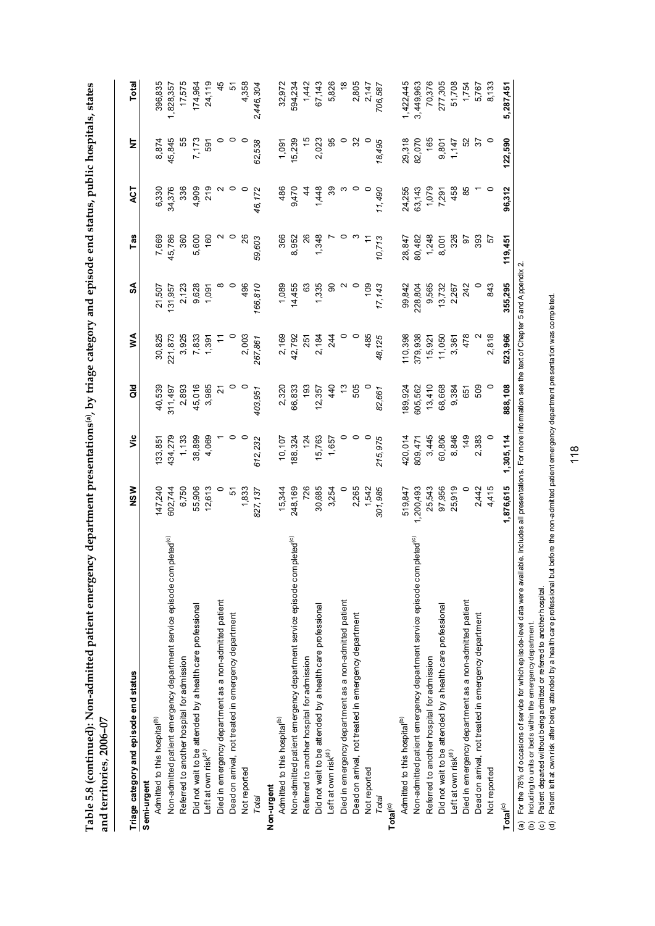| cetete cheeses                                                             |  |
|----------------------------------------------------------------------------|--|
|                                                                            |  |
|                                                                            |  |
|                                                                            |  |
|                                                                            |  |
|                                                                            |  |
|                                                                            |  |
|                                                                            |  |
|                                                                            |  |
| anu cei                                                                    |  |
|                                                                            |  |
| -<br>.                                                                     |  |
| こうようこう                                                                     |  |
|                                                                            |  |
| <br> <br>                                                                  |  |
|                                                                            |  |
| ment presentations(a) by triage category and enjande end status public hor |  |
|                                                                            |  |
|                                                                            |  |
| í                                                                          |  |
|                                                                            |  |
| $-11.7$ we have respect to<br>ミーキー てんこう こうじょう                              |  |
|                                                                            |  |
|                                                                            |  |
|                                                                            |  |
|                                                                            |  |
|                                                                            |  |
| l                                                                          |  |
|                                                                            |  |
|                                                                            |  |
|                                                                            |  |
|                                                                            |  |
|                                                                            |  |
|                                                                            |  |
|                                                                            |  |
|                                                                            |  |
|                                                                            |  |

| Triage category and episode end status                                                                                                                                                                                                                                                                                                                                      | NSW       | υïς                                                                              | as<br>o       | ≸       | S       | Tas     | <b>ACT</b>    | 노               | <b>Total</b>  |
|-----------------------------------------------------------------------------------------------------------------------------------------------------------------------------------------------------------------------------------------------------------------------------------------------------------------------------------------------------------------------------|-----------|----------------------------------------------------------------------------------|---------------|---------|---------|---------|---------------|-----------------|---------------|
| Semi-urgent                                                                                                                                                                                                                                                                                                                                                                 |           |                                                                                  |               |         |         |         |               |                 |               |
| Admitted to this hospital <sup>(b)</sup>                                                                                                                                                                                                                                                                                                                                    | 147,240   | 133,851                                                                          | 40,539        | 30,825  | 21,507  | 7,669   | 6,330         | 8,874           | 396,835       |
| Non-admitted patient emergency department service episode completed <sup>(c)</sup>                                                                                                                                                                                                                                                                                          | 602,744   | 434,279                                                                          | 311,497       | 221,873 | 131,957 | 45,786  | 34,376        | 45,845          | 1,828,357     |
| Referred to another hospital for admission                                                                                                                                                                                                                                                                                                                                  | 6,750     | 1,133                                                                            | 2,893         | 3,925   | 2,123   | 360     | 336           | 55              | 17,575        |
| Did not wait to be attended by a health care professional                                                                                                                                                                                                                                                                                                                   | 55,906    | 38,899                                                                           | 45,016        | 7,833   | 9,628   | 5,600   | 4,909         | 7,173           | 174,964       |
| Left at own risk(d)                                                                                                                                                                                                                                                                                                                                                         | 12,613    | 4,069                                                                            | 3,985         | 1,391   | 1,091   | 160     | 219           | 591             | 24,119        |
| Died in emergency department as a non-admitted patient                                                                                                                                                                                                                                                                                                                      | $\circ$   |                                                                                  | 21            |         |         |         |               |                 | 45            |
| Dead on arrival, not treated in emergency department                                                                                                                                                                                                                                                                                                                        | 51        | 0                                                                                | 0             |         |         |         | 0             | 0               | 5             |
| Not reported                                                                                                                                                                                                                                                                                                                                                                | 1,833     |                                                                                  | $\circ$       | 2,003   | 496     | 26      | $\circ$       |                 | 4,358         |
| Total                                                                                                                                                                                                                                                                                                                                                                       | 827, 137  | 612,232                                                                          | 403,951       | 267,861 | 166,810 | 59,603  | 46,172        | 62,538          | 2,446,304     |
| Non-urgent                                                                                                                                                                                                                                                                                                                                                                  |           |                                                                                  |               |         |         |         |               |                 |               |
| Admitted to this hospital <sup>(b)</sup>                                                                                                                                                                                                                                                                                                                                    | 15,344    | 10,107                                                                           | 2,320         | 2,169   | 1,089   | 366     | 486           | 1,091           | 32,972        |
| Non-admitted patient emergency department service episode completed <sup>(c)</sup>                                                                                                                                                                                                                                                                                          | 248,169   | 188,324                                                                          | 66,833        | 42,792  | 14,455  | 8,952   | 9,470         | 15,239          | 594,234       |
| Referred to another hospital for admission                                                                                                                                                                                                                                                                                                                                  | 726       | 124                                                                              | 193           | 251     | 63      | 26      | $\frac{4}{3}$ | $\frac{6}{5}$   | 1,442         |
| Did not wait to be attended by a health care professional                                                                                                                                                                                                                                                                                                                   | 30,685    | 15,763                                                                           | 12,357        | 2,184   | 1,335   | 1,348   | 1,448         | 2,023           | 67,143        |
| Left at own risk <sup>(d)</sup>                                                                                                                                                                                                                                                                                                                                             | 3,254     | 1,657                                                                            | 440           | 244     | 90      |         | 39            | 95              | 5,826         |
| Died in emergency department as a non-admitted patient                                                                                                                                                                                                                                                                                                                      | 0         |                                                                                  | $\frac{3}{2}$ |         |         |         | ო             | $\circ$         | $\frac{8}{1}$ |
| Dead on arrival, not treated in emergency department                                                                                                                                                                                                                                                                                                                        | 2,265     | $\circ$                                                                          | 505           |         | $\circ$ |         | $\circ$       | 32              | 2,805         |
| Not reported                                                                                                                                                                                                                                                                                                                                                                | 1,542     | $\circ$                                                                          |               | 485     | 109     |         | $\circ$       |                 | 2,147         |
| Total                                                                                                                                                                                                                                                                                                                                                                       | 301,985   | 215,975                                                                          | 82,661        | 48,125  | 17,143  | 10,713  | 11,490        | 18,495          | 706,587       |
| Total <sup>(c)</sup>                                                                                                                                                                                                                                                                                                                                                        |           |                                                                                  |               |         |         |         |               |                 |               |
| Admitted to this hospital <sup>(b)</sup>                                                                                                                                                                                                                                                                                                                                    | 519,847   | 420,014                                                                          | 89,924        | 110,398 | 99,842  | 28,847  | 24,255        | 29,318          | 1,422,445     |
| Non-admitted patient emergency department service episode completed <sup>(c)</sup>                                                                                                                                                                                                                                                                                          | 1,200,493 | 809,471                                                                          | 605,562       | 379,938 | 228,804 | 80,482  | 63,143        | 82,070          | 3,449,963     |
| Referred to another hospital for admission                                                                                                                                                                                                                                                                                                                                  | 25,543    | 3,445                                                                            | 13,410        | 15,921  | 9,565   | 1,248   | 1,079         | 165             | 70,376        |
| Did not wait to be attended by a health care professional                                                                                                                                                                                                                                                                                                                   | 97,956    | 60,806                                                                           | 68,668        | 11,050  | 13,732  | 8,001   | 7,291         | 9,801           | 277,305       |
| Left at own risk(d)                                                                                                                                                                                                                                                                                                                                                         | 25,919    | 8,846                                                                            | 9,384         | 3,361   | 2,267   | 326     | 458           | 1,147           | 51,708        |
| Died in emergency department as a non-admitted patient                                                                                                                                                                                                                                                                                                                      |           | 149                                                                              | 651           | 478     | 242     | 50      | 85            | 52              | 1,754         |
| Dead on arrival, not treated in emergency department                                                                                                                                                                                                                                                                                                                        | 2,442     | 2,383                                                                            | 509           |         |         | 393     |               | $\overline{37}$ | 5,767         |
| Not reported                                                                                                                                                                                                                                                                                                                                                                | 4,415     |                                                                                  | $\circ$       | 2,818   | 843     | 57      | $\circ$       |                 | 8,133         |
| Total <sup>(c)</sup>                                                                                                                                                                                                                                                                                                                                                        | 1,876,615 | 1,305,114                                                                        | 888,108       | 523,966 | 355,295 | 119,451 | 96,312        | 122,590         | 5,287,451     |
| For the 78% of occasions of service for which episo de-level data were available. Includes all presentations. For more information see the text of Chapter 5 and Appendix 2.<br>Patient departed without being admitted or referred to another hospital.<br>Including to units or beds within the emergency department.<br>$\circledcirc$<br>$\widehat{a}$<br>$\widehat{e}$ |           |                                                                                  |               |         |         |         |               |                 |               |
| Patient left at own risk after being attended by a health care professional but                                                                                                                                                                                                                                                                                             |           | before the non-admitted patient emergency department presentation was completed. |               |         |         |         |               |                 |               |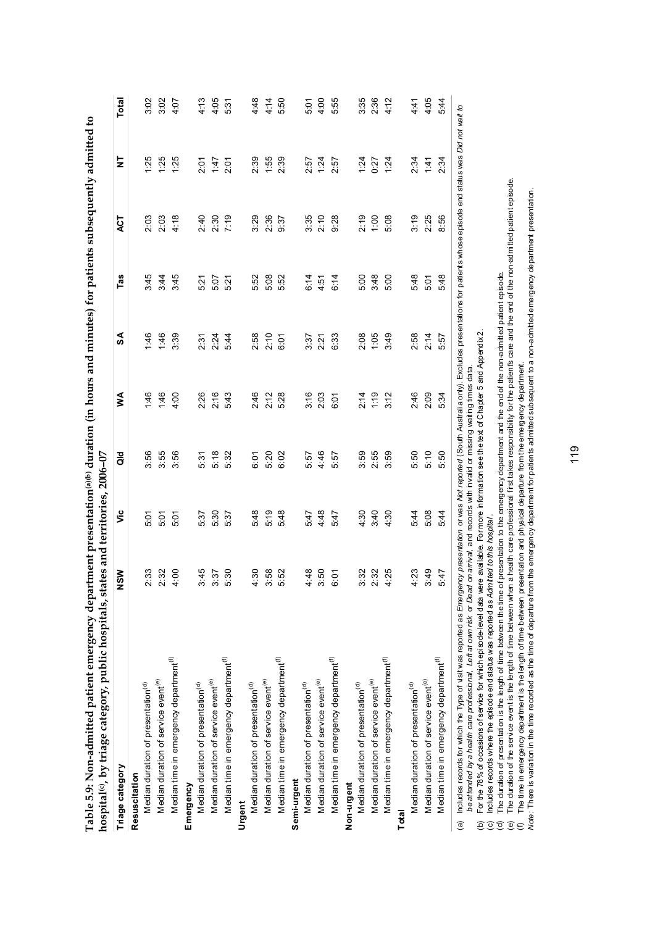| Triage category                                    | NSW  | υã   | <b>aid</b> | ≶    | SA   | Tas  | ξ    | $\overline{\mathsf{z}}$ | Total |
|----------------------------------------------------|------|------|------------|------|------|------|------|-------------------------|-------|
| Resuscitation                                      |      |      |            |      |      |      |      |                         |       |
| Median duration of presentation <sup>(d)</sup>     | 2:33 | 5.01 | 3:56       | 46   | 1:46 | 3:45 | 2:03 | .25                     | 3.02  |
| Median duration of service event <sup>(e)</sup>    | 2:32 | 5:01 | 3.55       | 1:46 | 1:46 | 3.44 | 2:03 | 1:25                    | 3:02  |
| Median time in emergency department <sup>(f)</sup> | 4:00 | 5:01 | 3:56       | 4.00 | 3:39 | 3:45 | 4:18 | 1:25                    | 4:07  |
| Emergency                                          |      |      |            |      |      |      |      |                         |       |
| Median duration of presentation <sup>(d)</sup>     | 3:45 | 5.37 | 5:31       | 2:26 | 2:31 | 5.21 | 2:40 | 2:01                    | 4.13  |
| Median duration of service event <sup>(e)</sup>    | 3:37 | 5.30 | 5:18       | 2:16 | 2:24 | 5:07 | 2:30 | 1.47                    | 4:05  |
| Median time in emergency department <sup>(f)</sup> | 5:30 | 5.37 | 5:32       | 543  | 5:44 | 5.21 | 7:19 | 2:01                    | 5.31  |
| Urgent                                             |      |      |            |      |      |      |      |                         |       |
| Median duration of presentation <sup>(d)</sup>     | 4:30 | 5:48 | 6:01       | 2:46 | 2:58 | 5.52 | 3:29 | 2:39                    | 4:48  |
| Median duration of service event <sup>(e)</sup>    | 3:58 | 5:19 | 5:20       | 2:12 | 2:10 | 5.08 | 2:36 | 1:55                    | 4:14  |
| Median time in emergency department <sup>(f)</sup> | 5.52 | 5:48 | 6:02       | 528  | 6:01 | 5.52 | 9:37 | 2:39                    | 5:50  |
| Semi-urgent                                        |      |      |            |      |      |      |      |                         |       |
| Median duration of presentation <sup>(d)</sup>     | 4:48 | 547  | 5:57       | 3:16 | 3:37 | 6:14 | 3:35 | 2:57                    | 5.01  |
| Median duration of service event <sup>(e)</sup>    | 3:50 | 4:48 | 4:46       | 2:03 | 2:21 | 4:51 | 2:10 | 1:24                    | 4:00  |
| Median time in emergency department <sup>(f)</sup> | 6:01 | 547  | 5.57       | 6:01 | 6:33 | 6:14 | 9:28 | 2.57                    | 5.55  |
| Non-urgent                                         |      |      |            |      |      |      |      |                         |       |
| Median duration of presentation <sup>(d)</sup>     | 3:32 | 4.30 | 3:59       | 2:14 | 2:08 | 5.00 | 2:19 | 1:24                    | 3:35  |
| Median duration of service event <sup>(e)</sup>    | 2:32 | 3:40 | 2.55       | 1:19 | 1:05 | 3:48 | 1:00 | 0:27                    | 2.36  |
| Median time in emergency department <sup>(f)</sup> | 4:25 | 4:30 | 3:59       | 3:12 | 3:49 | 5:00 | 5:08 | 1:24                    | 4:12  |
| Total                                              |      |      |            |      |      |      |      |                         |       |
| Median duration of presentation <sup>(d)</sup>     | 4:23 | 5:44 | 5:50       | 2:46 | 2:58 | 5.48 | 3:19 | 2:34                    | 4:41  |
| Median duration of service event <sup>(e)</sup>    | 3:49 | 5.08 | 5:10       | 2:09 | 2:14 | 5:01 | 2:25 | 1:41                    | 4:05  |
| Median time in emergency department <sup>(f)</sup> | 5.47 | 5:44 | 5:50       | 5:34 | 5:57 | 5.48 | 8.56 | 2.34                    | 5:44  |

**Table 5.9: Non-admitted patient emergency department presentation(a)(b) duration (in hours and minutes) for patients subsequently admitted to**  reency department presentation(a)(b) duration (in hours and minutes) for patients subsequently admitted to Table 5.9: Non-admitted patient

(b) For the 78% of occasions of service for which episode-level data were available. For more information see the text of Chapter 5 and Appendix 2.

(c) Includes records where the episode end status was reported as *Admitted to this hospital* .

(d) The duration of presentation is the length of time between the time of presentation to the emergency department and the end of the non-admitted patient episode.

The duration of presentation is the length of time between the time of presentation to the energency department and the end of the non-admitted patient episode.<br>The duration of the service event is the length of time betwe (e) The duration of the service event is the length of time between when a health care professional first takes responsibility for the patient's care and the end of the non-admitted patient episode. (b) For the 78% of occasions of service for which episode-level data were available. For more information see the text of Chapter 5 and Appendix2.<br>(c) Includes records where the episode end status was reported as *Admitted* 

(f) The time in emergency department is the length of time between presentation and physical departure from the emergency department.

*Note:* There is variation in the time recorded as the time of departure from the emergency department for patients admitted subsequent to a non-admitted emergency department presentation.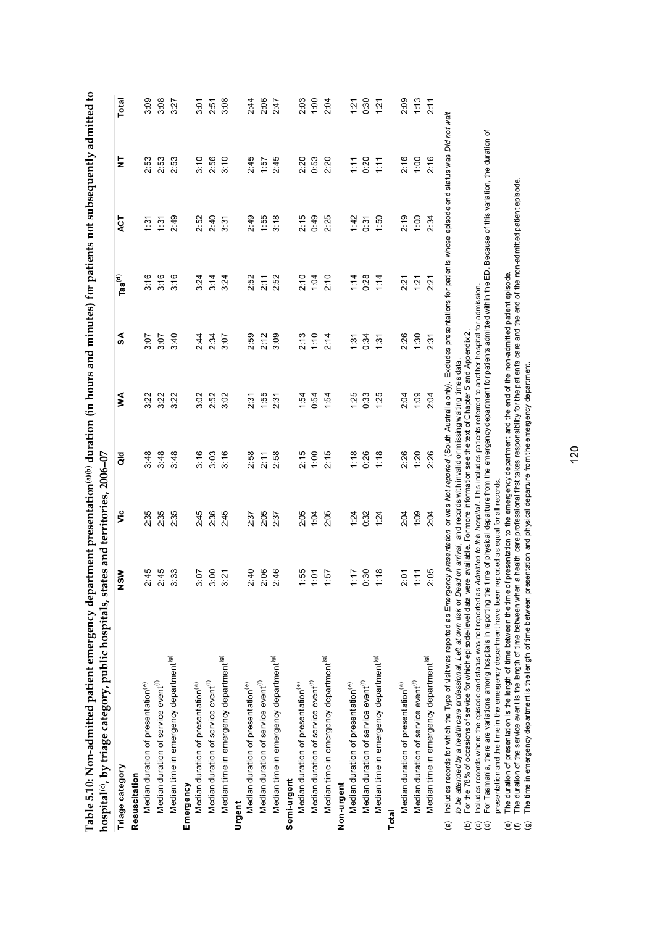| Table 5.10: Non-admitted patient emergency department presentation@olo duration (in hours and minutes) for patients not subsequently admitted to<br>hospital(c), by triage category, public hospitals, states and territories, 2006-07                                                                                                                                  |                 |      |               |               |      |                               |               |               |       |
|-------------------------------------------------------------------------------------------------------------------------------------------------------------------------------------------------------------------------------------------------------------------------------------------------------------------------------------------------------------------------|-----------------|------|---------------|---------------|------|-------------------------------|---------------|---------------|-------|
| Triage category                                                                                                                                                                                                                                                                                                                                                         | NSM             | š    | $\frac{1}{3}$ | ≸             | SA   | $\mathsf{Las}^{(\mathsf{d})}$ | ACT           | $\frac{1}{2}$ | Total |
| Resuscitation                                                                                                                                                                                                                                                                                                                                                           |                 |      |               |               |      |                               |               |               |       |
| Median duration of presentation <sup>(e)</sup>                                                                                                                                                                                                                                                                                                                          | 2:45            | 2:35 | 3:48          | 3:22          | 3:07 | 3:16                          | $\frac{5}{2}$ | 2:53          | 3:09  |
| Median duration of service event <sup>(f)</sup>                                                                                                                                                                                                                                                                                                                         | 2:45            | 2:35 | 3:48          | 3:22          | 3:07 | 3:16                          | 1:31          | 2:53          | 3:08  |
| Median time in emergency department <sup>(g)</sup>                                                                                                                                                                                                                                                                                                                      | 3:33            | 2:35 | 3:48          | 322           | 3:40 | 3:16                          | 2:49          | 2:53          | 3:27  |
| Emergency                                                                                                                                                                                                                                                                                                                                                               |                 |      |               |               |      |                               |               |               |       |
| Median duration of presentation <sup>(e)</sup>                                                                                                                                                                                                                                                                                                                          | 3:07            | 2.45 | 3:16          | 3:02          | 2:44 | 3:24                          | 2:52          | 3:10          | 3:01  |
| Median duration of service event <sup>(f)</sup>                                                                                                                                                                                                                                                                                                                         | 3:00            | 2:36 | 3:03          | 2:52          | 2:34 | 3:14                          | 2:40          | 2:56          | 2:51  |
| Median time in emergency department <sup>(g)</sup>                                                                                                                                                                                                                                                                                                                      | $\overline{21}$ | 2.45 | 3:16          | 3.02          | 3:07 | 3:24                          | 3:31          | 3:10          | 3.08  |
| Urgent                                                                                                                                                                                                                                                                                                                                                                  |                 |      |               |               |      |                               |               |               |       |
| Median duration of presentation <sup>(e)</sup>                                                                                                                                                                                                                                                                                                                          | 2:40            | 2.37 | 2:58          | $2.3^{\circ}$ | 2:59 | 2:52                          | 2:49          | 2:45          | 2:44  |
| Median duration of service event <sup>(f)</sup>                                                                                                                                                                                                                                                                                                                         | 2:06            | 2:05 | 2:11          | 1.55          | 2:12 | 2:11                          | 1:55          | 1:57          | 2:06  |
| Median time in emergency department <sup>(g)</sup>                                                                                                                                                                                                                                                                                                                      | 2:46            | 2:37 | 2:58          | 2:31          | 3:09 | 2:52                          | 3:18          | 2:45          | 2:47  |
| Semi-urgent                                                                                                                                                                                                                                                                                                                                                             |                 |      |               |               |      |                               |               |               |       |
| Median duration of presentation <sup>(e)</sup>                                                                                                                                                                                                                                                                                                                          | 55.             | 2:05 | 2:15          | 1.54          | 2:13 | 2:10                          | 2:15          | 2:20          | 2:03  |
| Median duration of service event <sup>(f)</sup>                                                                                                                                                                                                                                                                                                                         | ċ               | 1:04 | 1:00          | 0.54          | 1:10 | 1:04                          | 0:49          | 0:53          | 1:00  |
| Median time in emergency department <sup>(g)</sup>                                                                                                                                                                                                                                                                                                                      | $\ddot{5}$      | 2:05 | 2:15          | 1:54          | 2:14 | 2:10                          | 2:25          | 2:20          | 2:04  |
| Non-urgent                                                                                                                                                                                                                                                                                                                                                              |                 |      |               |               |      |                               |               |               |       |
| Median duration of presentation <sup>(e)</sup>                                                                                                                                                                                                                                                                                                                          | ۲ŗ.             | 1:24 | 1:18          | 125           | 1:31 | 1:14                          | 1:42          | 1:11          | 121   |
| Median duration of service event <sup>(f)</sup>                                                                                                                                                                                                                                                                                                                         | 0:30            | 0:32 | 0:26          | 0:33          | 0:34 | 0.28                          | 0:31          | 0:20          | 0:30  |
| Median time in emergency department <sup>(g)</sup>                                                                                                                                                                                                                                                                                                                      | $\frac{8}{10}$  | 1:24 | 1:18          | 1:25          | 1:31 | 1:14                          | 1:50          | 1:11          | 1:21  |
| Total                                                                                                                                                                                                                                                                                                                                                                   |                 |      |               |               |      |                               |               |               |       |
| Median duration of presentation <sup>(e)</sup>                                                                                                                                                                                                                                                                                                                          | 2:01            | 2:04 | 2:26          | 2:04          | 2:26 | 2:21                          | 2:19          | 2:16          | 2:09  |
| Median duration of service event <sup>(f)</sup>                                                                                                                                                                                                                                                                                                                         | $\Xi$           | 1:09 | 1:20          | 1.09          | 1:30 | 1:21                          | 1:00          | 1:00          | 1:13  |
| Median time in emergency department <sup>(g)</sup>                                                                                                                                                                                                                                                                                                                      | 2.05            | 2:04 | 2:26          | 2:04          | 2:31 | 2:21                          | 2:34          | 2:16          | 2:11  |
| Includes records for which the Type of visit was reported as Emerg <i>ency presentation or was Not reported</i> (South Australia only). Excludes presentations for patients whose episode end status was Did not wait<br>to be attended by a health care professional, Left at own risk or Dead on arrival, and records with invalid or missing waiting times data<br>ම |                 |      |               |               |      |                               |               |               |       |
| ă                                                                                                                                                                                                                                                                                                                                                                       |                 |      |               |               |      |                               |               |               |       |

For the 78% of occasions of service for which episode-level data were available. For more information see the text of Chapter 5 and Appendix 2. (b) For the 78% of occasions of service for which episode-level data were available. For more information see the text of Chapter 5 and Appendix 2.

Includes records where the episode end status was not reported as Admitted to this hospital. This includes patients referred to another hospital for admission. (c) Includes records where the episode end status was not reported as *Admitted to this hospital* . This includes patients referred to another hospital for admission. e ce

For Tasmania, there are variations among hospitals in reporting the time of physical departure from the emergency department for patients admitted within the ED. Because of this variation, the duration of (d) For Tasmania, there are variations among hospitals in reporting the time of physical departure from the emergency department for patients admitted within the ED. Because of this variation, the duration of

presentation and the time in the emergency department have been reported as equal for all records. presentation and the time in the emergency department have been reported as equal for all records.

The duration of presentation is the length of time between the time of presentation to the energency department and the end of the non-admitted patient episode.<br>The duration of the service event is the length of time betwe (e) The duration of presentation is the length of time between the time of presentation to the emergency department and the end of the non-admitted patient episode.  $\widehat{\mathbb{C}} \in \widehat{\mathbb{C}}$ 

(f) The duration of the service event is the length of time between when a health care professional first takes responsibility for the patient's care and the end of the non-admitted patient episode.

(g) The time in emergency department is the length of time between presentation and physical departure from the emergency department.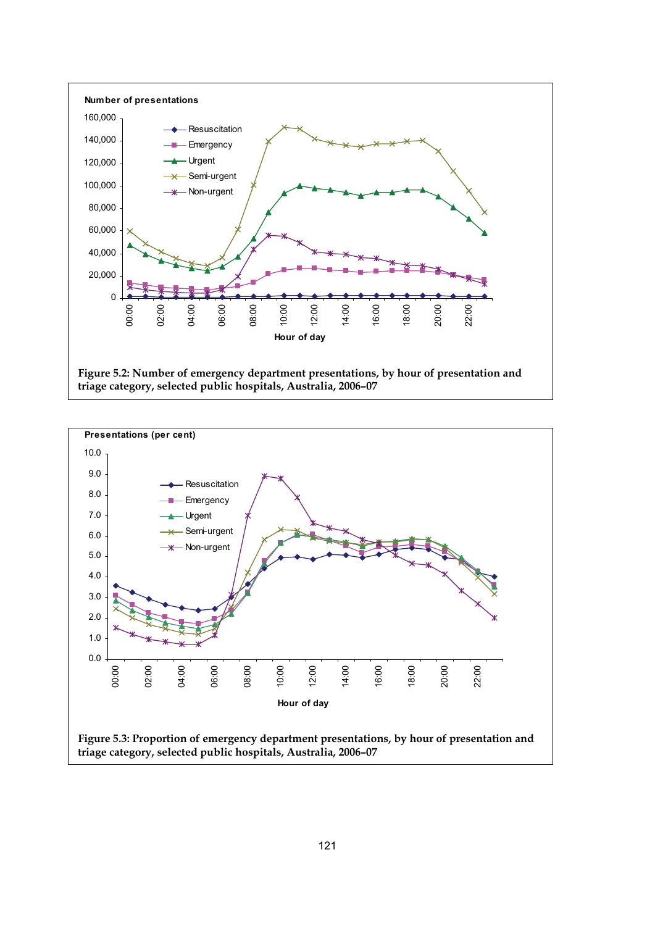

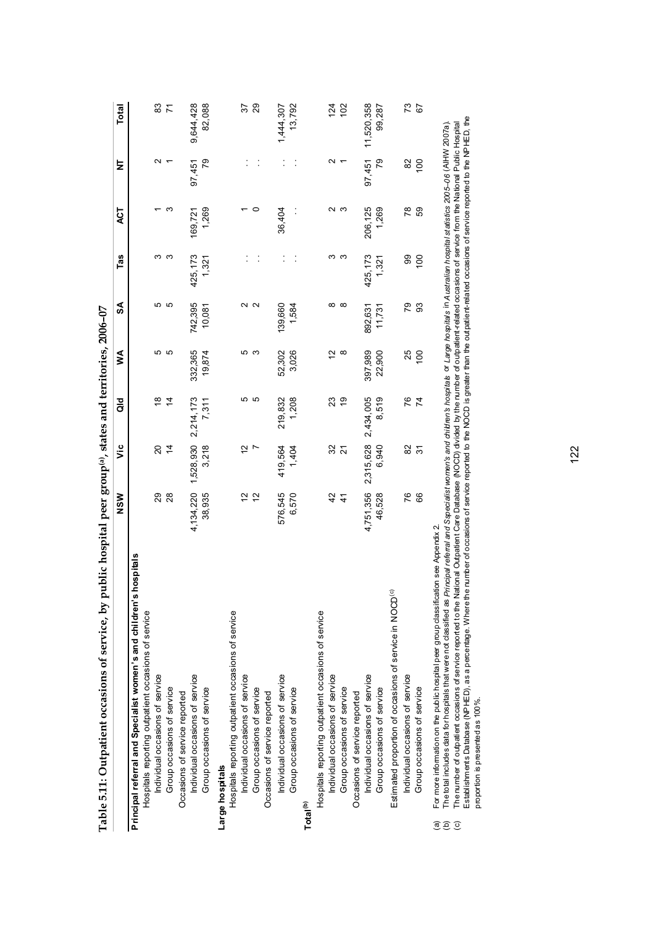|                   | Table 5.11: Outpatient occasions of service, by public hospital peer group <sup>(a)</sup> , states and territories, 2006-07                                                                                                                                                                                                                                                                                                                                                                                       |               |                |           |          |          |                 |         |                          |            |
|-------------------|-------------------------------------------------------------------------------------------------------------------------------------------------------------------------------------------------------------------------------------------------------------------------------------------------------------------------------------------------------------------------------------------------------------------------------------------------------------------------------------------------------------------|---------------|----------------|-----------|----------|----------|-----------------|---------|--------------------------|------------|
|                   |                                                                                                                                                                                                                                                                                                                                                                                                                                                                                                                   | NSW           | ۊ              | a<br>To   | ≸        | S        | Tas             | ACT     | ā                        | Total      |
|                   | hospitals<br>Principal referral and Specialist women's and children's                                                                                                                                                                                                                                                                                                                                                                                                                                             |               |                |           |          |          |                 |         |                          |            |
|                   | Hospitals reporting outpatient occasions of service                                                                                                                                                                                                                                                                                                                                                                                                                                                               |               |                |           |          |          |                 |         |                          |            |
|                   | Individual occasions of service                                                                                                                                                                                                                                                                                                                                                                                                                                                                                   | 29            | g              | ≌         | Ю        | Ю        | ო               |         | $\scriptstyle\mathtt{N}$ | 83         |
|                   | Group occasions of service                                                                                                                                                                                                                                                                                                                                                                                                                                                                                        | 28            | $\overline{4}$ | 4         | S        | Ю        | ო               | က       |                          | 71         |
|                   | Occasions of service reported                                                                                                                                                                                                                                                                                                                                                                                                                                                                                     |               |                |           |          |          |                 |         |                          |            |
|                   | Individual occasions of service                                                                                                                                                                                                                                                                                                                                                                                                                                                                                   | 4,134,220     | 1,528,930      | 2,214,173 | 332,365  | 742,395  | 425, 173        | 169,721 | 97,451                   | 9,644,428  |
|                   | Group occasions of service                                                                                                                                                                                                                                                                                                                                                                                                                                                                                        | 38,935        | 3,218          | 7,311     | 19,874   | 10,081   | 1,321           | 1,269   | 79                       | 82,088     |
|                   | Large hospitals                                                                                                                                                                                                                                                                                                                                                                                                                                                                                                   |               |                |           |          |          |                 |         |                          |            |
|                   | Hospitals reporting outpatient occasions of service                                                                                                                                                                                                                                                                                                                                                                                                                                                               |               |                |           |          |          |                 |         |                          |            |
|                   | Individual occasions of service                                                                                                                                                                                                                                                                                                                                                                                                                                                                                   | 51            | 5              | Ю         | Ю        | $\sim$   |                 |         |                          | 57         |
|                   | Group occasions of service                                                                                                                                                                                                                                                                                                                                                                                                                                                                                        | 57            |                | ပ         | ო        | $\sim$   |                 | 0       |                          | 29         |
|                   | Occasions of service reported                                                                                                                                                                                                                                                                                                                                                                                                                                                                                     |               |                |           |          |          |                 |         |                          |            |
|                   | Individual occasions of service                                                                                                                                                                                                                                                                                                                                                                                                                                                                                   | 576,545       | 419,564        | 219,832   | 52,302   | 139,660  |                 | 36,404  |                          | 1,444,307  |
|                   | Group occasions of service                                                                                                                                                                                                                                                                                                                                                                                                                                                                                        | 6,570         | 1,404          | 1,208     | 3,026    | 1,584    |                 |         |                          | 13,792     |
|                   | Total <sup>(b)</sup>                                                                                                                                                                                                                                                                                                                                                                                                                                                                                              |               |                |           |          |          |                 |         |                          |            |
|                   | Hospitals reporting outpatient occasions of service                                                                                                                                                                                                                                                                                                                                                                                                                                                               |               |                |           |          |          |                 |         |                          |            |
|                   | Individual occasions of service                                                                                                                                                                                                                                                                                                                                                                                                                                                                                   | 42            | 32             | ని        | N        | ∞        | ო               |         | N                        | 124        |
|                   | Group occasions of service                                                                                                                                                                                                                                                                                                                                                                                                                                                                                        | $\frac{4}{3}$ | 21             | 6Ł        | ∞        | $\infty$ | က               |         |                          | 102        |
|                   | Occasions of service reported                                                                                                                                                                                                                                                                                                                                                                                                                                                                                     |               |                |           |          |          |                 |         |                          |            |
|                   | Individual occasions of service                                                                                                                                                                                                                                                                                                                                                                                                                                                                                   | 4,751,356     | 2,315,628      | 2,434,005 | 397,989  | 892,631  | 425, 173        | 206,125 | 97,451                   | 11,520,358 |
|                   | Group occasions of service                                                                                                                                                                                                                                                                                                                                                                                                                                                                                        | 46,528        | 6,940          | 8,519     | 22,900   | 11,731   | 1,321           | 1,269   | 79                       | 99,287     |
|                   | Estimated proportion of occasions of service in NOCD <sup>(c)</sup>                                                                                                                                                                                                                                                                                                                                                                                                                                               |               |                |           |          |          |                 |         |                          |            |
|                   | Individual occasions of service                                                                                                                                                                                                                                                                                                                                                                                                                                                                                   | 76            | 8              | 97        | 25       | 79       | 99              | 78      | 82                       | 73         |
|                   | Group occasions of service                                                                                                                                                                                                                                                                                                                                                                                                                                                                                        | 8             | $\overline{5}$ | 74        | $^{100}$ | 93       | $\overline{00}$ | 69      | 100                      | 67         |
| ව<br>$\odot$<br>ල | The total includes data for hospitals that were not classified as Principal debta and Sapecialist women's and children's hospitals or Large hospitals in Australian hospital statistics 2005-06 (AIHW 2007a).<br>The number of outpatient occasions of service reported to the National Outpatient Care Database MOCD) divided by the number of outpatient related occasions of service from the National Public Hospital<br>For more information on the public hospital peer group classification see Appendix 2 |               |                |           |          |          |                 |         |                          |            |

The total includes data for hospitals that were not classified as *Principal referral and Specialist worren's and children's hospitals or Large hospitals in Australian hospital statistics 2005-06 (AIHW 2007a).<br>The number o* Establishments Database (NPHED), as a percentage. Where the number of occasions of service reported to the NOCD is greater than the outpatient-related occasions of service reported to the NPHED, the (c) The number of outpatient occasions of service reported to the National Outpatient Care Database (NOCD) divided by the number of outpatient-related occasions of service from the National Public Hospital (b) The total includes data for hospitals that were not classified as Frincipal fearted as proposing is a radial signical of proposing in Australian hospitals that signic and solve that With With NHV 2007a).

proportion is presented as 100%.

proportion is presented as 100%.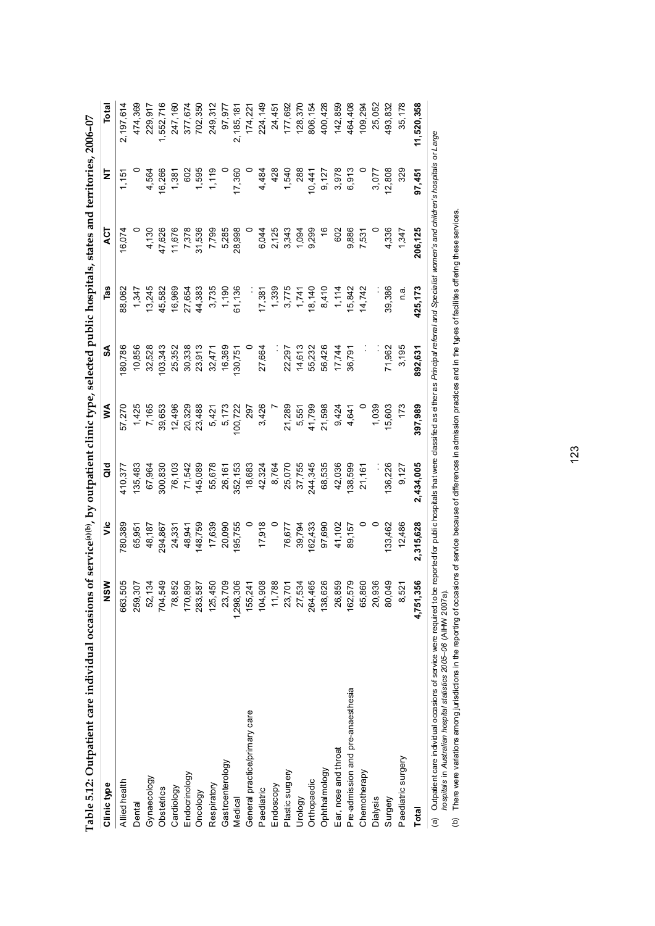| Table 5.12: Outpatient care individual occasions                     |           |                  | of service(a)(b), by outpatient clinic type, selected public hospitals, states and territories, 2006-07                                         |         |         |         |               |        |            |
|----------------------------------------------------------------------|-----------|------------------|-------------------------------------------------------------------------------------------------------------------------------------------------|---------|---------|---------|---------------|--------|------------|
| Clinic type                                                          | క్ట<br>ž  | $\ddot{\bar{z}}$ | a<br>To                                                                                                                                         | ⋚       | న్      | Tas     | ΔCT           | Ż      | Total      |
| Allied health                                                        | 663,505   | 780,389          | 410,377                                                                                                                                         | 57,270  | 80,786  | 88,062  | 6,074         | 1,151  | 2,197,614  |
| Dental                                                               | 259,307   | 65,951           | 135,483                                                                                                                                         | 1,425   | 10,856  | 1,347   |               |        | 474,369    |
| Gynaecology                                                          | 52,134    | 48,187           | 67,964                                                                                                                                          | 7,165   | 32,528  | 13,245  | 4,130         | 4,564  | 229,917    |
| Obstetrics                                                           | 704,549   | 294,867          | 300,830                                                                                                                                         | 39,653  | 03,343  | 45,582  | 47,626        | 16,266 | 1,552,716  |
| Cardiology                                                           | 78,852    | 24,331           | 76,103                                                                                                                                          | 12,496  | 25,352  | 16,969  | 11,676        | 1,381  | 247,160    |
| Endocrinology                                                        | 170,890   | 48,941           | 71,542                                                                                                                                          | 20,329  | 30,338  | 27,654  | 7,378         | 602    | 377,674    |
| Oncology                                                             | 283,587   | 48,759           | 145,089                                                                                                                                         | 23,488  | 23,913  | 44,383  | 31,536        | 1,595  | 702,350    |
| Respiratory                                                          | 125,450   | 17,639           | 55,678                                                                                                                                          | 5,421   | 32,471  | 3,735   | 7,799         | 1,119  | 249,312    |
| Gastroenterology                                                     | 23,709    | 20,090           | 26,161                                                                                                                                          | 5,173   | 16,369  | 1,190   | 5,285         |        | 97,977     |
| Medical                                                              | 1,298,306 | 95,755           | 352,153                                                                                                                                         | 00,722  | 130,751 | 61,136  | 28,998        | 17,360 | 2,185,181  |
| General practice/primary care                                        | 155,241   |                  | 18,683                                                                                                                                          | 797     |         |         |               |        | 174,221    |
| Paediatric                                                           | 104,908   | 17,918           | 42,324                                                                                                                                          | 3,426   | 27,664  | 17,381  | 6,044         | 4,484  | 224,149    |
| Endoscopy                                                            | 11,788    |                  | 8,764                                                                                                                                           |         |         | 1,339   | 2,125         | 428    | 24,451     |
| Plastic surgery                                                      | 23,701    | 76,677           | 25,070                                                                                                                                          | 21,289  | 22,297  | 3,775   | 3,343         | 1,540  | 177,692    |
| Urology                                                              | 27,534    | 39,794           | 37,755                                                                                                                                          | 5,551   | 14,613  | 1,741   | 1,094         | 288    | 128,370    |
| Orthopaedic                                                          | 264,465   | 62,433           | 244,345                                                                                                                                         | 41,799  | 55,232  | 18,140  | 9,299         | 10,441 | 806,154    |
| Ophthalmology                                                        | 138,626   | 97,690           | 68,535                                                                                                                                          | 21,598  | 56,426  | 8,410   | $\frac{6}{5}$ | 9,127  | 400,428    |
| Ear, nose and throat                                                 | 26,859    | 41,102           | 42,036                                                                                                                                          | 9,424   | 17,744  | 1,114   | 602           | 3,978  | 142,859    |
| Pre-admission and pre-anaesthesia                                    | 162,579   | 89,157           | 38,599                                                                                                                                          | 4,641   | 36,791  | 5,842   | 9,886         | 6,913  | 464,408    |
| Chemotherapy                                                         | 65,860    |                  | 21,161                                                                                                                                          |         |         | 14,742  | 7,531         |        | 109,294    |
| Dialysis                                                             | 20,936    |                  |                                                                                                                                                 | 1,039   |         |         |               | 3,077  | 25,052     |
| Surgery                                                              | 80,049    | 33,462           | 36,226                                                                                                                                          | 15,603  | 71,962  | 39,386  | 4,336         | 12,808 | 493,832    |
| Paediatric surgery                                                   | 8,521     | 12,486           | 9,127                                                                                                                                           | 173     | 3,195   | n a     | 1,347         | 329    | 35,178     |
| Total                                                                | 4,751,356 | 2,315,628        | 2,434,005                                                                                                                                       | 397,989 | 892,631 | 425,173 | 206,125       | 97,451 | 11,520,358 |
| (a) Outpatient care individual occasions of service were required to |           |                  | be reported for public hospitals that were classified as either as Principal referral and Specialist worner's and children's hospitals or Large |         |         |         |               |        |            |

|                                                                                                               | j<br>$\overline{a}$<br>i<br>l<br>ׇׇ֠֕֡<br>l<br>֕                  |
|---------------------------------------------------------------------------------------------------------------|-------------------------------------------------------------------|
| ገፍ ብፍ<br>l<br>7 S.JI<br>$\frac{1}{2}$<br><b><i><u>ACTES 22</u></i></b><br>¢<br>l<br>i<br>$\ddot{\phantom{a}}$ | )<br>D<br>č<br>j                                                  |
| l<br>i<br>j<br>3<br>å                                                                                         | s<br>C<br>ţ<br>l<br>ı<br>$\ddot{\phantom{a}}$<br>í<br>ï<br>I<br>☎ |
|                                                                                                               | J.                                                                |